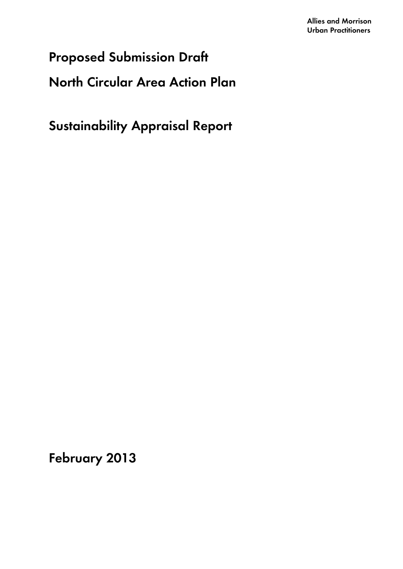# **Proposed Submission Draft**

# **North Circular Area Action Plan**

**Sustainability Appraisal Report** 

**February 2013**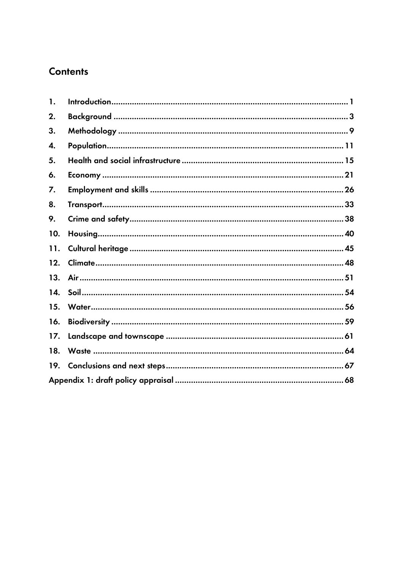## **Contents**

| 1.  |  |
|-----|--|
| 2.  |  |
| 3.  |  |
| 4.  |  |
| 5.  |  |
| 6.  |  |
| 7.  |  |
| 8.  |  |
| 9.  |  |
| 10. |  |
| 11. |  |
| 12. |  |
| 13. |  |
| 14. |  |
| 15. |  |
| 16. |  |
| 17. |  |
| 18. |  |
| 19. |  |
|     |  |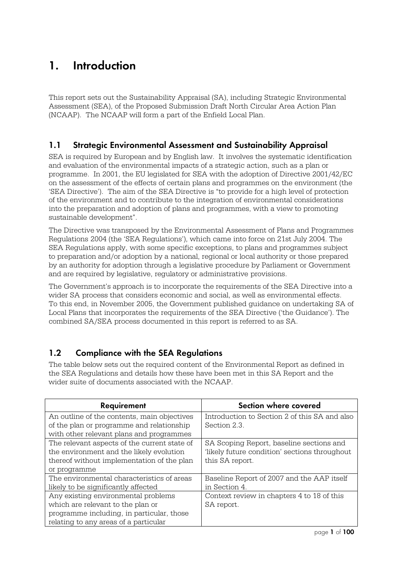## **1. Introduction**

This report sets out the Sustainability Appraisal (SA), including Strategic Environmental Assessment (SEA), of the Proposed Submission Draft North Circular Area Action Plan (NCAAP). The NCAAP will form a part of the Enfield Local Plan.

## **1.1 Strategic Environmental Assessment and Sustainability Appraisal**

SEA is required by European and by English law. It involves the systematic identification and evaluation of the environmental impacts of a strategic action, such as a plan or programme. In 2001, the EU legislated for SEA with the adoption of Directive 2001/42/EC on the assessment of the effects of certain plans and programmes on the environment (the 'SEA Directive'). The aim of the SEA Directive is "to provide for a high level of protection of the environment and to contribute to the integration of environmental considerations into the preparation and adoption of plans and programmes, with a view to promoting sustainable development".

The Directive was transposed by the Environmental Assessment of Plans and Programmes Regulations 2004 (the 'SEA Regulations'), which came into force on 21st July 2004. The SEA Regulations apply, with some specific exceptions, to plans and programmes subject to preparation and/or adoption by a national, regional or local authority or those prepared by an authority for adoption through a legislative procedure by Parliament or Government and are required by legislative, regulatory or administrative provisions.

The Government's approach is to incorporate the requirements of the SEA Directive into a wider SA process that considers economic and social, as well as environmental effects. To this end, in November 2005, the Government published guidance on undertaking SA of Local Plans that incorporates the requirements of the SEA Directive ('the Guidance'). The combined SA/SEA process documented in this report is referred to as SA.

## **1.2 Compliance with the SEA Regulations**

The table below sets out the required content of the Environmental Report as defined in the SEA Regulations and details how these have been met in this SA Report and the wider suite of documents associated with the NCAAP.

| Requirement                                  | Section where covered                         |  |  |
|----------------------------------------------|-----------------------------------------------|--|--|
| An outline of the contents, main objectives  | Introduction to Section 2 of this SA and also |  |  |
| of the plan or programme and relationship    | Section 2.3.                                  |  |  |
| with other relevant plans and programmes     |                                               |  |  |
| The relevant aspects of the current state of | SA Scoping Report, baseline sections and      |  |  |
| the environment and the likely evolution     | 'likely future condition' sections throughout |  |  |
| thereof without implementation of the plan   | this SA report.                               |  |  |
| or programme                                 |                                               |  |  |
| The environmental characteristics of areas   | Baseline Report of 2007 and the AAP itself    |  |  |
| likely to be significantly affected          | in Section 4.                                 |  |  |
| Any existing environmental problems          | Context review in chapters 4 to 18 of this    |  |  |
| which are relevant to the plan or            | SA report.                                    |  |  |
| programme including, in particular, those    |                                               |  |  |
| relating to any areas of a particular        |                                               |  |  |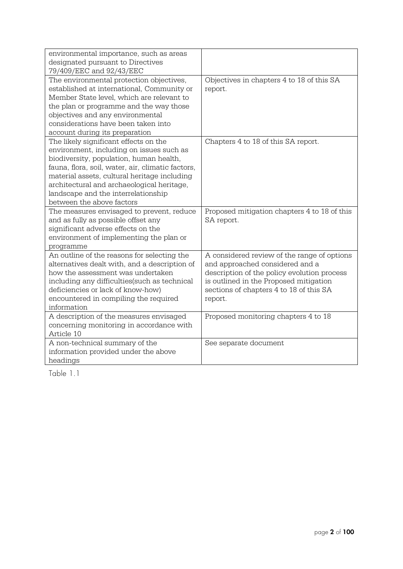| environmental importance, such as areas<br>designated pursuant to Directives                                                                                                                                                                                                                                                                        |                                                                                                                                                                                                                               |
|-----------------------------------------------------------------------------------------------------------------------------------------------------------------------------------------------------------------------------------------------------------------------------------------------------------------------------------------------------|-------------------------------------------------------------------------------------------------------------------------------------------------------------------------------------------------------------------------------|
| 79/409/EEC and 92/43/EEC                                                                                                                                                                                                                                                                                                                            |                                                                                                                                                                                                                               |
| The environmental protection objectives,<br>established at international, Community or<br>Member State level, which are relevant to<br>the plan or programme and the way those<br>objectives and any environmental<br>considerations have been taken into<br>account during its preparation                                                         | Objectives in chapters 4 to 18 of this SA<br>report.                                                                                                                                                                          |
| The likely significant effects on the<br>environment, including on issues such as<br>biodiversity, population, human health,<br>fauna, flora, soil, water, air, climatic factors,<br>material assets, cultural heritage including<br>architectural and archaeological heritage,<br>landscape and the interrelationship<br>between the above factors | Chapters 4 to 18 of this SA report.                                                                                                                                                                                           |
| The measures envisaged to prevent, reduce<br>and as fully as possible offset any<br>significant adverse effects on the<br>environment of implementing the plan or<br>programme                                                                                                                                                                      | Proposed mitigation chapters 4 to 18 of this<br>SA report.                                                                                                                                                                    |
| An outline of the reasons for selecting the<br>alternatives dealt with, and a description of<br>how the assessment was undertaken<br>including any difficulties(such as technical<br>deficiencies or lack of know-how)<br>encountered in compiling the required<br>information                                                                      | A considered review of the range of options<br>and approached considered and a<br>description of the policy evolution process<br>is outlined in the Proposed mitigation<br>sections of chapters 4 to 18 of this SA<br>report. |
| A description of the measures envisaged<br>concerning monitoring in accordance with<br>Article 10                                                                                                                                                                                                                                                   | Proposed monitoring chapters 4 to 18                                                                                                                                                                                          |
| A non-technical summary of the<br>information provided under the above<br>headings                                                                                                                                                                                                                                                                  | See separate document                                                                                                                                                                                                         |

Table 1.1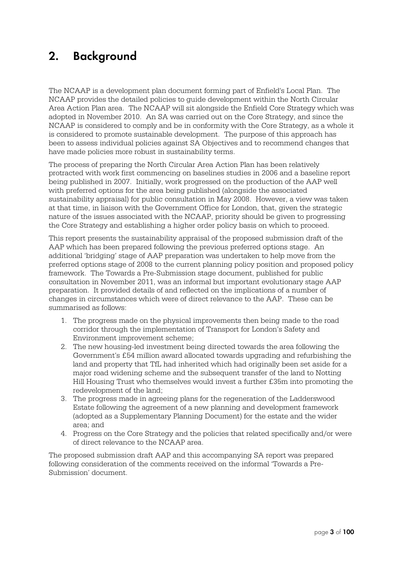## **2. Background**

The NCAAP is a development plan document forming part of Enfield's Local Plan. The NCAAP provides the detailed policies to guide development within the North Circular Area Action Plan area. The NCAAP will sit alongside the Enfield Core Strategy which was adopted in November 2010. An SA was carried out on the Core Strategy, and since the NCAAP is considered to comply and be in conformity with the Core Strategy, as a whole it is considered to promote sustainable development. The purpose of this approach has been to assess individual policies against SA Objectives and to recommend changes that have made policies more robust in sustainability terms.

The process of preparing the North Circular Area Action Plan has been relatively protracted with work first commencing on baselines studies in 2006 and a baseline report being published in 2007. Initially, work progressed on the production of the AAP well with preferred options for the area being published (alongside the associated sustainability appraisal) for public consultation in May 2008. However, a view was taken at that time, in liaison with the Government Office for London, that, given the strategic nature of the issues associated with the NCAAP, priority should be given to progressing the Core Strategy and establishing a higher order policy basis on which to proceed.

This report presents the sustainability appraisal of the proposed submission draft of the AAP which has been prepared following the previous preferred options stage. An additional 'bridging' stage of AAP preparation was undertaken to help move from the preferred options stage of 2008 to the current planning policy position and proposed policy framework. The Towards a Pre-Submission stage document, published for public consultation in November 2011, was an informal but important evolutionary stage AAP preparation. It provided details of and reflected on the implications of a number of changes in circumstances which were of direct relevance to the AAP. These can be summarised as follows:

- 1. The progress made on the physical improvements then being made to the road corridor through the implementation of Transport for London's Safety and Environment improvement scheme;
- 2. The new housing-led investment being directed towards the area following the Government's £54 million award allocated towards upgrading and refurbishing the land and property that TfL had inherited which had originally been set aside for a major road widening scheme and the subsequent transfer of the land to Notting Hill Housing Trust who themselves would invest a further £35m into promoting the redevelopment of the land;
- 3. The progress made in agreeing plans for the regeneration of the Ladderswood Estate following the agreement of a new planning and development framework (adopted as a Supplementary Planning Document) for the estate and the wider area; and
- 4. Progress on the Core Strategy and the policies that related specifically and/or were of direct relevance to the NCAAP area.

The proposed submission draft AAP and this accompanying SA report was prepared following consideration of the comments received on the informal 'Towards a Pre-Submission' document.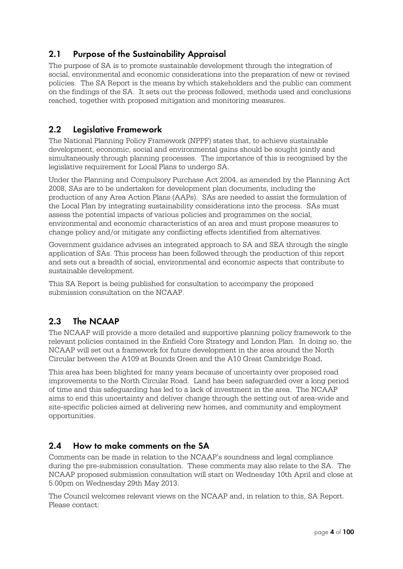## **2.1 Purpose of the Sustainability Appraisal**

The purpose of SA is to promote sustainable development through the integration of social, environmental and economic considerations into the preparation of new or revised policies. The SA Report is the means by which stakeholders and the public can comment on the findings of the SA. It sets out the process followed, methods used and conclusions reached, together with proposed mitigation and monitoring measures.

#### **2.2 Legislative Framework**

The National Planning Policy Framework (NPPF) states that, to achieve sustainable development, economic, social and environmental gains should be sought jointly and simultaneously through planning processes. The importance of this is recognised by the legislative requirement for Local Plans to undergo SA.

Under the Planning and Compulsory Purchase Act 2004, as amended by the Planning Act 2008, SAs are to be undertaken for development plan documents, including the production of any Area Action Plans (AAPs). SAs are needed to assist the formulation of the Local Plan by integrating sustainability considerations into the process. SAs must assess the potential impacts of various policies and programmes on the social, environmental and economic characteristics of an area and must propose measures to change policy and/or mitigate any conflicting effects identified from alternatives.

Government guidance advises an integrated approach to SA and SEA through the single application of SAs. This process has been followed through the production of this report and sets out a breadth of social, environmental and economic aspects that contribute to sustainable development.

This SA Report is being published for consultation to accompany the proposed submission consultation on the NCAAP.

## **2.3 The NCAAP**

The NCAAP will provide a more detailed and supportive planning policy framework to the relevant policies contained in the Enfield Core Strategy and London Plan. In doing so, the NCAAP will set out a framework for future development in the area around the North Circular between the A109 at Bounds Green and the A10 Great Cambridge Road.

This area has been blighted for many years because of uncertainty over proposed road improvements to the North Circular Road. Land has been safeguarded over a long period of time and this safeguarding has led to a lack of investment in the area. The NCAAP aims to end this uncertainty and deliver change through the setting out of area-wide and site-specific policies aimed at delivering new homes, and community and employment opportunities.

#### **2.4 How to make comments on the SA**

Comments can be made in relation to the NCAAP's soundness and legal compliance during the pre-submission consultation. These comments may also relate to the SA. The NCAAP proposed submission consultation will start on Wednesday 10th April and close at 5.00pm on Wednesday 29th May 2013.

The Council welcomes relevant views on the NCAAP and, in relation to this, SA Report. Please contact: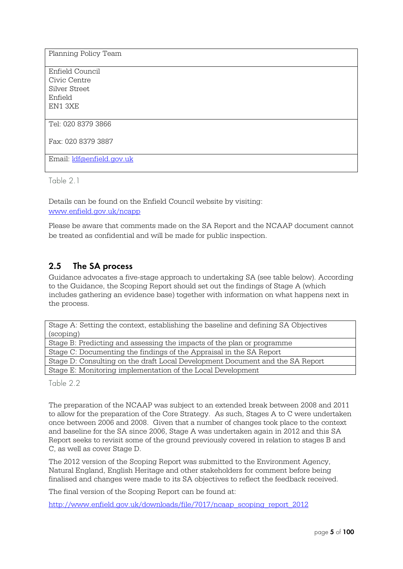| Planning Policy Team      |
|---------------------------|
| Enfield Council           |
| Civic Centre              |
| Silver Street             |
| Enfield                   |
| EN1 3XE                   |
|                           |
| Tel: 020 8379 3866        |
| Fax: 020 8379 3887        |
|                           |
| Email: ldf@enfield.gov.uk |

Table 2.1

Details can be found on the Enfield Council website by visiting: www.enfield.gov.uk/ncapp

Please be aware that comments made on the SA Report and the NCAAP document cannot be treated as confidential and will be made for public inspection.

## **2.5 The SA process**

Guidance advocates a five-stage approach to undertaking SA (see table below). According to the Guidance, the Scoping Report should set out the findings of Stage A (which includes gathering an evidence base) together with information on what happens next in the process.

Stage A: Setting the context, establishing the baseline and defining SA Objectives (scoping) Stage B: Predicting and assessing the impacts of the plan or programme Stage C: Documenting the findings of the Appraisal in the SA Report Stage D: Consulting on the draft Local Development Document and the SA Report Stage E: Monitoring implementation of the Local Development

Table 2.2

The preparation of the NCAAP was subject to an extended break between 2008 and 2011 to allow for the preparation of the Core Strategy. As such, Stages A to C were undertaken once between 2006 and 2008. Given that a number of changes took place to the context and baseline for the SA since 2006, Stage A was undertaken again in 2012 and this SA Report seeks to revisit some of the ground previously covered in relation to stages B and C, as well as cover Stage D.

The 2012 version of the Scoping Report was submitted to the Environment Agency, Natural England, English Heritage and other stakeholders for comment before being finalised and changes were made to its SA objectives to reflect the feedback received.

The final version of the Scoping Report can be found at:

http://www.enfield.gov.uk/downloads/file/7017/ncaap\_scoping\_report\_2012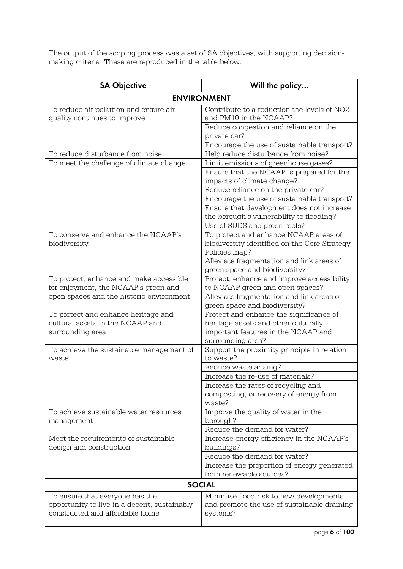The output of the scoping process was a set of SA objectives, with supporting decisionmaking criteria. These are reproduced in the table below.

| <b>SA Objective</b>                                                    | Will the policy                                                            |  |  |  |  |  |
|------------------------------------------------------------------------|----------------------------------------------------------------------------|--|--|--|--|--|
| <b>ENVIRONMENT</b>                                                     |                                                                            |  |  |  |  |  |
| To reduce air pollution and ensure air<br>quality continues to improve | Contribute to a reduction the levels of NO2<br>and PM10 in the NCAAP?      |  |  |  |  |  |
|                                                                        | Reduce congestion and reliance on the<br>private car?                      |  |  |  |  |  |
|                                                                        | Encourage the use of sustainable transport?                                |  |  |  |  |  |
| To reduce disturbance from noise                                       | Help reduce disturbance from noise?                                        |  |  |  |  |  |
| To meet the challenge of climate change                                | Limit emissions of greenhouse gases?                                       |  |  |  |  |  |
|                                                                        | Ensure that the NCAAP is prepared for the<br>impacts of climate change?    |  |  |  |  |  |
|                                                                        | Reduce reliance on the private car?                                        |  |  |  |  |  |
|                                                                        | Encourage the use of sustainable transport?                                |  |  |  |  |  |
|                                                                        | Ensure that development does not increase                                  |  |  |  |  |  |
|                                                                        | the borough's vulnerability to flooding?                                   |  |  |  |  |  |
|                                                                        | Use of SUDS and green roofs?                                               |  |  |  |  |  |
| To conserve and enhance the NCAAP's                                    | To protect and enhance NCAAP areas of                                      |  |  |  |  |  |
| biodiversity                                                           | biodiversity identified on the Core Strategy                               |  |  |  |  |  |
|                                                                        | Policies map?                                                              |  |  |  |  |  |
|                                                                        | Alleviate fragmentation and link areas of<br>green space and biodiversity? |  |  |  |  |  |
| To protect, enhance and make accessible                                | Protect, enhance and improve accessibility                                 |  |  |  |  |  |
| for enjoyment, the NCAAP's green and                                   | to NCAAP green and open spaces?                                            |  |  |  |  |  |
| open spaces and the historic environment                               | Alleviate fragmentation and link areas of                                  |  |  |  |  |  |
|                                                                        | green space and biodiversity?                                              |  |  |  |  |  |
| To protect and enhance heritage and                                    | Protect and enhance the significance of                                    |  |  |  |  |  |
| cultural assets in the NCAAP and                                       | heritage assets and other culturally                                       |  |  |  |  |  |
| surrounding area                                                       | important features in the NCAAP and                                        |  |  |  |  |  |
|                                                                        | surrounding area?                                                          |  |  |  |  |  |
| To achieve the sustainable management of<br>waste                      | Support the proximity principle in relation<br>to waste?                   |  |  |  |  |  |
|                                                                        | Reduce waste arising?                                                      |  |  |  |  |  |
|                                                                        | Increase the re-use of materials?                                          |  |  |  |  |  |
|                                                                        | Increase the rates of recycling and                                        |  |  |  |  |  |
|                                                                        | composting, or recovery of energy from                                     |  |  |  |  |  |
|                                                                        | waste?                                                                     |  |  |  |  |  |
| To achieve sustainable water resources                                 | Improve the quality of water in the                                        |  |  |  |  |  |
| management                                                             | borough?                                                                   |  |  |  |  |  |
|                                                                        | Reduce the demand for water?                                               |  |  |  |  |  |
| Meet the requirements of sustainable<br>design and construction        | Increase energy efficiency in the NCAAP's<br>buildings?                    |  |  |  |  |  |
|                                                                        | Reduce the demand for water?                                               |  |  |  |  |  |
|                                                                        | Increase the proportion of energy generated                                |  |  |  |  |  |
|                                                                        | from renewable sources?                                                    |  |  |  |  |  |
|                                                                        | <b>SOCIAL</b>                                                              |  |  |  |  |  |
| To ensure that everyone has the                                        | Minimise flood risk to new developments                                    |  |  |  |  |  |
| opportunity to live in a decent, sustainably                           | and promote the use of sustainable draining                                |  |  |  |  |  |
| constructed and affordable home                                        | systems?                                                                   |  |  |  |  |  |
|                                                                        |                                                                            |  |  |  |  |  |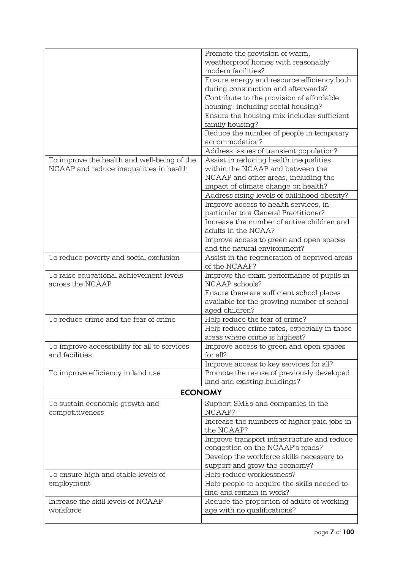|                                              | Promote the provision of warm,               |
|----------------------------------------------|----------------------------------------------|
|                                              | weatherproof homes with reasonably           |
|                                              | modern facilities?                           |
|                                              |                                              |
|                                              | Ensure energy and resource efficiency both   |
|                                              | during construction and afterwards?          |
|                                              | Contribute to the provision of affordable    |
|                                              | housing, including social housing?           |
|                                              | Ensure the housing mix includes sufficient   |
|                                              | family housing?                              |
|                                              | Reduce the number of people in temporary     |
|                                              | accommodation?                               |
|                                              | Address issues of transient population?      |
| To improve the health and well-being of the  | Assist in reducing health inequalities       |
| NCAAP and reduce inequalities in health      | within the NCAAP and between the             |
|                                              | NCAAP and other areas, including the         |
|                                              |                                              |
|                                              | impact of climate change on health?          |
|                                              | Address rising levels of childhood obesity?  |
|                                              | Improve access to health services, in        |
|                                              | particular to a General Practitioner?        |
|                                              | Increase the number of active children and   |
|                                              | adults in the NCAA?                          |
|                                              | Improve access to green and open spaces      |
|                                              | and the natural environment?                 |
| To reduce poverty and social exclusion       | Assist in the regeneration of deprived areas |
|                                              | of the NCAAP?                                |
| To raise educational achievement levels      | Improve the exam performance of pupils in    |
| across the NCAAP                             | NCAAP schools?                               |
|                                              | Ensure there are sufficient school places    |
|                                              | available for the growing number of school-  |
|                                              | aged children?                               |
| To reduce crime and the fear of crime        | Help reduce the fear of crime?               |
|                                              | Help reduce crime rates, especially in those |
|                                              | areas where crime is highest?                |
| To improve accessibility for all to services | Improve access to green and open spaces      |
| and facilities                               | for all?                                     |
|                                              |                                              |
|                                              | Improve access to key services for all?      |
| To improve efficiency in land use            | Promote the re-use of previously developed   |
|                                              | land and existing buildings?                 |
|                                              | <b>ECONOMY</b>                               |
| To sustain economic growth and               | Support SMEs and companies in the            |
| competitiveness                              | NCAAP?                                       |
|                                              | Increase the numbers of higher paid jobs in  |
|                                              | the NCAAP?                                   |
|                                              | Improve transport infrastructure and reduce  |
|                                              | congestion on the NCAAP's roads?             |
|                                              | Develop the workforce skills necessary to    |
|                                              |                                              |
|                                              | support and grow the economy?                |
| To ensure high and stable levels of          | Help reduce worklessness?                    |
| employment                                   | Help people to acquire the skills needed to  |
|                                              | find and remain in work?                     |
| Increase the skill levels of NCAAP           | Reduce the proportion of adults of working   |
| workforce                                    | age with no qualifications?                  |
|                                              |                                              |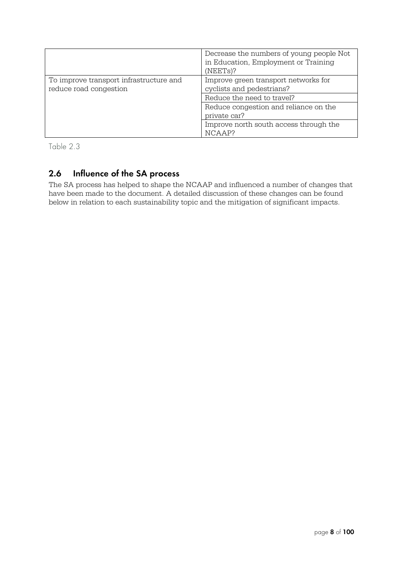|                                                                   | Decrease the numbers of young people Not<br>in Education, Employment or Training<br>$(NEETs)$ ? |  |
|-------------------------------------------------------------------|-------------------------------------------------------------------------------------------------|--|
| To improve transport infrastructure and<br>reduce road congestion | Improve green transport networks for<br>cyclists and pedestrians?                               |  |
|                                                                   | Reduce the need to travel?                                                                      |  |
|                                                                   | Reduce congestion and reliance on the                                                           |  |
|                                                                   | private car?                                                                                    |  |
|                                                                   | Improve north south access through the                                                          |  |
|                                                                   | NCAAP?                                                                                          |  |

Table 2.3

## **2.6 Influence of the SA process**

The SA process has helped to shape the NCAAP and influenced a number of changes that have been made to the document. A detailed discussion of these changes can be found below in relation to each sustainability topic and the mitigation of significant impacts.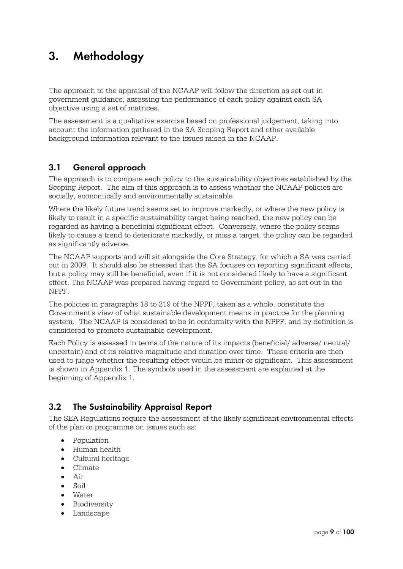## **3. Methodology**

The approach to the appraisal of the NCAAP will follow the direction as set out in government guidance, assessing the performance of each policy against each SA objective using a set of matrices.

The assessment is a qualitative exercise based on professional judgement, taking into account the information gathered in the SA Scoping Report and other available background information relevant to the issues raised in the NCAAP.

### **3.1 General approach**

The approach is to compare each policy to the sustainability objectives established by the Scoping Report. The aim of this approach is to assess whether the NCAAP policies are socially, economically and environmentally sustainable.

Where the likely future trend seems set to improve markedly, or where the new policy is likely to result in a specific sustainability target being reached, the new policy can be regarded as having a beneficial significant effect. Conversely, where the policy seems likely to cause a trend to deteriorate markedly, or miss a target, the policy can be regarded as significantly adverse.

The NCAAP supports and will sit alongside the Core Strategy, for which a SA was carried out in 2009. It should also be stressed that the SA focuses on reporting significant effects, but a policy may still be beneficial, even if it is not considered likely to have a significant effect. The NCAAP was prepared having regard to Government policy, as set out in the NPPF.

The policies in paragraphs 18 to 219 of the NPPF, taken as a whole, constitute the Government's view of what sustainable development means in practice for the planning system. The NCAAP is considered to be in conformity with the NPPF, and by definition is considered to promote sustainable development.

Each Policy is assessed in terms of the nature of its impacts (beneficial/ adverse/ neutral/ uncertain) and of its relative magnitude and duration over time. These criteria are then used to judge whether the resulting effect would be minor or significant. This assessment is shown in Appendix 1. The symbols used in the assessment are explained at the beginning of Appendix 1.

## **3.2 The Sustainability Appraisal Report**

The SEA Regulations require the assessment of the likely significant environmental effects of the plan or programme on issues such as:

- Population
- Human health
- Cultural heritage
- Climate
- Air
- Soil
- Water
- **•** Biodiversity
- Landscape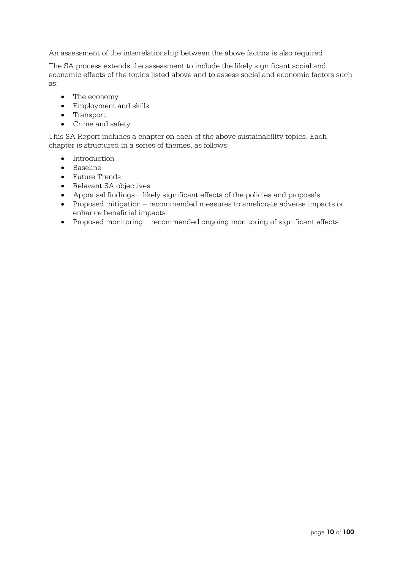An assessment of the interrelationship between the above factors is also required.

The SA process extends the assessment to include the likely significant social and economic effects of the topics listed above and to assess social and economic factors such as:

- The economy
- Employment and skills
- Transport
- Crime and safety

This SA Report includes a chapter on each of the above sustainability topics. Each chapter is structured in a series of themes, as follows:

- Introduction
- Baseline
- Future Trends
- Relevant SA objectives
- Appraisal findings likely significant effects of the policies and proposals
- Proposed mitigation recommended measures to ameliorate adverse impacts or enhance beneficial impacts
- Proposed monitoring recommended ongoing monitoring of significant effects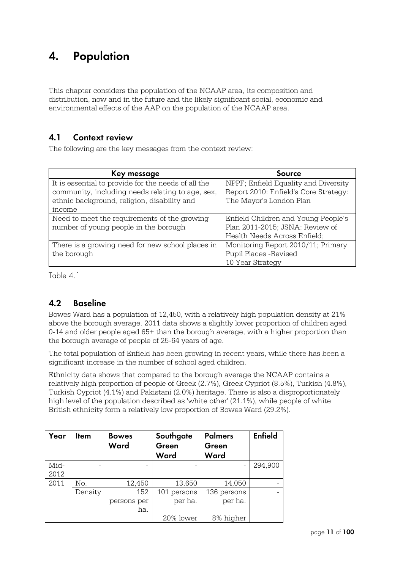## **4. Population**

This chapter considers the population of the NCAAP area, its composition and distribution, now and in the future and the likely significant social, economic and environmental effects of the AAP on the population of the NCAAP area.

#### **4.1 Context review**

The following are the key messages from the context review:

| Key message                                         | <b>Source</b>                         |  |  |
|-----------------------------------------------------|---------------------------------------|--|--|
| It is essential to provide for the needs of all the | NPPF; Enfield Equality and Diversity  |  |  |
| community, including needs relating to age, sex,    | Report 2010: Enfield's Core Strategy: |  |  |
| ethnic background, religion, disability and         | The Mayor's London Plan               |  |  |
| income                                              |                                       |  |  |
| Need to meet the requirements of the growing        | Enfield Children and Young People's   |  |  |
| number of young people in the borough               | Plan 2011-2015; JSNA: Review of       |  |  |
|                                                     | Health Needs Across Enfield;          |  |  |
| There is a growing need for new school places in    | Monitoring Report 2010/11; Primary    |  |  |
| the borough                                         | Pupil Places - Revised                |  |  |
|                                                     | 10 Year Strategy                      |  |  |

Table 4.1

## **4.2 Baseline**

Bowes Ward has a population of 12,450, with a relatively high population density at 21% above the borough average. 2011 data shows a slightly lower proportion of children aged 0-14 and older people aged 65+ than the borough average, with a higher proportion than the borough average of people of 25-64 years of age.

The total population of Enfield has been growing in recent years, while there has been a significant increase in the number of school aged children.

Ethnicity data shows that compared to the borough average the NCAAP contains a relatively high proportion of people of Greek (2.7%), Greek Cypriot (8.5%), Turkish (4.8%), Turkish Cypriot (4.1%) and Pakistani (2.0%) heritage. There is also a disproportionately high level of the population described as 'white other' (21.1%), while people of white British ethnicity form a relatively low proportion of Bowes Ward (29.2%).

| Year | Item    | <b>Bowes</b> | Southgate   | <b>Palmers</b> | <b>Enfield</b> |
|------|---------|--------------|-------------|----------------|----------------|
|      |         | Ward         | Green       | Green          |                |
|      |         |              | Ward        | Ward           |                |
| Mid- |         |              |             |                | 294,900        |
| 2012 |         |              |             |                |                |
| 2011 | No.     | 12,450       | 13,650      | 14,050         |                |
|      | Density | 152          | 101 persons | 136 persons    |                |
|      |         | persons per  | per ha.     | per ha.        |                |
|      |         | ha.          |             |                |                |
|      |         |              | 20% lower   | 8% higher      |                |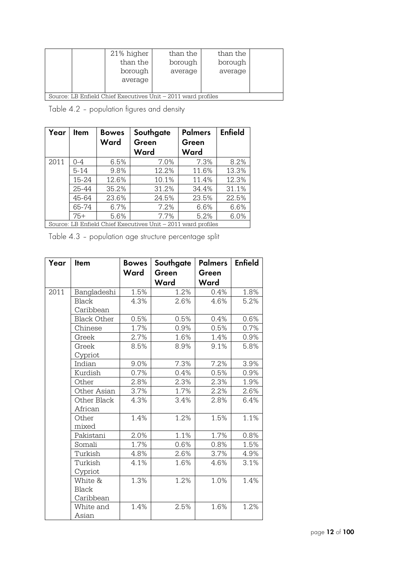|                                                               |  | 21% higher | than the | than the |  |
|---------------------------------------------------------------|--|------------|----------|----------|--|
|                                                               |  | than the   | borough  | borough  |  |
|                                                               |  | borough    | average  | average  |  |
|                                                               |  | average    |          |          |  |
|                                                               |  |            |          |          |  |
| Source: LB Enfield Chief Executives Unit – 2011 ward profiles |  |            |          |          |  |

Table 4.2 – population figures and density

| Year | Item     | <b>Bowes</b><br>Ward | Southgate<br>Green<br>Ward                                    | <b>Palmers</b><br>Green<br>Ward | <b>Enfield</b> |
|------|----------|----------------------|---------------------------------------------------------------|---------------------------------|----------------|
| 2011 | $0 - 4$  | 6.5%                 | 7.0%                                                          | 7.3%                            | 8.2%           |
|      | $5 - 14$ | 9.8%                 | 12.2%                                                         | 11.6%                           | 13.3%          |
|      | 15-24    | 12.6%                | 10.1%                                                         | 11.4%                           | 12.3%          |
|      | 25-44    | 35.2%                | 31.2%                                                         | 34.4%                           | 31.1%          |
|      | 45-64    | 23.6%                | 24.5%                                                         | 23.5%                           | 22.5%          |
|      | 65-74    | 6.7%                 | 7.2%                                                          | 6.6%                            | 6.6%           |
|      | $75+$    | 5.6%                 | 7.7%                                                          | 5.2%                            | 6.0%           |
|      |          |                      | Source: LB Enfield Chief Executives Unit – 2011 ward profiles |                                 |                |

Table 4.3 – population age structure percentage split

| Year | Item               | <b>Bowes</b> | Southgate | <b>Palmers</b> | <b>Enfield</b> |
|------|--------------------|--------------|-----------|----------------|----------------|
|      |                    | Ward         | Green     | Green          |                |
|      |                    |              | Ward      | Ward           |                |
| 2011 | Bangladeshi        | 1.5%         | 1.2%      | 0.4%           | 1.8%           |
|      | <b>Black</b>       | 4.3%         | 2.6%      | 4.6%           | 5.2%           |
|      | Caribbean          |              |           |                |                |
|      | <b>Black Other</b> | 0.5%         | 0.5%      | 0.4%           | 0.6%           |
|      | Chinese            | 1.7%         | 0.9%      | 0.5%           | 0.7%           |
|      | Greek              | 2.7%         | 1.6%      | 1.4%           | 0.9%           |
|      | Greek              | 8.5%         | 8.9%      | 9.1%           | 5.8%           |
|      | Cypriot            |              |           |                |                |
|      | Indian             | 9.0%         | 7.3%      | 7.2%           | 3.9%           |
|      | Kurdish            | 0.7%         | 0.4%      | 0.5%           | 0.9%           |
|      | Other              | 2.8%         | 2.3%      | 2.3%           | 1.9%           |
|      | Other Asian        | 3.7%         | 1.7%      | 2.2%           | 2.6%           |
|      | Other Black        | 4.3%         | 3.4%      | 2.8%           | 6.4%           |
|      | African            |              |           |                |                |
|      | Other              | 1.4%         | 1.2%      | 1.5%           | 1.1%           |
|      | mixed              |              |           |                |                |
|      | Pakistani          | 2.0%         | 1.1%      | 1.7%           | 0.8%           |
|      | Somali             | 1.7%         | 0.6%      | 0.8%           | 1.5%           |
|      | Turkish            | 4.8%         | 2.6%      | 3.7%           | 4.9%           |
|      | Turkish            | 4.1%         | 1.6%      | 4.6%           | 3.1%           |
|      | Cypriot            |              |           |                |                |
|      | White &            | 1.3%         | 1.2%      | 1.0%           | 1.4%           |
|      | <b>Black</b>       |              |           |                |                |
|      | Caribbean          |              |           |                |                |
|      | White and          | 1.4%         | 2.5%      | 1.6%           | 1.2%           |
|      | Asian              |              |           |                |                |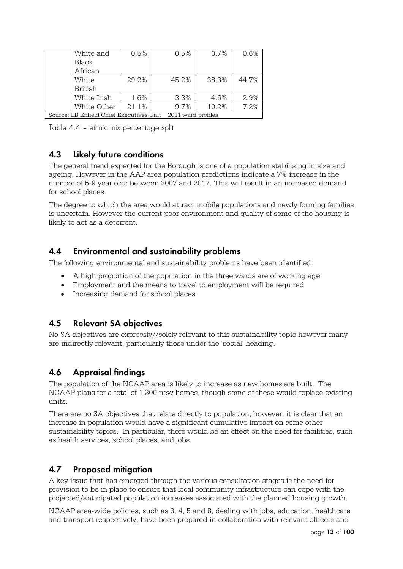|                                                               | White and   | 0.5%  | 0.5%  | 0.7%  | 0.6%  |  |  |  |
|---------------------------------------------------------------|-------------|-------|-------|-------|-------|--|--|--|
|                                                               | Black       |       |       |       |       |  |  |  |
|                                                               | African     |       |       |       |       |  |  |  |
|                                                               | White       | 29.2% | 45.2% | 38.3% | 44.7% |  |  |  |
|                                                               | British     |       |       |       |       |  |  |  |
|                                                               | White Irish | 1.6%  | 3.3%  | 4.6%  | 2.9%  |  |  |  |
|                                                               | White Other | 21.1% | 9.7%  | 10.2% | 7.2%  |  |  |  |
| Source: LB Enfield Chief Executives Unit - 2011 ward profiles |             |       |       |       |       |  |  |  |

Table 4.4 – ethnic mix percentage split

### **4.3 Likely future conditions**

The general trend expected for the Borough is one of a population stabilising in size and ageing. However in the AAP area population predictions indicate a 7% increase in the number of 5-9 year olds between 2007 and 2017. This will result in an increased demand for school places.

The degree to which the area would attract mobile populations and newly forming families is uncertain. However the current poor environment and quality of some of the housing is likely to act as a deterrent.

#### **4.4 Environmental and sustainability problems**

The following environmental and sustainability problems have been identified:

- A high proportion of the population in the three wards are of working age
- Employment and the means to travel to employment will be required
- Increasing demand for school places

#### **4.5 Relevant SA objectives**

No SA objectives are expressly//solely relevant to this sustainability topic however many are indirectly relevant, particularly those under the 'social' heading.

## **4.6 Appraisal findings**

The population of the NCAAP area is likely to increase as new homes are built. The NCAAP plans for a total of 1,300 new homes, though some of these would replace existing units.

There are no SA objectives that relate directly to population; however, it is clear that an increase in population would have a significant cumulative impact on some other sustainability topics. In particular, there would be an effect on the need for facilities, such as health services, school places, and jobs.

#### **4.7 Proposed mitigation**

A key issue that has emerged through the various consultation stages is the need for provision to be in place to ensure that local community infrastructure can cope with the projected/anticipated population increases associated with the planned housing growth.

NCAAP area-wide policies, such as 3, 4, 5 and 8, dealing with jobs, education, healthcare and transport respectively, have been prepared in collaboration with relevant officers and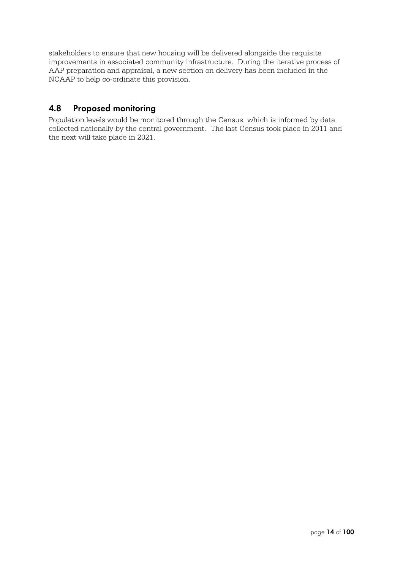stakeholders to ensure that new housing will be delivered alongside the requisite improvements in associated community infrastructure. During the iterative process of AAP preparation and appraisal, a new section on delivery has been included in the NCAAP to help co-ordinate this provision.

### **4.8 Proposed monitoring**

Population levels would be monitored through the Census, which is informed by data collected nationally by the central government. The last Census took place in 2011 and the next will take place in 2021.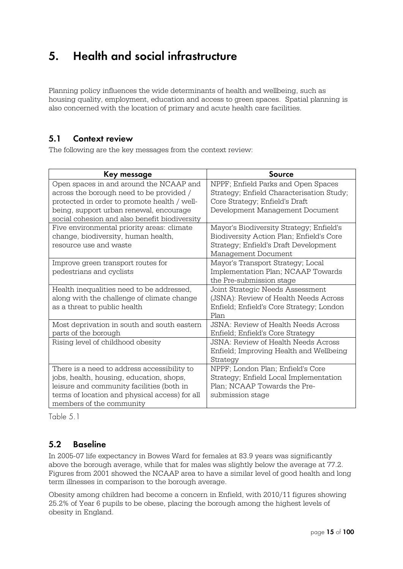## **5. Health and social infrastructure**

Planning policy influences the wide determinants of health and wellbeing, such as housing quality, employment, education and access to green spaces. Spatial planning is also concerned with the location of primary and acute health care facilities.

#### **5.1 Context review**

The following are the key messages from the context review:

| Key message                                                                                                                                                                                                        | <b>Source</b>                                                                                                                                        |
|--------------------------------------------------------------------------------------------------------------------------------------------------------------------------------------------------------------------|------------------------------------------------------------------------------------------------------------------------------------------------------|
| Open spaces in and around the NCAAP and<br>across the borough need to be provided /                                                                                                                                | NPPF; Enfield Parks and Open Spaces<br>Strategy; Enfield Characterisation Study;                                                                     |
| protected in order to promote health / well-<br>being, support urban renewal, encourage<br>social cohesion and also benefit biodiversity                                                                           | Core Strategy; Enfield's Draft<br>Development Management Document                                                                                    |
| Five environmental priority areas: climate<br>change, biodiversity, human health,<br>resource use and waste                                                                                                        | Mayor's Biodiversity Strategy; Enfield's<br>Biodiversity Action Plan; Enfield's Core<br>Strategy; Enfield's Draft Development<br>Management Document |
| Improve green transport routes for<br>pedestrians and cyclists                                                                                                                                                     | Mayor's Transport Strategy; Local<br>Implementation Plan; NCAAP Towards<br>the Pre-submission stage                                                  |
| Health inequalities need to be addressed,<br>along with the challenge of climate change<br>as a threat to public health                                                                                            | Joint Strategic Needs Assessment<br>(JSNA): Review of Health Needs Across<br>Enfield; Enfield's Core Strategy; London<br>Plan                        |
| Most deprivation in south and south eastern<br>parts of the borough                                                                                                                                                | <b>JSNA: Review of Health Needs Across</b><br>Enfield; Enfield's Core Strategy                                                                       |
| Rising level of childhood obesity                                                                                                                                                                                  | <b>JSNA: Review of Health Needs Across</b><br>Enfield; Improving Health and Wellbeing<br>Strategy                                                    |
| There is a need to address accessibility to<br>jobs, health, housing, education, shops,<br>leisure and community facilities (both in<br>terms of location and physical access) for all<br>members of the community | NPPF; London Plan; Enfield's Core<br>Strategy; Enfield Local Implementation<br>Plan; NCAAP Towards the Pre-<br>submission stage                      |

Table 5.1

#### **5.2 Baseline**

In 2005-07 life expectancy in Bowes Ward for females at 83.9 years was significantly above the borough average, while that for males was slightly below the average at 77.2. Figures from 2001 showed the NCAAP area to have a similar level of good health and long term illnesses in comparison to the borough average.

Obesity among children had become a concern in Enfield, with 2010/11 figures showing 25.2% of Year 6 pupils to be obese, placing the borough among the highest levels of obesity in England.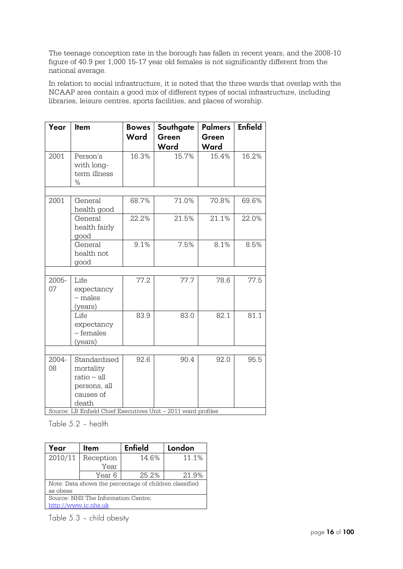The teenage conception rate in the borough has fallen in recent years, and the 2008-10 figure of 40.9 per 1,000 15-17 year old females is not significantly different from the national average.

In relation to social infrastructure, it is noted that the three wards that overlap with the NCAAP area contain a good mix of different types of social infrastructure, including libraries, leisure centres, sports facilities, and places of worship.

| Year        | Item                                                                    | <b>Bowes</b><br>Ward | Southgate<br>Green<br>Ward | <b>Palmers</b><br>Green<br>Ward | <b>Enfield</b> |
|-------------|-------------------------------------------------------------------------|----------------------|----------------------------|---------------------------------|----------------|
| 2001        | Person's<br>with long-<br>term illness<br>$\%$                          | 16.3%                | 15.7%                      | 15.4%                           | 16.2%          |
|             |                                                                         |                      |                            |                                 |                |
| 2001        | General<br>health good                                                  | 68.7%                | 71.0%                      | 70.8%                           | 69.6%          |
|             | General<br>health fairly<br>good                                        | 22.2%                | 21.5%                      | 21.1%                           | 22.0%          |
|             | General<br>health not<br>good                                           | 9.1%                 | 7.5%                       | 8.1%                            | 8.5%           |
|             |                                                                         |                      |                            |                                 |                |
| 2005-<br>07 | Life<br>expectancy<br>$-$ males<br>(years)                              | 77.2                 | 77.7                       | 78.6                            | 77.5           |
|             | Life<br>expectancy<br>- females<br>(years)                              | 83.9                 | 83.0                       | 82.1                            | 81.1           |
|             |                                                                         |                      |                            |                                 |                |
| 2004-<br>08 | Standardised<br>mortality<br>$ratio - all$<br>persons, all<br>causes of | 92.6                 | 90.4                       | 92.0                            | 95.5           |
|             | death<br>Source: LB Enfield Chief Executives Unit - 2011 ward profiles  |                      |                            |                                 |                |

Table 5.2 – health

| Year<br>Item                                           |           | <b>Enfield</b> | London |  |  |  |
|--------------------------------------------------------|-----------|----------------|--------|--|--|--|
| 2010/11                                                | Reception | 14.6%          | 11.1%  |  |  |  |
|                                                        | Year      |                |        |  |  |  |
|                                                        | Year 6    | 25.2%          | 21.9%  |  |  |  |
| Note: Data shows the percentage of children classified |           |                |        |  |  |  |
| as obese                                               |           |                |        |  |  |  |
| Source: NHS The Information Centre;                    |           |                |        |  |  |  |
| http://www.ic.nhs.uk                                   |           |                |        |  |  |  |

Table 5.3 – child obesity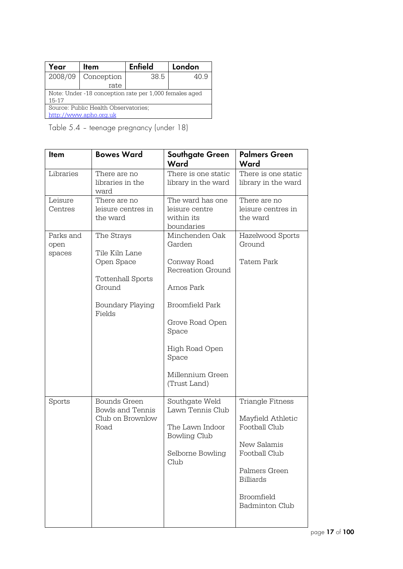| Year                                                              | Item       |      | London |  |  |  |  |
|-------------------------------------------------------------------|------------|------|--------|--|--|--|--|
| 2008/09                                                           | Conception | 38.5 | 40.9   |  |  |  |  |
|                                                                   | rate       |      |        |  |  |  |  |
| Note: Under -18 conception rate per 1,000 females aged<br>$15-17$ |            |      |        |  |  |  |  |
| Source: Public Health Observatories;                              |            |      |        |  |  |  |  |
| http://www.apho.org.uk                                            |            |      |        |  |  |  |  |
|                                                                   |            |      |        |  |  |  |  |

Table 5.4 – teenage pregnancy (under 18)

| <b>Item</b>                 | <b>Bowes Ward</b>                                                                                       | <b>Southgate Green</b>                                                                                                                                                                   | <b>Palmers Green</b>                                                                                                                                               |
|-----------------------------|---------------------------------------------------------------------------------------------------------|------------------------------------------------------------------------------------------------------------------------------------------------------------------------------------------|--------------------------------------------------------------------------------------------------------------------------------------------------------------------|
|                             |                                                                                                         | Ward                                                                                                                                                                                     | Ward                                                                                                                                                               |
| Libraries                   | There are no<br>libraries in the<br>ward                                                                | There is one static<br>library in the ward                                                                                                                                               | There is one static<br>library in the ward                                                                                                                         |
| Leisure<br>Centres          | There are no<br>leisure centres in<br>the ward                                                          | The ward has one<br>leisure centre<br>within its<br>boundaries                                                                                                                           | There are no<br>leisure centres in<br>the ward                                                                                                                     |
| Parks and<br>open<br>spaces | The Strays<br>Tile Kiln Lane<br>Open Space<br>Tottenhall Sports<br>Ground<br>Boundary Playing<br>Fields | Minchenden Oak<br>Garden<br>Conway Road<br>Recreation Ground<br>Arnos Park<br>Broomfield Park<br>Grove Road Open<br>Space<br>High Road Open<br>Space<br>Millennium Green<br>(Trust Land) | Hazelwood Sports<br>Ground<br>Tatem Park                                                                                                                           |
| Sports                      | <b>Bounds Green</b><br><b>Bowls and Tennis</b><br>Club on Brownlow<br>Road                              | Southgate Weld<br>Lawn Tennis Club<br>The Lawn Indoor<br><b>Bowling Club</b><br>Selborne Bowling<br>Club                                                                                 | Triangle Fitness<br>Mayfield Athletic<br>Football Club<br>New Salamis<br>Football Club<br>Palmers Green<br><b>Billiards</b><br>Broomfield<br><b>Badminton Club</b> |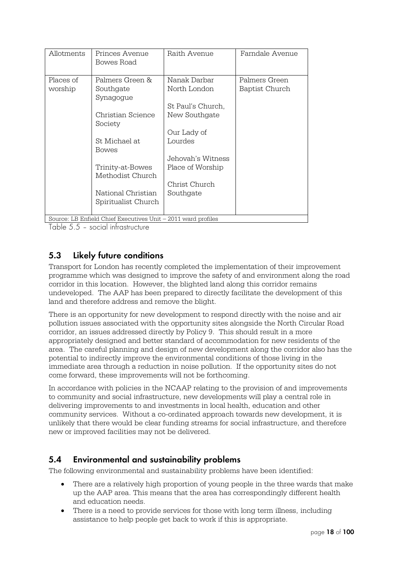| Princes Avenue<br>Bowes Road         | Raith Avenue                                                                                                                       | Farndale Avenue |
|--------------------------------------|------------------------------------------------------------------------------------------------------------------------------------|-----------------|
| Palmers Green &                      | Nanak Darbar                                                                                                                       | Palmers Green   |
| Southgate                            | North London                                                                                                                       | Baptist Church  |
|                                      | St Paul's Church,                                                                                                                  |                 |
| Christian Science                    | New Southgate                                                                                                                      |                 |
|                                      |                                                                                                                                    |                 |
| St Michael at<br><b>Bowes</b>        | Lourdes                                                                                                                            |                 |
|                                      | Jehovah's Witness                                                                                                                  |                 |
| Trinity-at-Bowes<br>Methodist Church | Place of Worship                                                                                                                   |                 |
|                                      | Christ Church                                                                                                                      |                 |
| National Christian                   | Southgate                                                                                                                          |                 |
| Spiritualist Church                  |                                                                                                                                    |                 |
|                                      | Synagogue<br>Society<br>$O_{\text{average}}$ , $\text{ID}$ , $\text{Data}$ and $O_{\text{height}}$ $\text{Distance}$ $\text{Data}$ | Our Lady of     |

Source: LB Enfield Chief Executives Unit – 2011 ward profiles

Table 5.5 – social infrastructure

#### **5.3 Likely future conditions**

Transport for London has recently completed the implementation of their improvement programme which was designed to improve the safety of and environment along the road corridor in this location. However, the blighted land along this corridor remains undeveloped. The AAP has been prepared to directly facilitate the development of this land and therefore address and remove the blight.

There is an opportunity for new development to respond directly with the noise and air pollution issues associated with the opportunity sites alongside the North Circular Road corridor, an issues addressed directly by Policy 9. This should result in a more appropriately designed and better standard of accommodation for new residents of the area. The careful planning and design of new development along the corridor also has the potential to indirectly improve the environmental conditions of those living in the immediate area through a reduction in noise pollution. If the opportunity sites do not come forward, these improvements will not be forthcoming.

In accordance with policies in the NCAAP relating to the provision of and improvements to community and social infrastructure, new developments will play a central role in delivering improvements to and investments in local health, education and other community services. Without a co-ordinated approach towards new development, it is unlikely that there would be clear funding streams for social infrastructure, and therefore new or improved facilities may not be delivered.

## **5.4 Environmental and sustainability problems**

The following environmental and sustainability problems have been identified:

- There are a relatively high proportion of young people in the three wards that make up the AAP area. This means that the area has correspondingly different health and education needs.
- There is a need to provide services for those with long term illness, including assistance to help people get back to work if this is appropriate.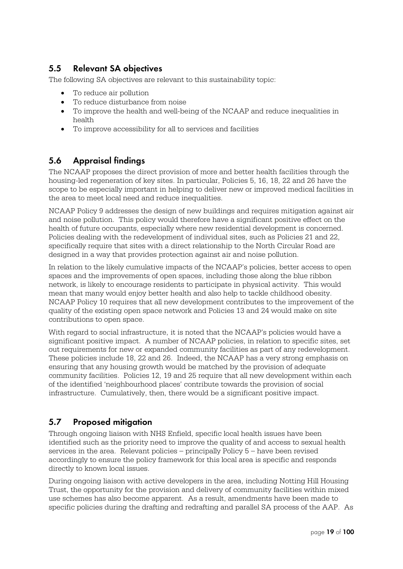## **5.5 Relevant SA objectives**

The following SA objectives are relevant to this sustainability topic:

- To reduce air pollution
- To reduce disturbance from noise
- To improve the health and well-being of the NCAAP and reduce inequalities in health
- To improve accessibility for all to services and facilities

### **5.6 Appraisal findings**

The NCAAP proposes the direct provision of more and better health facilities through the housing-led regeneration of key sites. In particular, Policies 5, 16, 18, 22 and 26 have the scope to be especially important in helping to deliver new or improved medical facilities in the area to meet local need and reduce inequalities.

NCAAP Policy 9 addresses the design of new buildings and requires mitigation against air and noise pollution. This policy would therefore have a significant positive effect on the health of future occupants, especially where new residential development is concerned. Policies dealing with the redevelopment of individual sites, such as Policies 21 and 22, specifically require that sites with a direct relationship to the North Circular Road are designed in a way that provides protection against air and noise pollution.

In relation to the likely cumulative impacts of the NCAAP's policies, better access to open spaces and the improvements of open spaces, including those along the blue ribbon network, is likely to encourage residents to participate in physical activity. This would mean that many would enjoy better health and also help to tackle childhood obesity. NCAAP Policy 10 requires that all new development contributes to the improvement of the quality of the existing open space network and Policies 13 and 24 would make on site contributions to open space.

With regard to social infrastructure, it is noted that the NCAAP's policies would have a significant positive impact. A number of NCAAP policies, in relation to specific sites, set out requirements for new or expanded community facilities as part of any redevelopment. These policies include 18, 22 and 26. Indeed, the NCAAP has a very strong emphasis on ensuring that any housing growth would be matched by the provision of adequate community facilities. Policies 12, 19 and 25 require that all new development within each of the identified 'neighbourhood places' contribute towards the provision of social infrastructure. Cumulatively, then, there would be a significant positive impact.

## **5.7 Proposed mitigation**

Through ongoing liaison with NHS Enfield, specific local health issues have been identified such as the priority need to improve the quality of and access to sexual health services in the area. Relevant policies – principally Policy 5 – have been revised accordingly to ensure the policy framework for this local area is specific and responds directly to known local issues.

During ongoing liaison with active developers in the area, including Notting Hill Housing Trust, the opportunity for the provision and delivery of community facilities within mixed use schemes has also become apparent. As a result, amendments have been made to specific policies during the drafting and redrafting and parallel SA process of the AAP. As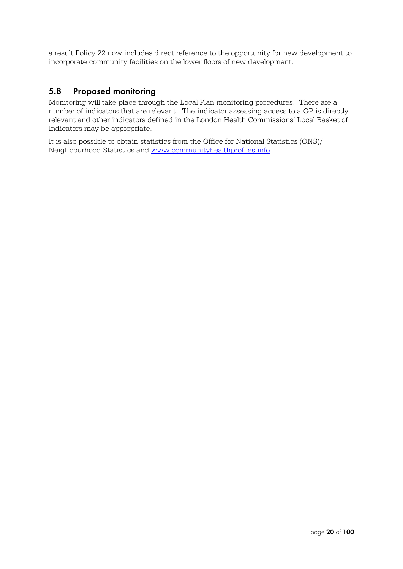a result Policy 22 now includes direct reference to the opportunity for new development to incorporate community facilities on the lower floors of new development.

#### **5.8 Proposed monitoring**

Monitoring will take place through the Local Plan monitoring procedures. There are a number of indicators that are relevant. The indicator assessing access to a GP is directly relevant and other indicators defined in the London Health Commissions' Local Basket of Indicators may be appropriate.

It is also possible to obtain statistics from the Office for National Statistics (ONS)/ Neighbourhood Statistics and www.communityhealthprofiles.info.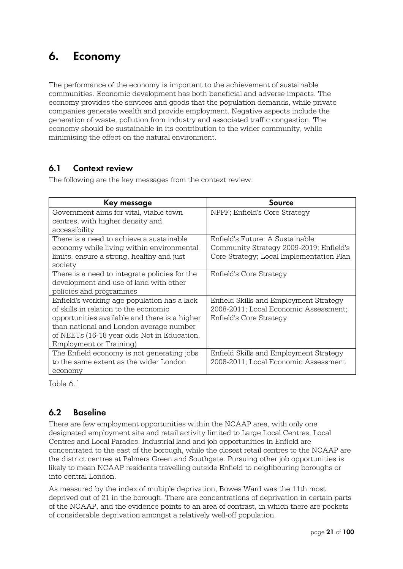## **6. Economy**

The performance of the economy is important to the achievement of sustainable communities. Economic development has both beneficial and adverse impacts. The economy provides the services and goods that the population demands, while private companies generate wealth and provide employment. Negative aspects include the generation of waste, pollution from industry and associated traffic congestion. The economy should be sustainable in its contribution to the wider community, while minimising the effect on the natural environment.

### **6.1 Context review**

The following are the key messages from the context review:

| Key message                                   | Source                                   |
|-----------------------------------------------|------------------------------------------|
| Government aims for vital, viable town        | NPPF; Enfield's Core Strategy            |
| centres, with higher density and              |                                          |
| accessibility                                 |                                          |
| There is a need to achieve a sustainable      | Enfield's Future: A Sustainable          |
| economy while living within environmental     | Community Strategy 2009-2019; Enfield's  |
| limits, ensure a strong, healthy and just     | Core Strategy; Local Implementation Plan |
| society                                       |                                          |
| There is a need to integrate policies for the | Enfield's Core Strategy                  |
| development and use of land with other        |                                          |
| policies and programmes                       |                                          |
| Enfield's working age population has a lack   | Enfield Skills and Employment Strategy   |
| of skills in relation to the economic         | 2008-2011; Local Economic Assessment;    |
| opportunities available and there is a higher | Enfield's Core Strategy                  |
| than national and London average number       |                                          |
| of NEETs (16-18 year olds Not in Education,   |                                          |
| Employment or Training)                       |                                          |
| The Enfield economy is not generating jobs    | Enfield Skills and Employment Strategy   |
| to the same extent as the wider London        | 2008-2011; Local Economic Assessment     |
| economy                                       |                                          |

Table 6.1

## **6.2 Baseline**

There are few employment opportunities within the NCAAP area, with only one designated employment site and retail activity limited to Large Local Centres, Local Centres and Local Parades. Industrial land and job opportunities in Enfield are concentrated to the east of the borough, while the closest retail centres to the NCAAP are the district centres at Palmers Green and Southgate. Pursuing other job opportunities is likely to mean NCAAP residents travelling outside Enfield to neighbouring boroughs or into central London.

As measured by the index of multiple deprivation, Bowes Ward was the 11th most deprived out of 21 in the borough. There are concentrations of deprivation in certain parts of the NCAAP, and the evidence points to an area of contrast, in which there are pockets of considerable deprivation amongst a relatively well-off population.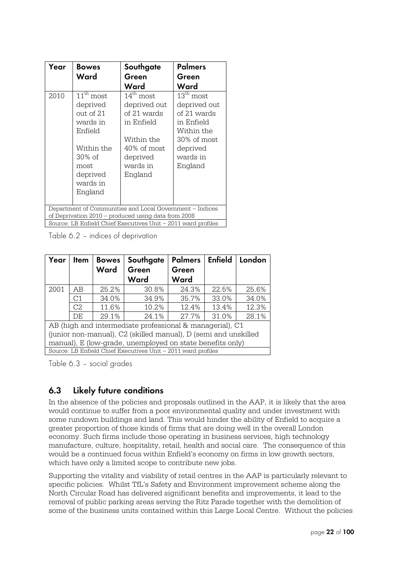| Year | <b>Bowes</b>                                                                                                                                | Southgate                                                                                                                          | <b>Palmers</b>                                                                                                                     |
|------|---------------------------------------------------------------------------------------------------------------------------------------------|------------------------------------------------------------------------------------------------------------------------------------|------------------------------------------------------------------------------------------------------------------------------------|
|      | Ward                                                                                                                                        | Green                                                                                                                              | Green                                                                                                                              |
|      |                                                                                                                                             | Ward                                                                                                                               | Ward                                                                                                                               |
| 2010 | $11^{\text{th}}$ most<br>deprived<br>out of 21<br>wards in<br>Enfield<br>Within the<br>$30\%$ of<br>most<br>deprived<br>wards in<br>England | $14^{\text{th}}$ most<br>deprived out<br>of 21 wards<br>in Enfield<br>Within the<br>40% of most<br>deprived<br>wards in<br>England | $13^{\text{th}}$ most<br>deprived out<br>of 21 wards<br>in Enfield<br>Within the<br>30% of most<br>deprived<br>wards in<br>England |
|      |                                                                                                                                             | Department of Communities and Local Government - Indices                                                                           |                                                                                                                                    |
|      |                                                                                                                                             | of Deprivation 2010 – produced using data from 2008                                                                                |                                                                                                                                    |
|      |                                                                                                                                             | Source: LB Enfield Chief Executives Unit – 2011 ward profiles                                                                      |                                                                                                                                    |

Table 6.2 – indices of deprivation

| Year                                                            | Item           | <b>Bowes</b><br>Ward | Southgate<br>Green<br>Ward                                    | <b>Palmers</b><br>Green<br>Ward | <b>Enfield</b> | London |
|-----------------------------------------------------------------|----------------|----------------------|---------------------------------------------------------------|---------------------------------|----------------|--------|
| 2001                                                            | AB             | 25.2%                | 30.8%                                                         | 24.3%                           | 22.5%          | 25.6%  |
|                                                                 | C <sub>1</sub> | 34.0%                | 34.9%                                                         | 35.7%                           | 33.0%          | 34.0%  |
|                                                                 | C <sub>2</sub> | 11.6%                | 10.2%                                                         | 12.4%                           | 13.4%          | 12.3%  |
|                                                                 | DF             | 29.1%                | 24.1%                                                         | 27.7%                           | 31.0%          | 28.1%  |
|                                                                 |                |                      | AB (high and intermediate professional & managerial), C1      |                                 |                |        |
| (junior non-manual), C2 (skilled manual), D (semi and unskilled |                |                      |                                                               |                                 |                |        |
|                                                                 |                |                      | manual), E (low-grade, unemployed on state benefits only)     |                                 |                |        |
|                                                                 |                |                      | Source: LB Enfield Chief Executives Unit - 2011 ward profiles |                                 |                |        |

Table 6.3 – social grades

## **6.3 Likely future conditions**

In the absence of the policies and proposals outlined in the AAP, it is likely that the area would continue to suffer from a poor environmental quality and under investment with some rundown buildings and land. This would hinder the ability of Enfield to acquire a greater proportion of those kinds of firms that are doing well in the overall London economy. Such firms include those operating in business services, high technology manufacture, culture, hospitality, retail, health and social care. The consequence of this would be a continued focus within Enfield's economy on firms in low growth sectors, which have only a limited scope to contribute new jobs.

Supporting the vitality and viability of retail centres in the AAP is particularly relevant to specific policies. Whilst TfL's Safety and Environment improvement scheme along the North Circular Road has delivered significant benefits and improvements, it lead to the removal of public parking areas serving the Ritz Parade together with the demolition of some of the business units contained within this Large Local Centre. Without the policies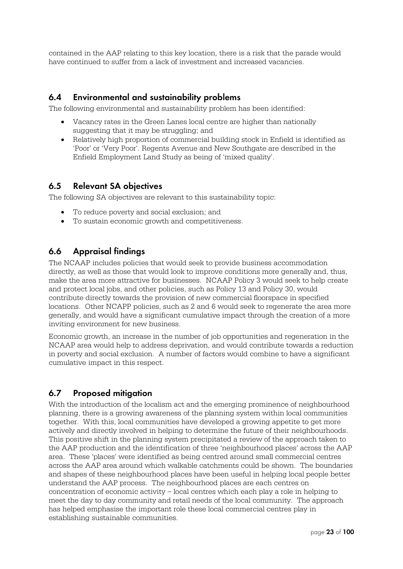contained in the AAP relating to this key location, there is a risk that the parade would have continued to suffer from a lack of investment and increased vacancies.

#### **6.4 Environmental and sustainability problems**

The following environmental and sustainability problem has been identified:

- Vacancy rates in the Green Lanes local centre are higher than nationally suggesting that it may be struggling; and
- Relatively high proportion of commercial building stock in Enfield is identified as 'Poor' or 'Very Poor'. Regents Avenue and New Southgate are described in the Enfield Employment Land Study as being of 'mixed quality'.

#### **6.5 Relevant SA objectives**

The following SA objectives are relevant to this sustainability topic:

- To reduce poverty and social exclusion; and
- To sustain economic growth and competitiveness.

#### **6.6 Appraisal findings**

The NCAAP includes policies that would seek to provide business accommodation directly, as well as those that would look to improve conditions more generally and, thus, make the area more attractive for businesses. NCAAP Policy 3 would seek to help create and protect local jobs, and other policies, such as Policy 13 and Policy 30, would contribute directly towards the provision of new commercial floorspace in specified locations. Other NCAPP policies, such as 2 and 6 would seek to regenerate the area more generally, and would have a significant cumulative impact through the creation of a more inviting environment for new business.

Economic growth, an increase in the number of job opportunities and regeneration in the NCAAP area would help to address deprivation, and would contribute towards a reduction in poverty and social exclusion. A number of factors would combine to have a significant cumulative impact in this respect.

#### **6.7 Proposed mitigation**

With the introduction of the localism act and the emerging prominence of neighbourhood planning, there is a growing awareness of the planning system within local communities together. With this, local communities have developed a growing appetite to get more actively and directly involved in helping to determine the future of their neighbourhoods. This positive shift in the planning system precipitated a review of the approach taken to the AAP production and the identification of three 'neighbourhood places' across the AAP area. These 'places' were identified as being centred around small commercial centres across the AAP area around which walkable catchments could be shown. The boundaries and shapes of these neighbourhood places have been useful in helping local people better understand the AAP process. The neighbourhood places are each centres on concentration of economic activity – local centres which each play a role in helping to meet the day to day community and retail needs of the local community. The approach has helped emphasise the important role these local commercial centres play in establishing sustainable communities.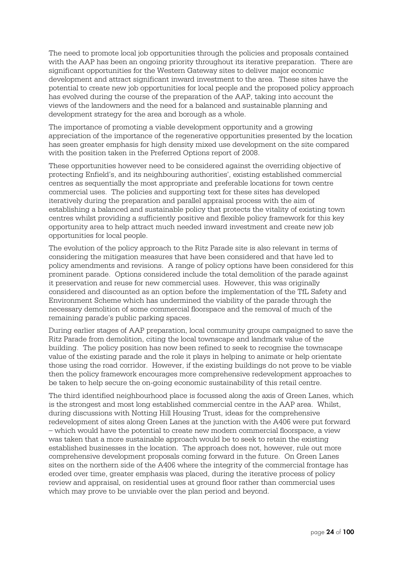The need to promote local job opportunities through the policies and proposals contained with the AAP has been an ongoing priority throughout its iterative preparation. There are significant opportunities for the Western Gateway sites to deliver major economic development and attract significant inward investment to the area. These sites have the potential to create new job opportunities for local people and the proposed policy approach has evolved during the course of the preparation of the AAP, taking into account the views of the landowners and the need for a balanced and sustainable planning and development strategy for the area and borough as a whole.

The importance of promoting a viable development opportunity and a growing appreciation of the importance of the regenerative opportunities presented by the location has seen greater emphasis for high density mixed use development on the site compared with the position taken in the Preferred Options report of 2008.

These opportunities however need to be considered against the overriding objective of protecting Enfield's, and its neighbouring authorities', existing established commercial centres as sequentially the most appropriate and preferable locations for town centre commercial uses. The policies and supporting text for these sites has developed iteratively during the preparation and parallel appraisal process with the aim of establishing a balanced and sustainable policy that protects the vitality of existing town centres whilst providing a sufficiently positive and flexible policy framework for this key opportunity area to help attract much needed inward investment and create new job opportunities for local people.

The evolution of the policy approach to the Ritz Parade site is also relevant in terms of considering the mitigation measures that have been considered and that have led to policy amendments and revisions. A range of policy options have been considered for this prominent parade. Options considered include the total demolition of the parade against it preservation and reuse for new commercial uses. However, this was originally considered and discounted as an option before the implementation of the TfL Safety and Environment Scheme which has undermined the viability of the parade through the necessary demolition of some commercial floorspace and the removal of much of the remaining parade's public parking spaces.

During earlier stages of AAP preparation, local community groups campaigned to save the Ritz Parade from demolition, citing the local townscape and landmark value of the building. The policy position has now been refined to seek to recognise the townscape value of the existing parade and the role it plays in helping to animate or help orientate those using the road corridor. However, if the existing buildings do not prove to be viable then the policy framework encourages more comprehensive redevelopment approaches to be taken to help secure the on-going economic sustainability of this retail centre.

The third identified neighbourhood place is focussed along the axis of Green Lanes, which is the strongest and most long established commercial centre in the AAP area. Whilst, during discussions with Notting Hill Housing Trust, ideas for the comprehensive redevelopment of sites along Green Lanes at the junction with the A406 were put forward – which would have the potential to create new modern commercial floorspace, a view was taken that a more sustainable approach would be to seek to retain the existing established businesses in the location. The approach does not, however, rule out more comprehensive development proposals coming forward in the future. On Green Lanes sites on the northern side of the A406 where the integrity of the commercial frontage has eroded over time, greater emphasis was placed, during the iterative process of policy review and appraisal, on residential uses at ground floor rather than commercial uses which may prove to be unviable over the plan period and beyond.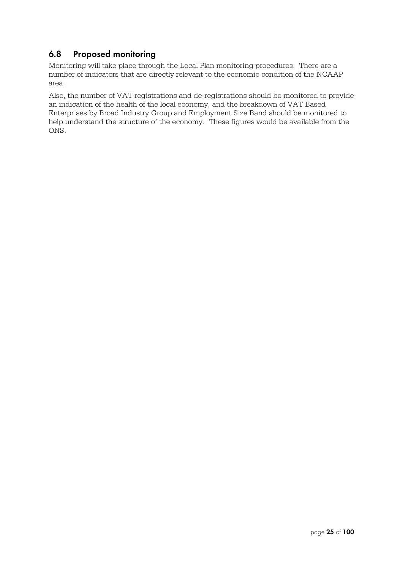## **6.8 Proposed monitoring**

Monitoring will take place through the Local Plan monitoring procedures. There are a number of indicators that are directly relevant to the economic condition of the NCAAP area.

Also, the number of VAT registrations and de-registrations should be monitored to provide an indication of the health of the local economy, and the breakdown of VAT Based Enterprises by Broad Industry Group and Employment Size Band should be monitored to help understand the structure of the economy. These figures would be available from the ONS.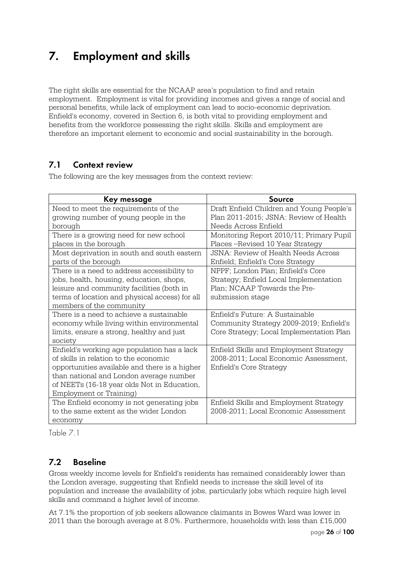## **7. Employment and skills**

The right skills are essential for the NCAAP area's population to find and retain employment. Employment is vital for providing incomes and gives a range of social and personal benefits, while lack of employment can lead to socio-economic deprivation. Enfield's economy, covered in Section 6, is both vital to providing employment and benefits from the workforce possessing the right skills. Skills and employment are therefore an important element to economic and social sustainability in the borough.

## **7.1 Context review**

The following are the key messages from the context review:

| Key message                                    | Source                                    |
|------------------------------------------------|-------------------------------------------|
| Need to meet the requirements of the           | Draft Enfield Children and Young People's |
| growing number of young people in the          | Plan 2011-2015; JSNA: Review of Health    |
| borough                                        | Needs Across Enfield                      |
| There is a growing need for new school         | Monitoring Report 2010/11; Primary Pupil  |
| places in the borough                          | Places – Revised 10 Year Strategy         |
| Most deprivation in south and south eastern    | JSNA: Review of Health Needs Across       |
| parts of the borough                           | Enfield; Enfield's Core Strategy          |
| There is a need to address accessibility to    | NPPF; London Plan; Enfield's Core         |
| jobs, health, housing, education, shops,       | Strategy; Enfield Local Implementation    |
| leisure and community facilities (both in      | Plan; NCAAP Towards the Pre-              |
| terms of location and physical access) for all | submission stage                          |
| members of the community                       |                                           |
| There is a need to achieve a sustainable       | Enfield's Future: A Sustainable           |
| economy while living within environmental      | Community Strategy 2009-2019; Enfield's   |
| limits, ensure a strong, healthy and just      | Core Strategy; Local Implementation Plan  |
| society                                        |                                           |
| Enfield's working age population has a lack    | Enfield Skills and Employment Strategy    |
| of skills in relation to the economic          | 2008-2011; Local Economic Assessment,     |
| opportunities available and there is a higher  | Enfield's Core Strategy                   |
| than national and London average number        |                                           |
| of NEETs (16-18 year olds Not in Education,    |                                           |
| Employment or Training)                        |                                           |
| The Enfield economy is not generating jobs     | Enfield Skills and Employment Strategy    |
| to the same extent as the wider London         | 2008-2011; Local Economic Assessment      |
| economy                                        |                                           |

Table 7.1

## **7.2 Baseline**

Gross weekly income levels for Enfield's residents has remained considerably lower than the London average, suggesting that Enfield needs to increase the skill level of its population and increase the availability of jobs, particularly jobs which require high level skills and command a higher level of income.

At 7.1% the proportion of job seekers allowance claimants in Bowes Ward was lower in 2011 than the borough average at 8.0%. Furthermore, households with less than £15,000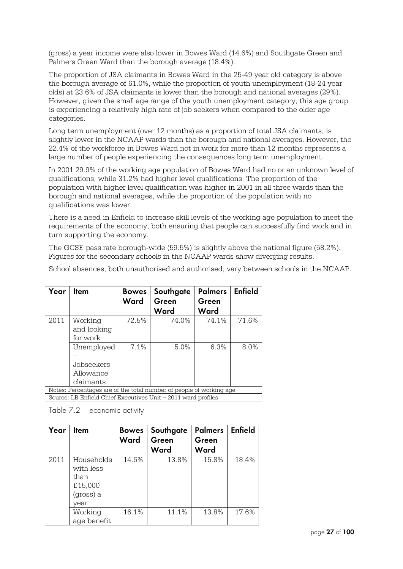(gross) a year income were also lower in Bowes Ward (14.6%) and Southgate Green and Palmers Green Ward than the borough average (18.4%).

The proportion of JSA claimants in Bowes Ward in the 25-49 year old category is above the borough average of 61.0%, while the proportion of youth unemployment (18-24 year olds) at 23.6% of JSA claimants is lower than the borough and national averages (29%). However, given the small age range of the youth unemployment category, this age group is experiencing a relatively high rate of job seekers when compared to the older age categories.

Long term unemployment (over 12 months) as a proportion of total JSA claimants, is slightly lower in the NCAAP wards than the borough and national averages. However, the 22.4% of the workforce in Bowes Ward not in work for more than 12 months represents a large number of people experiencing the consequences long term unemployment.

In 2001 29.9% of the working age population of Bowes Ward had no or an unknown level of qualifications, while 31.2% had higher level qualifications. The proportion of the population with higher level qualification was higher in 2001 in all three wards than the borough and national averages, while the proportion of the population with no qualifications was lower.

There is a need in Enfield to increase skill levels of the working age population to meet the requirements of the economy, both ensuring that people can successfully find work and in turn supporting the economy.

The GCSE pass rate borough-wide (59.5%) is slightly above the national figure (58.2%). Figures for the secondary schools in the NCAAP wards show diverging results.

School absences, both unauthorised and authorised, vary between schools in the NCAAP.

| Year | <b>I</b> tem                                                        | <b>Bowes</b><br>Ward | Southgate<br>Green<br>Ward | <b>Palmers</b><br>Green<br>Ward | <b>Enfield</b> |  |  |
|------|---------------------------------------------------------------------|----------------------|----------------------------|---------------------------------|----------------|--|--|
| 2011 | Working<br>and looking<br>for work                                  | 72.5%                | 74.0%                      | 74.1%                           | 71.6%          |  |  |
|      | Unemployed<br>Jobseekers<br>Allowance<br>claimants                  | 7.1%                 | 5.0%                       | 6.3%                            | 8.0%           |  |  |
|      | Notes: Percentages are of the total number of people of working age |                      |                            |                                 |                |  |  |
|      | Source: LB Enfield Chief Executives Unit - 2011 ward profiles       |                      |                            |                                 |                |  |  |

Table 7.2 – economic activity

| Year | Item                                                            | <b>Bowes</b><br>Ward | Southgate<br>Green<br>Ward | <b>Palmers</b><br>Green<br>Ward | <b>Enfield</b> |
|------|-----------------------------------------------------------------|----------------------|----------------------------|---------------------------------|----------------|
| 2011 | Households<br>with less<br>than<br>£15,000<br>(gross) a<br>vear | 14.6%                | 13.8%                      | 15.8%                           | 18.4%          |
|      | Working<br>age benefit                                          | 16.1%                | 11.1%                      | 13.8%                           | 17.6%          |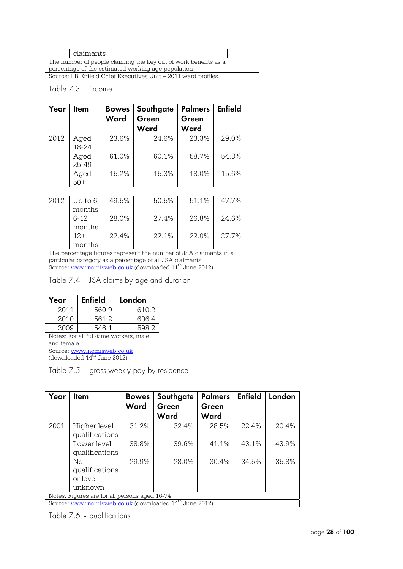|                                                    | claimants                                                       |  |  |  |  |  |
|----------------------------------------------------|-----------------------------------------------------------------|--|--|--|--|--|
|                                                    | The number of people claiming the key out of work benefits as a |  |  |  |  |  |
| percentage of the estimated working age population |                                                                 |  |  |  |  |  |
|                                                    | Source: LB Enfield Chief Executives Unit – 2011 ward profiles   |  |  |  |  |  |

#### Table 7.3 – income

| Year | Item              | <b>Bowes</b><br>Ward | Southgate<br>Green<br>Ward                                                                                                    | <b>Palmers</b><br>Green<br>Ward | <b>Enfield</b> |
|------|-------------------|----------------------|-------------------------------------------------------------------------------------------------------------------------------|---------------------------------|----------------|
| 2012 | Aged<br>18-24     | 23.6%                | 24.6%                                                                                                                         | 23.3%                           | 29.0%          |
|      | Aged<br>25-49     | 61.0%                | 60.1%                                                                                                                         | 58.7%                           | 54.8%          |
|      | Aged<br>$50+$     | 15.2%                | 15.3%                                                                                                                         | 18.0%                           | 15.6%          |
|      |                   |                      |                                                                                                                               |                                 |                |
| 2012 | Up to 6<br>months | 49.5%                | 50.5%                                                                                                                         | 51.1%                           | 47.7%          |
|      | 6-12<br>months    | 28.0%                | 27.4%                                                                                                                         | 26.8%                           | 24.6%          |
|      | $12+$<br>months   | 22.4%                | 22.1%                                                                                                                         | 22.0%                           | 27.7%          |
|      |                   |                      | The percentage figures represent the number of JSA claimants in a<br>particular category as a percentage of all JSA claimants |                                 |                |
|      |                   |                      | Source: <u>www.nomisweb.co.uk</u> (downloaded 11 <sup>th</sup> June 2012)                                                     |                                 |                |

Table 7.4 – JSA claims by age and duration

| <b>Enfield</b><br>Year                 |                               | London |  |  |  |
|----------------------------------------|-------------------------------|--------|--|--|--|
| 2011                                   | 560.9                         | 610.2  |  |  |  |
| 2010                                   | 561.2                         | 606.4  |  |  |  |
| 2009                                   | 546.1                         | 598.2  |  |  |  |
| Notes: For all full-time workers, male |                               |        |  |  |  |
| and female                             |                               |        |  |  |  |
| Source: www.nomisweb.co.uk             |                               |        |  |  |  |
|                                        | (downloaded $14th$ June 2012) |        |  |  |  |

Table 7.5 – gross weekly pay by residence

| Year | <b>I</b> tem                                                       | <b>Bowes</b><br>Ward | Southgate<br>Green | <b>Palmers</b><br>Green | <b>Enfield</b> | London |  |  |
|------|--------------------------------------------------------------------|----------------------|--------------------|-------------------------|----------------|--------|--|--|
|      |                                                                    |                      | Ward               | Ward                    |                |        |  |  |
| 2001 | Higher level                                                       | 31.2%                | 32.4%              | 28.5%                   | 22.4%          | 20.4%  |  |  |
|      | qualifications                                                     |                      |                    |                         |                |        |  |  |
|      | Lower level                                                        | 38.8%                | 39.6%              | 41.1%                   | 43.1%          | 43.9%  |  |  |
|      | qualifications                                                     |                      |                    |                         |                |        |  |  |
|      | $\overline{\text{No}}$                                             | 29.9%                | 28.0%              | 30.4%                   | 34.5%          | 35.8%  |  |  |
|      | qualifications                                                     |                      |                    |                         |                |        |  |  |
|      | or level                                                           |                      |                    |                         |                |        |  |  |
|      | unknown                                                            |                      |                    |                         |                |        |  |  |
|      | Notes: Figures are for all persons aged 16-74                      |                      |                    |                         |                |        |  |  |
|      | Source: www.nomisweb.co.uk (downloaded 14 <sup>th</sup> June 2012) |                      |                    |                         |                |        |  |  |

Table 7.6 – qualifications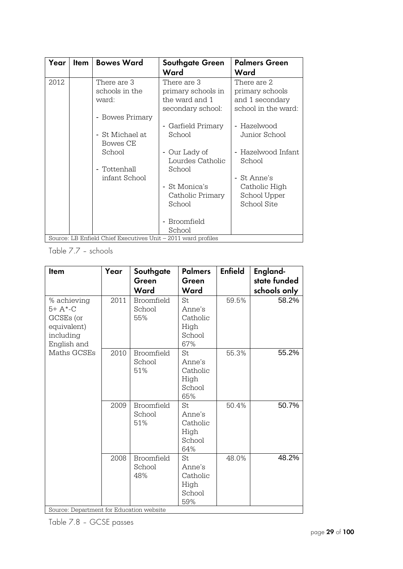| Year   | <b>Item</b> | <b>Bowes Ward</b>                                                 | <b>Southgate Green</b><br>Ward                                            | <b>Palmers Green</b><br>Ward                                                 |
|--------|-------------|-------------------------------------------------------------------|---------------------------------------------------------------------------|------------------------------------------------------------------------------|
| 2012   |             | There are 3<br>schools in the<br>ward:<br>- Bowes Primary         | There are 3<br>primary schools in<br>the ward and 1<br>secondary school:  | There are 2<br>primary schools<br>and 1 secondary<br>school in the ward:     |
|        |             | - St Michael at<br>Bowes CE<br>School                             | Garfield Primary<br>School<br>Our Lady of<br>$\qquad \qquad \blacksquare$ | Hazelwood<br>$\overline{\phantom{a}}$<br>Junior School<br>- Hazelwood Infant |
|        |             | - Tottenhall<br>infant School                                     | Lourdes Catholic<br>School                                                | School<br>- St Anne's                                                        |
|        |             |                                                                   | St Monica's<br>$\blacksquare$<br>Catholic Primary<br>School               | Catholic High<br>School Upper<br>School Site                                 |
| $\sim$ |             | $\sim$ $\sim$ $\sim$ $\sim$ $\sim$ $\sim$ $\sim$<br>$\tau$ $\tau$ | Broomfield<br>$\overline{\phantom{a}}$<br>School                          |                                                                              |

Source: LB Enfield Chief Executives Unit – 2011 ward profiles

Table 7.7 – schools

| <b>Item</b>                                                                      | Year | Southgate                          | <b>Palmers</b>                                    | <b>Enfield</b> | England-     |
|----------------------------------------------------------------------------------|------|------------------------------------|---------------------------------------------------|----------------|--------------|
|                                                                                  |      | Green                              | Green                                             |                | state funded |
|                                                                                  |      | Ward                               | Ward                                              |                | schools only |
| % achieving<br>$5+ A*-C$<br>GCSEs (or<br>equivalent)<br>including<br>English and | 2011 | <b>Broomfield</b><br>School<br>55% | St<br>Anne's<br>Catholic<br>High<br>School<br>67% | 59.5%          | 58.2%        |
| Maths GCSEs                                                                      | 2010 | Broomfield<br>School<br>51%        | St<br>Anne's<br>Catholic<br>High<br>School<br>65% | 55.3%          | 55.2%        |
|                                                                                  | 2009 | Broomfield<br>School<br>51%        | St<br>Anne's<br>Catholic<br>High<br>School<br>64% | 50.4%          | 50.7%        |
| Source: Department for Education website                                         | 2008 | Broomfield<br>School<br>48%        | St<br>Anne's<br>Catholic<br>High<br>School<br>59% | 48.0%          | 48.2%        |

Source: Department for Education website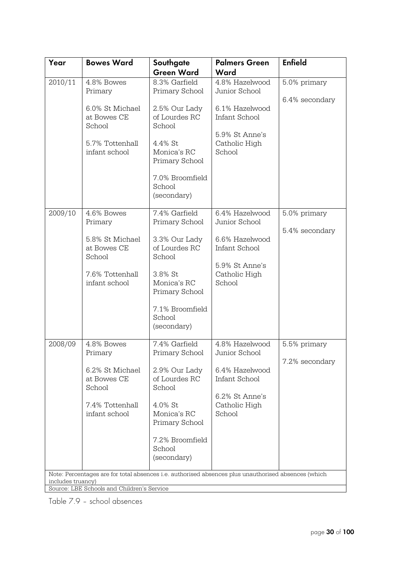| Year              | <b>Bowes Ward</b>                                                                                   | Southgate<br><b>Green Ward</b>                                                       | <b>Palmers Green</b><br>Ward                                                 | <b>Enfield</b> |
|-------------------|-----------------------------------------------------------------------------------------------------|--------------------------------------------------------------------------------------|------------------------------------------------------------------------------|----------------|
| 2010/11           | 4.8% Bowes<br>Primary                                                                               | 8.3% Garfield<br>Primary School                                                      | 4.8% Hazelwood<br>Junior School                                              | 5.0% primary   |
|                   | 6.0% St Michael<br>at Bowes CE<br>School                                                            | 2.5% Our Lady<br>of Lourdes RC<br>School                                             | 6.1% Hazelwood<br>Infant School<br>5.9% St Anne's                            | 6.4% secondary |
|                   | 5.7% Tottenhall<br>infant school                                                                    | 4.4% St<br>Monica's RC<br>Primary School                                             | Catholic High<br>School                                                      |                |
|                   |                                                                                                     | 7.0% Broomfield<br>School<br>(secondary)                                             |                                                                              |                |
| 2009/10           | 4.6% Bowes<br>Primary                                                                               | 7.4% Garfield<br>Primary School                                                      | 6.4% Hazelwood<br>Junior School                                              | 5.0% primary   |
|                   | 5.8% St Michael<br>at Bowes CE<br>School<br>7.6% Tottenhall<br>infant school                        | 3.3% Our Lady<br>of Lourdes RC<br>School<br>3.8% St<br>Monica's RC<br>Primary School | 6.6% Hazelwood<br>Infant School<br>5.9% St Anne's<br>Catholic High<br>School | 5.4% secondary |
|                   |                                                                                                     | 7.1% Broomfield<br>School<br>(secondary)                                             |                                                                              |                |
| 2008/09           | 4.8% Bowes<br>Primary                                                                               | 7.4% Garfield<br>Primary School                                                      | 4.8% Hazelwood<br>Junior School                                              | 5.5% primary   |
|                   | 6.2% St Michael<br>at Bowes CE<br>School<br>7.4% Tottenhall<br>infant school                        | 2.9% Our Lady<br>of Lourdes RC<br>School<br>4.0% St<br>Monica's RC                   | 6.4% Hazelwood<br>Infant School<br>6.2% St Anne's<br>Catholic High<br>School | 7.2% secondary |
|                   | Note: Percentages are for total absences i.e. authorised absences plus unauthorised absences (which | Primary School<br>7.2% Broomfield<br>School<br>(secondary)                           |                                                                              |                |
| includes truancy) | Source: LBE Schools and Children's Service                                                          |                                                                                      |                                                                              |                |

Table 7.9 – school absences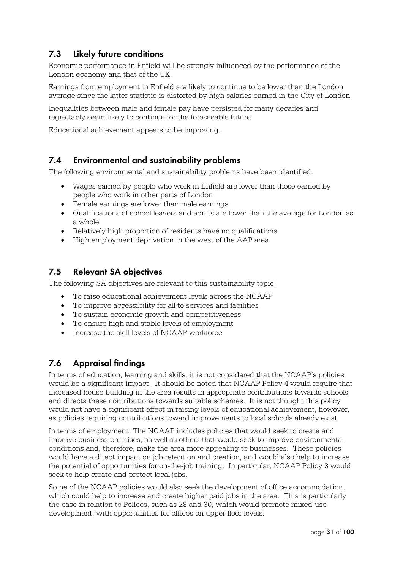## **7.3 Likely future conditions**

Economic performance in Enfield will be strongly influenced by the performance of the London economy and that of the UK.

Earnings from employment in Enfield are likely to continue to be lower than the London average since the latter statistic is distorted by high salaries earned in the City of London.

Inequalities between male and female pay have persisted for many decades and regrettably seem likely to continue for the foreseeable future

Educational achievement appears to be improving.

#### **7.4 Environmental and sustainability problems**

The following environmental and sustainability problems have been identified:

- Wages earned by people who work in Enfield are lower than those earned by people who work in other parts of London
- Female earnings are lower than male earnings
- Qualifications of school leavers and adults are lower than the average for London as a whole
- Relatively high proportion of residents have no qualifications
- High employment deprivation in the west of the AAP area

### **7.5 Relevant SA objectives**

The following SA objectives are relevant to this sustainability topic:

- To raise educational achievement levels across the NCAAP
- To improve accessibility for all to services and facilities
- To sustain economic growth and competitiveness
- To ensure high and stable levels of employment
- Increase the skill levels of NCAAP workforce

## **7.6 Appraisal findings**

In terms of education, learning and skills, it is not considered that the NCAAP's policies would be a significant impact. It should be noted that NCAAP Policy 4 would require that increased house building in the area results in appropriate contributions towards schools, and directs these contributions towards suitable schemes. It is not thought this policy would not have a significant effect in raising levels of educational achievement, however, as policies requiring contributions toward improvements to local schools already exist.

In terms of employment, The NCAAP includes policies that would seek to create and improve business premises, as well as others that would seek to improve environmental conditions and, therefore, make the area more appealing to businesses. These policies would have a direct impact on job retention and creation, and would also help to increase the potential of opportunities for on-the-job training. In particular, NCAAP Policy 3 would seek to help create and protect local jobs.

Some of the NCAAP policies would also seek the development of office accommodation, which could help to increase and create higher paid jobs in the area. This is particularly the case in relation to Polices, such as 28 and 30, which would promote mixed-use development, with opportunities for offices on upper floor levels.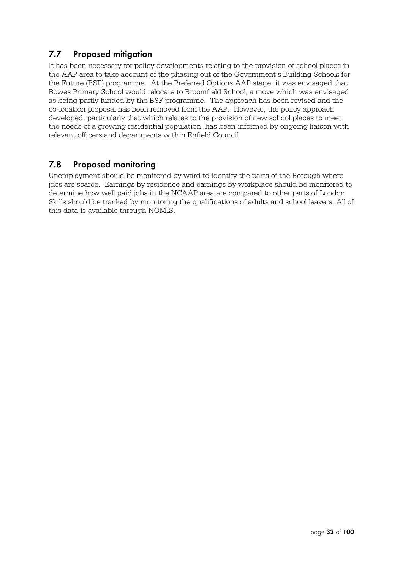### **7.7 Proposed mitigation**

It has been necessary for policy developments relating to the provision of school places in the AAP area to take account of the phasing out of the Government's Building Schools for the Future (BSF) programme. At the Preferred Options AAP stage, it was envisaged that Bowes Primary School would relocate to Broomfield School, a move which was envisaged as being partly funded by the BSF programme. The approach has been revised and the co-location proposal has been removed from the AAP. However, the policy approach developed, particularly that which relates to the provision of new school places to meet the needs of a growing residential population, has been informed by ongoing liaison with relevant officers and departments within Enfield Council.

## **7.8 Proposed monitoring**

Unemployment should be monitored by ward to identify the parts of the Borough where jobs are scarce. Earnings by residence and earnings by workplace should be monitored to determine how well paid jobs in the NCAAP area are compared to other parts of London. Skills should be tracked by monitoring the qualifications of adults and school leavers. All of this data is available through NOMIS.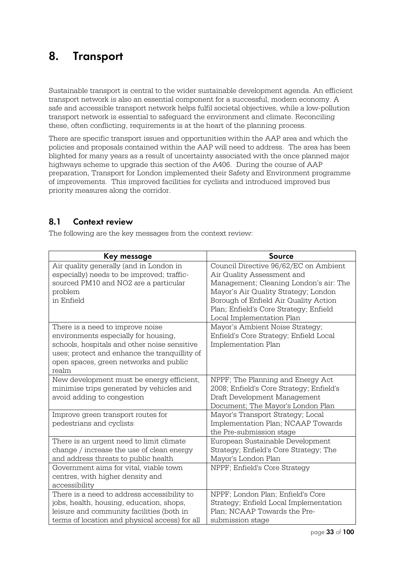## **8. Transport**

Sustainable transport is central to the wider sustainable development agenda. An efficient transport network is also an essential component for a successful, modern economy. A safe and accessible transport network helps fulfil societal objectives, while a low-pollution transport network is essential to safeguard the environment and climate. Reconciling these, often conflicting, requirements is at the heart of the planning process.

There are specific transport issues and opportunities within the AAP area and which the policies and proposals contained within the AAP will need to address. The area has been blighted for many years as a result of uncertainty associated with the once planned major highways scheme to upgrade this section of the A406. During the course of AAP preparation, Transport for London implemented their Safety and Environment programme of improvements. This improved facilities for cyclists and introduced improved bus priority measures along the corridor.

### **8.1 Context review**

The following are the key messages from the context review:

| Key message                                                                                                                                                                                                                                                                                                                          | Source                                                                                                                                                                                                                                                                                                                                                                           |
|--------------------------------------------------------------------------------------------------------------------------------------------------------------------------------------------------------------------------------------------------------------------------------------------------------------------------------------|----------------------------------------------------------------------------------------------------------------------------------------------------------------------------------------------------------------------------------------------------------------------------------------------------------------------------------------------------------------------------------|
| Air quality generally (and in London in<br>especially) needs to be improved; traffic-<br>sourced PM10 and NO2 are a particular<br>problem<br>in Enfield<br>There is a need to improve noise<br>environments especially for housing,<br>schools, hospitals and other noise sensitive<br>uses; protect and enhance the tranquillity of | Council Directive 96/62/EC on Ambient<br>Air Quality Assessment and<br>Management; Cleaning London's air: The<br>Mayor's Air Quality Strategy; London<br>Borough of Enfield Air Quality Action<br>Plan; Enfield's Core Strategy; Enfield<br>Local Implementation Plan<br>Mayor's Ambient Noise Strategy;<br>Enfield's Core Strategy; Enfield Local<br><b>Implementation Plan</b> |
| open spaces, green networks and public<br>realm                                                                                                                                                                                                                                                                                      |                                                                                                                                                                                                                                                                                                                                                                                  |
| New development must be energy efficient,<br>minimise trips generated by vehicles and<br>avoid adding to congestion                                                                                                                                                                                                                  | NPPF; The Planning and Energy Act<br>2008; Enfield's Core Strategy; Enfield's<br>Draft Development Management<br>Document; The Mayor's London Plan                                                                                                                                                                                                                               |
| Improve green transport routes for<br>pedestrians and cyclists                                                                                                                                                                                                                                                                       | Mayor's Transport Strategy; Local<br>Implementation Plan; NCAAP Towards<br>the Pre-submission stage                                                                                                                                                                                                                                                                              |
| There is an urgent need to limit climate<br>change / increase the use of clean energy<br>and address threats to public health                                                                                                                                                                                                        | European Sustainable Development<br>Strategy; Enfield's Core Strategy; The<br>Mayor's London Plan                                                                                                                                                                                                                                                                                |
| Government aims for vital, viable town<br>centres, with higher density and<br>accessibility                                                                                                                                                                                                                                          | NPPF; Enfield's Core Strategy                                                                                                                                                                                                                                                                                                                                                    |
| There is a need to address accessibility to<br>jobs, health, housing, education, shops,<br>leisure and community facilities (both in<br>terms of location and physical access) for all                                                                                                                                               | NPPF; London Plan; Enfield's Core<br>Strategy; Enfield Local Implementation<br>Plan; NCAAP Towards the Pre-<br>submission stage                                                                                                                                                                                                                                                  |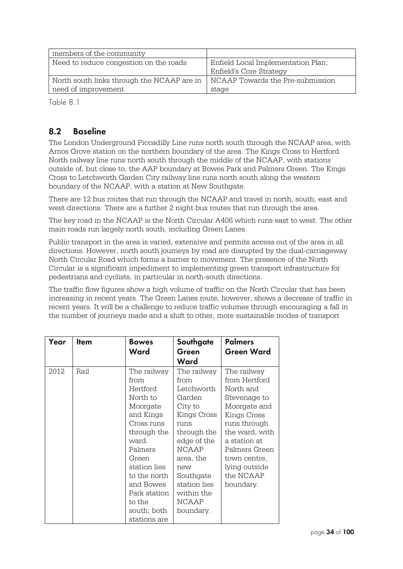| members of the community                   |                                    |
|--------------------------------------------|------------------------------------|
| Need to reduce congestion on the roads     | Enfield Local Implementation Plan; |
|                                            | Enfield's Core Strategy            |
| North south links through the NCAAP are in | NCAAP Towards the Pre-submission   |
| need of improvement                        | stage                              |

Table 8.1

## **8.2 Baseline**

The London Underground Piccadilly Line runs north south through the NCAAP area, with Arnos Grove station on the northern boundary of the area. The Kings Cross to Hertford North railway line runs north south through the middle of the NCAAP, with stations outside of, but close to, the AAP boundary at Bowes Park and Palmers Green. The Kings Cross to Letchworth Garden City railway line runs north south along the western boundary of the NCAAP, with a station at New Southgate.

There are 12 bus routes that run through the NCAAP and travel in north, south, east and west directions. There are a further 2 night bus routes that run through the area.

The key road in the NCAAP is the North Circular A406 which runs east to west. The other main roads run largely north south, including Green Lanes.

Public transport in the area is varied, extensive and permits access out of the area in all directions. However, north south journeys by road are disrupted by the dual-carriageway North Circular Road which forms a barrier to movement. The presence of the North Circular is a significant impediment to implementing green transport infrastructure for pedestrians and cyclists, in particular in north-south directions.

The traffic flow figures show a high volume of traffic on the North Circular that has been increasing in recent years. The Green Lanes route, however, shows a decrease of traffic in recent years. It will be a challenge to reduce traffic volumes through encouraging a fall in the number of journeys made and a shift to other, more sustainable modes of transport

| Year | <b>Item</b> | <b>Bowes</b><br>Ward                                                                                                                                                                                                                 | Southgate<br>Green                                                                                                                                                                                        | <b>Palmers</b><br><b>Green Ward</b>                                                                                                                                                                                    |
|------|-------------|--------------------------------------------------------------------------------------------------------------------------------------------------------------------------------------------------------------------------------------|-----------------------------------------------------------------------------------------------------------------------------------------------------------------------------------------------------------|------------------------------------------------------------------------------------------------------------------------------------------------------------------------------------------------------------------------|
|      |             |                                                                                                                                                                                                                                      | Ward                                                                                                                                                                                                      |                                                                                                                                                                                                                        |
| 2012 | Rail        | The railway<br>from<br>Hertford<br>North to<br>Moorgate<br>and Kings<br>Cross runs<br>through the<br>ward.<br>Palmers<br>Green<br>station lies<br>to the north<br>and Bowes<br>Park station<br>to the<br>south; both<br>stations are | The railway<br>from<br>Letchworth<br>Garden<br>City to<br>Kings Cross<br>nıns<br>through the<br>edge of the<br>NCAAP<br>area, the<br>new<br>Southgate<br>station lies<br>within the<br>NCAAP<br>boundary. | The railway<br>from Hertford<br>North and<br>Stevenage to<br>Moorgate and<br>Kings Cross<br>runs through<br>the ward, with<br>a station at<br>Palmers Green<br>town centre,<br>lying outside<br>the NCAAP<br>boundary. |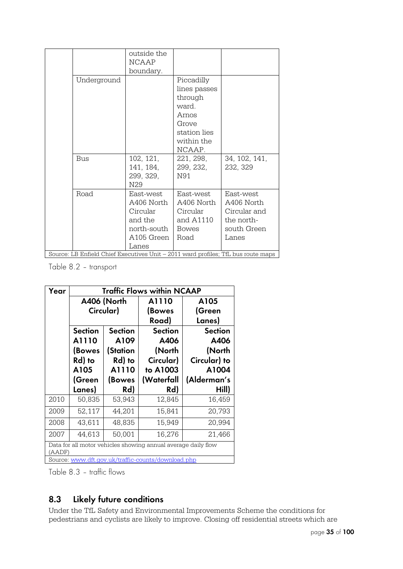|             | outside the  |              |                                                                                   |
|-------------|--------------|--------------|-----------------------------------------------------------------------------------|
|             | <b>NCAAP</b> |              |                                                                                   |
|             | boundary.    |              |                                                                                   |
| Underground |              | Piccadilly   |                                                                                   |
|             |              | lines passes |                                                                                   |
|             |              | through      |                                                                                   |
|             |              | ward.        |                                                                                   |
|             |              | Arnos        |                                                                                   |
|             |              | Grove        |                                                                                   |
|             |              | station lies |                                                                                   |
|             |              | within the   |                                                                                   |
|             |              | NCAAP.       |                                                                                   |
| <b>Bus</b>  | 102, 121,    | 221, 298,    | 34, 102, 141,                                                                     |
|             | 141, 184,    | 299, 232,    | 232, 329                                                                          |
|             | 299, 329,    | N91          |                                                                                   |
|             | N29          |              |                                                                                   |
| Road        | East-west    | East-west    | East-west                                                                         |
|             | A406 North   | A406 North   | A406 North                                                                        |
|             | Circular     | Circular     | Circular and                                                                      |
|             | and the      | and A1110    | the north-                                                                        |
|             | north-south  | <b>Bowes</b> | south Green                                                                       |
|             | A105 Green   | Road         | Lanes                                                                             |
|             | Lanes        |              |                                                                                   |
|             |              |              | Source: LB Enfield Chief Executives Unit - 2011 ward profiles; TfL bus route maps |

Table 8.2 – transport

| Year   |                    | <b>Traffic Flows within NCAAP</b> |                                                               |                |  |  |
|--------|--------------------|-----------------------------------|---------------------------------------------------------------|----------------|--|--|
|        |                    | A406 (North                       | A1110                                                         | A105           |  |  |
|        |                    | Circular)                         | (Bowes                                                        | (Green         |  |  |
|        |                    |                                   | Road)                                                         | Lanes)         |  |  |
|        | <b>Section</b>     | <b>Section</b>                    | <b>Section</b>                                                | <b>Section</b> |  |  |
|        | A1110              | A109                              | A406                                                          | A406           |  |  |
|        | (Station<br>(Bowes |                                   | (North                                                        | (North         |  |  |
|        | Rd) to<br>Rd) to   |                                   | Circular)                                                     | Circular) to   |  |  |
|        | A1110<br>A105      |                                   | to A1003                                                      | A1004          |  |  |
|        | (Green<br>(Bowes   |                                   | (Waterfall                                                    | (Alderman's    |  |  |
|        | Lanes)             | Rd)                               | Rd)                                                           | Hill)          |  |  |
| 2010   | 50,835             | 53,943                            | 12,845                                                        | 16,459         |  |  |
| 2009   | 52,117             | 44,201                            | 15,841                                                        | 20,793         |  |  |
| 2008   | 43,611             | 48,835                            | 15,949                                                        | 20,994         |  |  |
| 2007   | 44,613             | 50,001                            | 16,276                                                        | 21,466         |  |  |
|        |                    |                                   |                                                               |                |  |  |
| (AADF) |                    |                                   | Data for all motor vehicles showing annual average daily flow |                |  |  |

Table 8.3 – traffic flows

## **8.3 Likely future conditions**

Under the TfL Safety and Environmental Improvements Scheme the conditions for pedestrians and cyclists are likely to improve. Closing off residential streets which are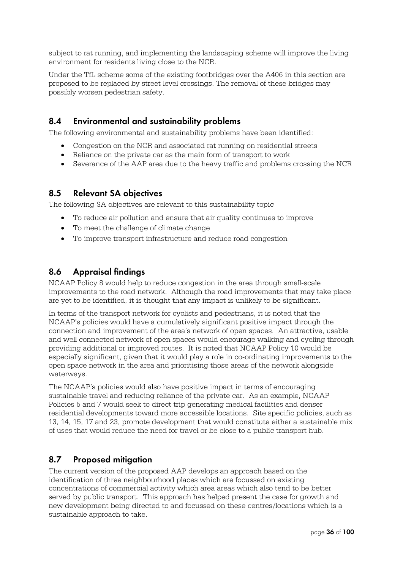subject to rat running, and implementing the landscaping scheme will improve the living environment for residents living close to the NCR.

Under the TfL scheme some of the existing footbridges over the A406 in this section are proposed to be replaced by street level crossings. The removal of these bridges may possibly worsen pedestrian safety.

## **8.4 Environmental and sustainability problems**

The following environmental and sustainability problems have been identified:

- Congestion on the NCR and associated rat running on residential streets
- Reliance on the private car as the main form of transport to work
- Severance of the AAP area due to the heavy traffic and problems crossing the NCR

#### **8.5 Relevant SA objectives**

The following SA objectives are relevant to this sustainability topic

- To reduce air pollution and ensure that air quality continues to improve
- To meet the challenge of climate change
- To improve transport infrastructure and reduce road congestion

## **8.6 Appraisal findings**

NCAAP Policy 8 would help to reduce congestion in the area through small-scale improvements to the road network. Although the road improvements that may take place are yet to be identified, it is thought that any impact is unlikely to be significant.

In terms of the transport network for cyclists and pedestrians, it is noted that the NCAAP's policies would have a cumulatively significant positive impact through the connection and improvement of the area's network of open spaces. An attractive, usable and well connected network of open spaces would encourage walking and cycling through providing additional or improved routes. It is noted that NCAAP Policy 10 would be especially significant, given that it would play a role in co-ordinating improvements to the open space network in the area and prioritising those areas of the network alongside waterways.

The NCAAP's policies would also have positive impact in terms of encouraging sustainable travel and reducing reliance of the private car. As an example, NCAAP Policies 5 and 7 would seek to direct trip generating medical facilities and denser residential developments toward more accessible locations. Site specific policies, such as 13, 14, 15, 17 and 23, promote development that would constitute either a sustainable mix of uses that would reduce the need for travel or be close to a public transport hub.

#### **8.7 Proposed mitigation**

The current version of the proposed AAP develops an approach based on the identification of three neighbourhood places which are focussed on existing concentrations of commercial activity which area areas which also tend to be better served by public transport. This approach has helped present the case for growth and new development being directed to and focussed on these centres/locations which is a sustainable approach to take.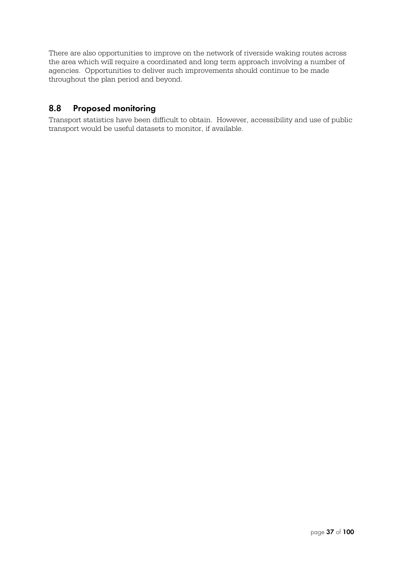There are also opportunities to improve on the network of riverside waking routes across the area which will require a coordinated and long term approach involving a number of agencies. Opportunities to deliver such improvements should continue to be made throughout the plan period and beyond.

## **8.8 Proposed monitoring**

Transport statistics have been difficult to obtain. However, accessibility and use of public transport would be useful datasets to monitor, if available.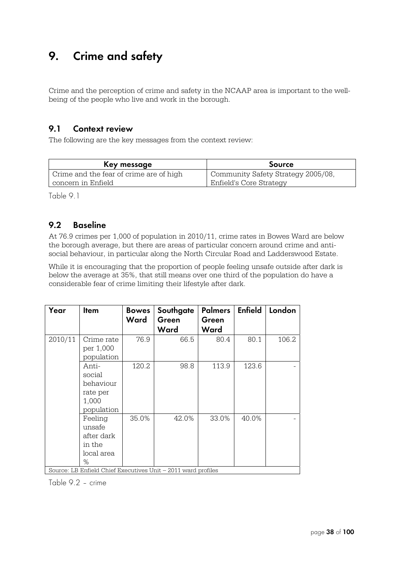## **9. Crime and safety**

Crime and the perception of crime and safety in the NCAAP area is important to the wellbeing of the people who live and work in the borough.

#### **9.1 Context review**

The following are the key messages from the context review:

| Key message                             | <b>Source</b>                      |
|-----------------------------------------|------------------------------------|
| Crime and the fear of crime are of high | Community Safety Strategy 2005/08, |
| concern in Enfield                      | Enfield's Core Strategy            |

Table 9.1

#### **9.2 Baseline**

At 76.9 crimes per 1,000 of population in 2010/11, crime rates in Bowes Ward are below the borough average, but there are areas of particular concern around crime and antisocial behaviour, in particular along the North Circular Road and Ladderswood Estate.

While it is encouraging that the proportion of people feeling unsafe outside after dark is below the average at 35%, that still means over one third of the population do have a considerable fear of crime limiting their lifestyle after dark.

| Year    | Item       | <b>Bowes</b> | Southgate | <b>Palmers</b> | <b>Enfield</b> | London |
|---------|------------|--------------|-----------|----------------|----------------|--------|
|         |            | Ward         | Green     | Green          |                |        |
|         |            |              | Ward      | Ward           |                |        |
| 2010/11 | Crime rate | 76.9         | 66.5      | 80.4           | 80.1           | 106.2  |
|         | per 1,000  |              |           |                |                |        |
|         | population |              |           |                |                |        |
|         | Anti-      | 120.2        | 98.8      | 113.9          | 123.6          |        |
|         | social     |              |           |                |                |        |
|         | behaviour  |              |           |                |                |        |
|         | rate per   |              |           |                |                |        |
|         | 1,000      |              |           |                |                |        |
|         | population |              |           |                |                |        |
|         | Feeling    | 35.0%        | 42.0%     | 33.0%          | 40.0%          |        |
|         | unsafe     |              |           |                |                |        |
|         | after dark |              |           |                |                |        |
|         | in the     |              |           |                |                |        |
|         | local area |              |           |                |                |        |
|         | %          |              |           |                |                |        |

Source: LB Enfield Chief Executives Unit – 2011 ward profiles

Table 9.2 – crime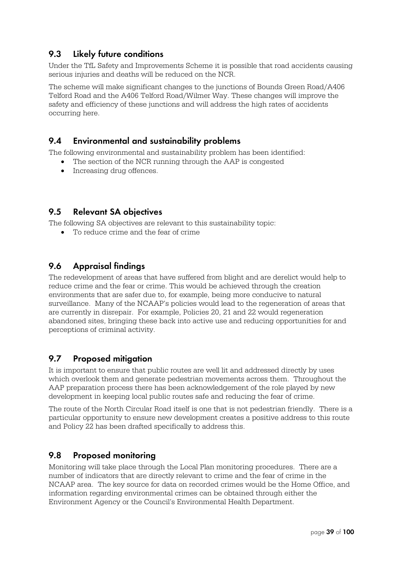## **9.3 Likely future conditions**

Under the TfL Safety and Improvements Scheme it is possible that road accidents causing serious injuries and deaths will be reduced on the NCR.

The scheme will make significant changes to the junctions of Bounds Green Road/A406 Telford Road and the A406 Telford Road/Wilmer Way. These changes will improve the safety and efficiency of these junctions and will address the high rates of accidents occurring here.

#### **9.4 Environmental and sustainability problems**

The following environmental and sustainability problem has been identified:

- The section of the NCR running through the AAP is congested
- Increasing drug offences.

#### **9.5 Relevant SA objectives**

The following SA objectives are relevant to this sustainability topic:

To reduce crime and the fear of crime

## **9.6 Appraisal findings**

The redevelopment of areas that have suffered from blight and are derelict would help to reduce crime and the fear or crime. This would be achieved through the creation environments that are safer due to, for example, being more conducive to natural surveillance. Many of the NCAAP's policies would lead to the regeneration of areas that are currently in disrepair. For example, Policies 20, 21 and 22 would regeneration abandoned sites, bringing these back into active use and reducing opportunities for and perceptions of criminal activity.

#### **9.7 Proposed mitigation**

It is important to ensure that public routes are well lit and addressed directly by uses which overlook them and generate pedestrian movements across them. Throughout the AAP preparation process there has been acknowledgement of the role played by new development in keeping local public routes safe and reducing the fear of crime.

The route of the North Circular Road itself is one that is not pedestrian friendly. There is a particular opportunity to ensure new development creates a positive address to this route and Policy 22 has been drafted specifically to address this.

#### **9.8 Proposed monitoring**

Monitoring will take place through the Local Plan monitoring procedures. There are a number of indicators that are directly relevant to crime and the fear of crime in the NCAAP area. The key source for data on recorded crimes would be the Home Office, and information regarding environmental crimes can be obtained through either the Environment Agency or the Council's Environmental Health Department.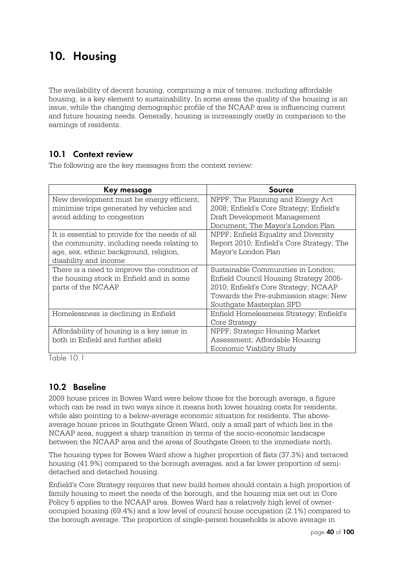## **10. Housing**

The availability of decent housing, comprising a mix of tenures, including affordable housing, is a key element to sustainability. In some areas the quality of the housing is an issue, while the changing demographic profile of the NCAAP area is influencing current and future housing needs. Generally, housing is increasingly costly in comparison to the earnings of residents.

## **10.1 Context review**

The following are the key messages from the context review:

| Key message                                     | Source                                    |
|-------------------------------------------------|-------------------------------------------|
| New development must be energy efficient,       | NPPF; The Planning and Energy Act         |
| minimise trips generated by vehicles and        | 2008; Enfield's Core Strategy; Enfield's  |
| avoid adding to congestion                      | Draft Development Management              |
|                                                 | Document; The Mayor's London Plan         |
| It is essential to provide for the needs of all | NPPF; Enfield Equality and Diversity      |
| the community, including needs relating to      | Report 2010; Enfield's Core Strategy; The |
| age, sex, ethnic background, religion,          | Mayor's London Plan                       |
| disability and income                           |                                           |
| There is a need to improve the condition of     | Sustainable Communities in London;        |
| the housing stock in Enfield and in some        | Enfield Council Housing Strategy 2005-    |
| parts of the NCAAP                              | 2010; Enfield's Core Strategy; NCAAP      |
|                                                 | Towards the Pre-submission stage; New     |
|                                                 | Southgate Masterplan SPD                  |
| Homelessness is declining in Enfield            | Enfield Homelessness Strategy; Enfield's  |
|                                                 | Core Strategy                             |
| Affordability of housing is a key issue in      | NPPF; Strategic Housing Market            |
| both in Enfield and further afield              | Assessment; Affordable Housing            |
|                                                 | Economic Viability Study                  |

Table 10.1

## **10.2 Baseline**

2009 house prices in Bowes Ward were below those for the borough average, a figure which can be read in two ways since it means both lower housing costs for residents, while also pointing to a below-average economic situation for residents. The aboveaverage house prices in Southgate Green Ward, only a small part of which lies in the NCAAP area, suggest a sharp transition in terms of the socio-economic landscape between the NCAAP area and the areas of Southgate Green to the immediate north.

The housing types for Bowes Ward show a higher proportion of flats (37.3%) and terraced housing (41.9%) compared to the borough averages, and a far lower proportion of semidetached and detached housing.

Enfield's Core Strategy requires that new build homes should contain a high proportion of family housing to meet the needs of the borough, and the housing mix set out in Core Policy 5 applies to the NCAAP area. Bowes Ward has a relatively high level of owneroccupied housing (69.4%) and a low level of council house occupation (2.1%) compared to the borough average. The proportion of single-person households is above average in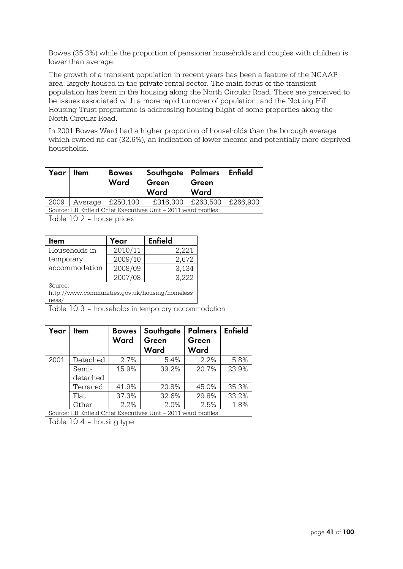Bowes (35.3%) while the proportion of pensioner households and couples with children is lower than average.

The growth of a transient population in recent years has been a feature of the NCAAP area, largely housed in the private rental sector. The main focus of the transient population has been in the housing along the North Circular Road. There are perceived to be issues associated with a more rapid turnover of population, and the Notting Hill Housing Trust programme is addressing housing blight of some properties along the North Circular Road.

In 2001 Bowes Ward had a higher proportion of households than the borough average which owned no car (32.6%), an indication of lower income and potentially more deprived households.

| Year | <b>Item</b> | <b>Bowes</b><br>Ward             | Southgate   Palmers   Enfield<br>Green<br>Ward                | Green<br>Ward     |          |
|------|-------------|----------------------------------|---------------------------------------------------------------|-------------------|----------|
| 2009 |             | $\vert$ Average $\vert$ £250,100 |                                                               | £316,300 £263,500 | £266,900 |
|      |             |                                  | Source: LB Enfield Chief Executives Unit - 2011 ward profiles |                   |          |

Table 10.2 – house prices

| <b>Item</b>                                    | Year    | <b>Enfield</b> |  |  |
|------------------------------------------------|---------|----------------|--|--|
| Households in                                  | 2010/11 | 2,221          |  |  |
| temporary                                      | 2009/10 | 2,672          |  |  |
| accommodation                                  | 2008/09 | 3,134          |  |  |
|                                                | 2007/08 | 3,222          |  |  |
| Source:                                        |         |                |  |  |
| http://www.communities.gov.uk/housing/homeless |         |                |  |  |
| ness/                                          |         |                |  |  |

Table 10.3 – households in temporary accommodation

| Year | Item     | <b>Bowes</b><br>Ward | Southgate<br>Green<br>Ward                                    | <b>Palmers</b><br>Green<br>Ward | <b>Enfield</b> |
|------|----------|----------------------|---------------------------------------------------------------|---------------------------------|----------------|
| 2001 | Detached | 2.7%                 | 5.4%                                                          | 2.2%                            | 5.8%           |
|      | Semi-    | 15.9%                | 39.2%                                                         | 20.7%                           | 23.9%          |
|      | detached |                      |                                                               |                                 |                |
|      | Terraced | 41.9%                | 20.8%                                                         | 45.0%                           | 35.3%          |
|      | Flat.    | 37.3%                | 32.6%                                                         | 29.8%                           | 33.2%          |
|      | Other    | 2.2%                 | 2.0%                                                          | 2.5%                            | 1.8%           |
|      |          |                      | Source: LB Enfield Chief Executives Unit – 2011 ward profiles |                                 |                |

Table 10.4 – housing type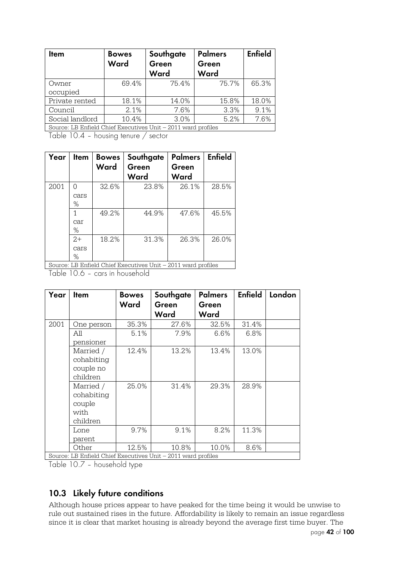| <b>I</b> tem                                                  | <b>Bowes</b><br>Ward | Southgate<br>Green<br>Ward | <b>Palmers</b><br>Green<br>Ward | <b>Enfield</b> |
|---------------------------------------------------------------|----------------------|----------------------------|---------------------------------|----------------|
| Owner<br>occupied                                             | 69.4%                | 75.4%                      | 75.7%                           | 65.3%          |
|                                                               |                      |                            |                                 |                |
| Private rented                                                | 18.1%                | 14.0%                      | 15.8%                           | 18.0%          |
| Council                                                       | 2.1%                 | 7.6%                       | 3.3%                            | 9.1%           |
| Social landlord                                               | 10.4%                | 3.0%                       | 5.2%                            | 7.6%           |
| Source: LB Enfield Chief Executives Unit – 2011 ward profiles |                      |                            |                                 |                |

Table 10.4 – housing tenure / sector

| Year   | Item                 | <b>Bowes</b><br>Ward | Southgate<br>Green<br>Ward | <b>Palmers</b><br>Green<br>Ward | Enfield |
|--------|----------------------|----------------------|----------------------------|---------------------------------|---------|
| 2001   | ∩<br>cars<br>$\%$    | 32.6%                | 23.8%                      | 26.1%                           | 28.5%   |
|        | 1<br>car<br>%        | 49.2%                | 44.9%                      | 47.6%                           | 45.5%   |
| $\sim$ | $2+$<br>cars<br>$\%$ | 18.2%                | 31.3%                      | 26.3%                           | 26.0%   |

Source: LB Enfield Chief Executives Unit – 2011 ward profiles

Table 10.6 – cars in household

| Year | <b>Item</b>                                                    | <b>Bowes</b> | Southgate | <b>Palmers</b> | <b>Enfield</b> | London |
|------|----------------------------------------------------------------|--------------|-----------|----------------|----------------|--------|
|      |                                                                | Ward         | Green     | Green          |                |        |
|      |                                                                |              | Ward      | Ward           |                |        |
| 2001 | One person                                                     | 35.3%        | 27.6%     | 32.5%          | 31.4%          |        |
|      | All                                                            | 5.1%         | 7.9%      | 6.6%           | 6.8%           |        |
|      | pensioner                                                      |              |           |                |                |        |
|      | Married /                                                      | 12.4%        | 13.2%     | 13.4%          | 13.0%          |        |
|      | cohabiting                                                     |              |           |                |                |        |
|      | couple no                                                      |              |           |                |                |        |
|      | children                                                       |              |           |                |                |        |
|      | Married /                                                      | 25.0%        | 31.4%     | 29.3%          | 28.9%          |        |
|      | cohabiting                                                     |              |           |                |                |        |
|      | couple                                                         |              |           |                |                |        |
|      | with                                                           |              |           |                |                |        |
|      | children                                                       |              |           |                |                |        |
|      | Lone                                                           | 9.7%         | 9.1%      | 8.2%           | 11.3%          |        |
|      | parent                                                         |              |           |                |                |        |
|      | Other                                                          | 12.5%        | 10.8%     | 10.0%          | 8.6%           |        |
|      | Source: I R Enfield Chief Executives Unit - 2011 word profiles |              |           |                |                |        |

Source: LB Enfield Chief Executives Unit – 2011 ward profiles

Table 10.7 – household type

## **10.3 Likely future conditions**

Although house prices appear to have peaked for the time being it would be unwise to rule out sustained rises in the future. Affordability is likely to remain an issue regardless since it is clear that market housing is already beyond the average first time buyer. The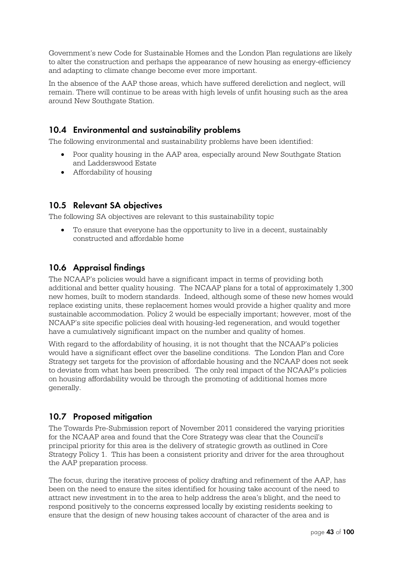Government's new Code for Sustainable Homes and the London Plan regulations are likely to alter the construction and perhaps the appearance of new housing as energy-efficiency and adapting to climate change become ever more important.

In the absence of the AAP those areas, which have suffered dereliction and neglect, will remain. There will continue to be areas with high levels of unfit housing such as the area around New Southgate Station.

## **10.4 Environmental and sustainability problems**

The following environmental and sustainability problems have been identified:

- Poor quality housing in the AAP area, especially around New Southgate Station and Ladderswood Estate
- Affordability of housing

#### **10.5 Relevant SA objectives**

The following SA objectives are relevant to this sustainability topic

 To ensure that everyone has the opportunity to live in a decent, sustainably constructed and affordable home

## **10.6 Appraisal findings**

The NCAAP's policies would have a significant impact in terms of providing both additional and better quality housing. The NCAAP plans for a total of approximately 1,300 new homes, built to modern standards. Indeed, although some of these new homes would replace existing units, these replacement homes would provide a higher quality and more sustainable accommodation. Policy 2 would be especially important; however, most of the NCAAP's site specific policies deal with housing-led regeneration, and would together have a cumulatively significant impact on the number and quality of homes.

With regard to the affordability of housing, it is not thought that the NCAAP's policies would have a significant effect over the baseline conditions. The London Plan and Core Strategy set targets for the provision of affordable housing and the NCAAP does not seek to deviate from what has been prescribed. The only real impact of the NCAAP's policies on housing affordability would be through the promoting of additional homes more generally.

## **10.7 Proposed mitigation**

The Towards Pre-Submission report of November 2011 considered the varying priorities for the NCAAP area and found that the Core Strategy was clear that the Council's principal priority for this area is the delivery of strategic growth as outlined in Core Strategy Policy 1. This has been a consistent priority and driver for the area throughout the AAP preparation process.

The focus, during the iterative process of policy drafting and refinement of the AAP, has been on the need to ensure the sites identified for housing take account of the need to attract new investment in to the area to help address the area's blight, and the need to respond positively to the concerns expressed locally by existing residents seeking to ensure that the design of new housing takes account of character of the area and is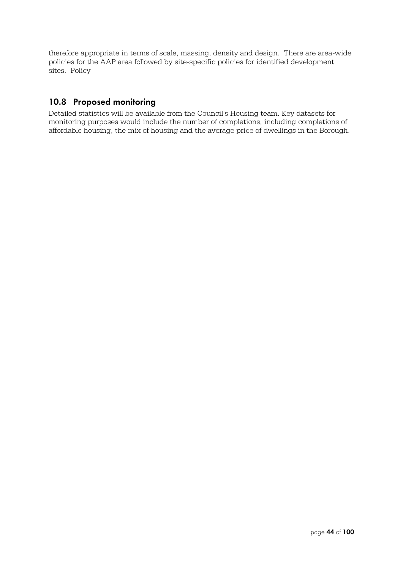therefore appropriate in terms of scale, massing, density and design. There are area-wide policies for the AAP area followed by site-specific policies for identified development sites. Policy

## **10.8 Proposed monitoring**

Detailed statistics will be available from the Council's Housing team. Key datasets for monitoring purposes would include the number of completions, including completions of affordable housing, the mix of housing and the average price of dwellings in the Borough.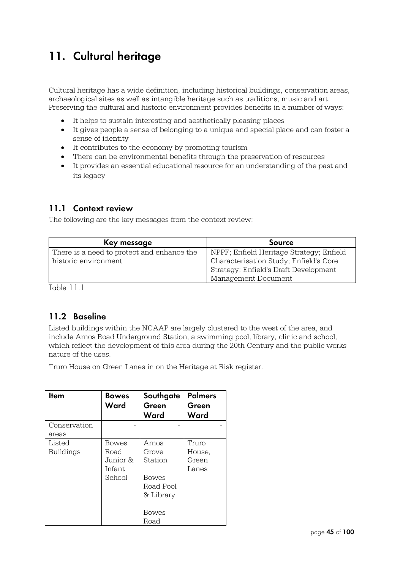## **11. Cultural heritage**

Cultural heritage has a wide definition, including historical buildings, conservation areas, archaeological sites as well as intangible heritage such as traditions, music and art. Preserving the cultural and historic environment provides benefits in a number of ways:

- It helps to sustain interesting and aesthetically pleasing places
- It gives people a sense of belonging to a unique and special place and can foster a sense of identity
- It contributes to the economy by promoting tourism
- There can be environmental benefits through the preservation of resources
- It provides an essential educational resource for an understanding of the past and its legacy

## **11.1 Context review**

The following are the key messages from the context review:

| Key message                                | Source                                   |
|--------------------------------------------|------------------------------------------|
| There is a need to protect and enhance the | NPPF; Enfield Heritage Strategy; Enfield |
| historic environment                       | Characterisation Study; Enfield's Core   |
|                                            | Strategy; Enfield's Draft Development    |
|                                            | Management Document                      |

Table 11.1

## **11.2 Baseline**

Listed buildings within the NCAAP are largely clustered to the west of the area, and include Arnos Road Underground Station, a swimming pool, library, clinic and school, which reflect the development of this area during the 20th Century and the public works nature of the uses.

Truro House on Green Lanes in on the Heritage at Risk register.

| <b>Item</b>           | <b>Bowes</b><br>Ward                           | Southgate<br>Green<br>Ward                                                           | <b>Palmers</b><br>Green<br>Ward   |
|-----------------------|------------------------------------------------|--------------------------------------------------------------------------------------|-----------------------------------|
| Conservation<br>areas |                                                |                                                                                      |                                   |
| Listed<br>Buildings   | Bowes<br>Road<br>Junior &<br>Infant.<br>School | Arnos<br>Grove<br>Station<br><b>Bowes</b><br>Road Pool<br>& Library<br>Bowes<br>Road | Truro<br>House,<br>Green<br>Lanes |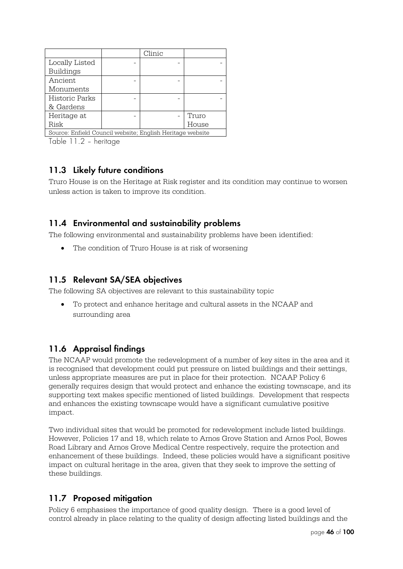|                                                           |  | Clinic |       |
|-----------------------------------------------------------|--|--------|-------|
| Locally Listed                                            |  |        |       |
| <b>Buildings</b>                                          |  |        |       |
| Ancient                                                   |  |        |       |
| Monuments                                                 |  |        |       |
| Historic Parks                                            |  |        |       |
| & Gardens                                                 |  |        |       |
| Heritage at                                               |  |        | Truro |
| Risk                                                      |  |        | House |
| Source: Enfield Council website; English Heritage website |  |        |       |

Table 11.2 – heritage

## **11.3 Likely future conditions**

Truro House is on the Heritage at Risk register and its condition may continue to worsen unless action is taken to improve its condition.

## **11.4 Environmental and sustainability problems**

The following environmental and sustainability problems have been identified:

• The condition of Truro House is at risk of worsening

## **11.5 Relevant SA/SEA objectives**

The following SA objectives are relevant to this sustainability topic

 To protect and enhance heritage and cultural assets in the NCAAP and surrounding area

## **11.6 Appraisal findings**

The NCAAP would promote the redevelopment of a number of key sites in the area and it is recognised that development could put pressure on listed buildings and their settings, unless appropriate measures are put in place for their protection. NCAAP Policy 6 generally requires design that would protect and enhance the existing townscape, and its supporting text makes specific mentioned of listed buildings. Development that respects and enhances the existing townscape would have a significant cumulative positive impact.

Two individual sites that would be promoted for redevelopment include listed buildings. However, Policies 17 and 18, which relate to Arnos Grove Station and Arnos Pool, Bowes Road Library and Arnos Grove Medical Centre respectively, require the protection and enhancement of these buildings. Indeed, these policies would have a significant positive impact on cultural heritage in the area, given that they seek to improve the setting of these buildings.

## **11.7 Proposed mitigation**

Policy 6 emphasises the importance of good quality design. There is a good level of control already in place relating to the quality of design affecting listed buildings and the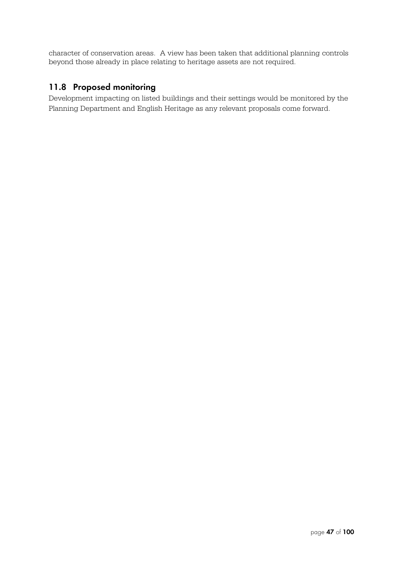character of conservation areas. A view has been taken that additional planning controls beyond those already in place relating to heritage assets are not required.

## **11.8 Proposed monitoring**

Development impacting on listed buildings and their settings would be monitored by the Planning Department and English Heritage as any relevant proposals come forward.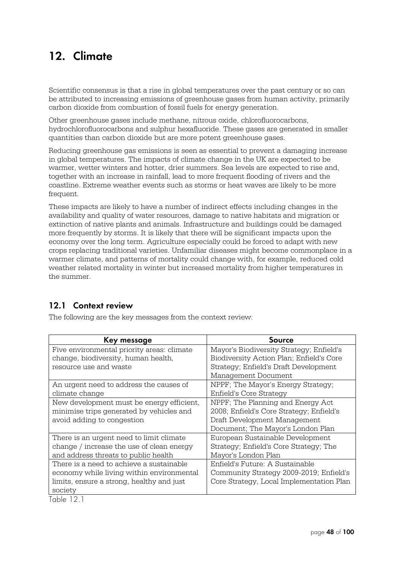## **12. Climate**

Scientific consensus is that a rise in global temperatures over the past century or so can be attributed to increasing emissions of greenhouse gases from human activity, primarily carbon dioxide from combustion of fossil fuels for energy generation.

Other greenhouse gases include methane, nitrous oxide, chlorofluorocarbons, hydrochlorofluorocarbons and sulphur hexafluoride. These gases are generated in smaller quantities than carbon dioxide but are more potent greenhouse gases.

Reducing greenhouse gas emissions is seen as essential to prevent a damaging increase in global temperatures. The impacts of climate change in the UK are expected to be warmer, wetter winters and hotter, drier summers. Sea levels are expected to rise and, together with an increase in rainfall, lead to more frequent flooding of rivers and the coastline. Extreme weather events such as storms or heat waves are likely to be more frequent.

These impacts are likely to have a number of indirect effects including changes in the availability and quality of water resources, damage to native habitats and migration or extinction of native plants and animals. Infrastructure and buildings could be damaged more frequently by storms. It is likely that there will be significant impacts upon the economy over the long term. Agriculture especially could be forced to adapt with new crops replacing traditional varieties. Unfamiliar diseases might become commonplace in a warmer climate, and patterns of mortality could change with, for example, reduced cold weather related mortality in winter but increased mortality from higher temperatures in the summer.

## **12.1 Context review**

The following are the key messages from the context review:

| Key message                                | Source                                   |
|--------------------------------------------|------------------------------------------|
| Five environmental priority areas: climate | Mayor's Biodiversity Strategy; Enfield's |
| change, biodiversity, human health,        | Biodiversity Action Plan; Enfield's Core |
| resource use and waste                     | Strategy; Enfield's Draft Development    |
|                                            | Management Document                      |
| An urgent need to address the causes of    | NPPF; The Mayor's Energy Strategy;       |
| climate change                             | Enfield's Core Strategy                  |
| New development must be energy efficient,  | NPPF; The Planning and Energy Act        |
| minimise trips generated by vehicles and   | 2008; Enfield's Core Strategy; Enfield's |
| avoid adding to congestion                 | Draft Development Management             |
|                                            | Document; The Mayor's London Plan        |
| There is an urgent need to limit climate   | European Sustainable Development         |
| change / increase the use of clean energy  | Strategy; Enfield's Core Strategy; The   |
| and address threats to public health       | Mayor's London Plan                      |
| There is a need to achieve a sustainable   | Enfield's Future: A Sustainable          |
| economy while living within environmental  | Community Strategy 2009-2019; Enfield's  |
| limits, ensure a strong, healthy and just  | Core Strategy, Local Implementation Plan |
| society<br>$\sim$ $\sim$                   |                                          |

Table 12.1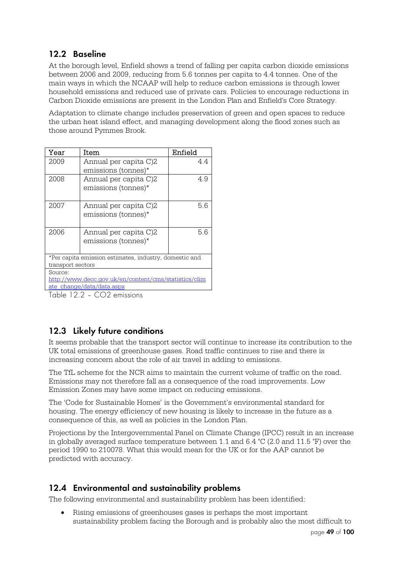## **12.2 Baseline**

At the borough level, Enfield shows a trend of falling per capita carbon dioxide emissions between 2006 and 2009, reducing from 5.6 tonnes per capita to 4.4 tonnes. One of the main ways in which the NCAAP will help to reduce carbon emissions is through lower household emissions and reduced use of private cars. Policies to encourage reductions in Carbon Dioxide emissions are present in the London Plan and Enfield's Core Strategy.

Adaptation to climate change includes preservation of green and open spaces to reduce the urban heat island effect, and managing development along the flood zones such as those around Pymmes Brook.

| Year                                                   | Item                  | Enfield |  |
|--------------------------------------------------------|-----------------------|---------|--|
| 2009                                                   | Annual per capita C)2 | 4.4     |  |
|                                                        | emissions (tonnes)*   |         |  |
| 2008                                                   | Annual per capita C)2 | 4.9     |  |
|                                                        | emissions (tonnes)*   |         |  |
|                                                        |                       |         |  |
| 2007                                                   | Annual per capita C)2 | 56      |  |
|                                                        | emissions (tonnes)*   |         |  |
|                                                        |                       |         |  |
| 2006                                                   | Annual per capita C)2 | 5.6     |  |
|                                                        | emissions (tonnes)*   |         |  |
|                                                        |                       |         |  |
| *Per capita emission estimates, industry, domestic and |                       |         |  |
| transport sectors                                      |                       |         |  |
| Source:                                                |                       |         |  |
| http://www.decc.gov.uk/en/content/cms/statistics/clim  |                       |         |  |
| ate change/data/data.aspx                              |                       |         |  |
| $T \cup 1000$ $C0$                                     |                       |         |  |

Table 12.2 – CO2 emissions

## **12.3 Likely future conditions**

It seems probable that the transport sector will continue to increase its contribution to the UK total emissions of greenhouse gases. Road traffic continues to rise and there is increasing concern about the role of air travel in adding to emissions.

The TfL scheme for the NCR aims to maintain the current volume of traffic on the road. Emissions may not therefore fall as a consequence of the road improvements. Low Emission Zones may have some impact on reducing emissions.

The 'Code for Sustainable Homes' is the Government's environmental standard for housing. The energy efficiency of new housing is likely to increase in the future as a consequence of this, as well as policies in the London Plan.

Projections by the Intergovernmental Panel on Climate Change (IPCC) result in an increase in globally averaged surface temperature between 1.1 and 6.4 °C (2.0 and 11.5 °F) over the period 1990 to 210078. What this would mean for the UK or for the AAP cannot be predicted with accuracy.

## **12.4 Environmental and sustainability problems**

The following environmental and sustainability problem has been identified:

 Rising emissions of greenhouses gases is perhaps the most important sustainability problem facing the Borough and is probably also the most difficult to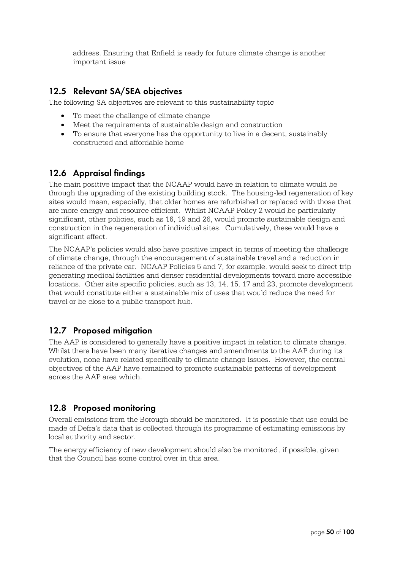address. Ensuring that Enfield is ready for future climate change is another important issue

## **12.5 Relevant SA/SEA objectives**

The following SA objectives are relevant to this sustainability topic

- To meet the challenge of climate change
- Meet the requirements of sustainable design and construction
- To ensure that everyone has the opportunity to live in a decent, sustainably constructed and affordable home

## **12.6 Appraisal findings**

The main positive impact that the NCAAP would have in relation to climate would be through the upgrading of the existing building stock. The housing-led regeneration of key sites would mean, especially, that older homes are refurbished or replaced with those that are more energy and resource efficient. Whilst NCAAP Policy 2 would be particularly significant, other policies, such as 16, 19 and 26, would promote sustainable design and construction in the regeneration of individual sites. Cumulatively, these would have a significant effect.

The NCAAP's policies would also have positive impact in terms of meeting the challenge of climate change, through the encouragement of sustainable travel and a reduction in reliance of the private car. NCAAP Policies 5 and 7, for example, would seek to direct trip generating medical facilities and denser residential developments toward more accessible locations. Other site specific policies, such as 13, 14, 15, 17 and 23, promote development that would constitute either a sustainable mix of uses that would reduce the need for travel or be close to a public transport hub.

## **12.7 Proposed mitigation**

The AAP is considered to generally have a positive impact in relation to climate change. Whilst there have been many iterative changes and amendments to the AAP during its evolution, none have related specifically to climate change issues. However, the central objectives of the AAP have remained to promote sustainable patterns of development across the AAP area which.

## **12.8 Proposed monitoring**

Overall emissions from the Borough should be monitored. It is possible that use could be made of Defra's data that is collected through its programme of estimating emissions by local authority and sector.

The energy efficiency of new development should also be monitored, if possible, given that the Council has some control over in this area.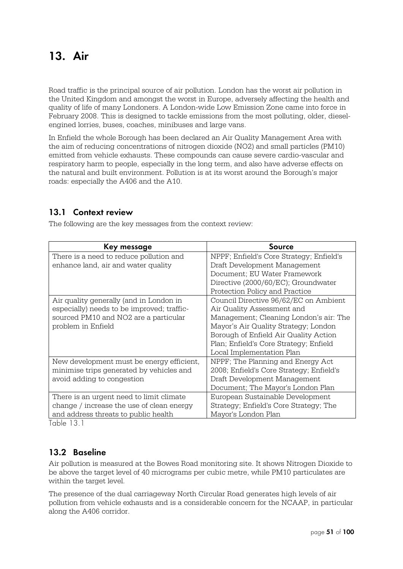## **13. Air**

Road traffic is the principal source of air pollution. London has the worst air pollution in the United Kingdom and amongst the worst in Europe, adversely affecting the health and quality of life of many Londoners. A London-wide Low Emission Zone came into force in February 2008. This is designed to tackle emissions from the most polluting, older, dieselengined lorries, buses, coaches, minibuses and large vans.

In Enfield the whole Borough has been declared an Air Quality Management Area with the aim of reducing concentrations of nitrogen dioxide (NO2) and small particles (PM10) emitted from vehicle exhausts. These compounds can cause severe cardio-vascular and respiratory harm to people, especially in the long term, and also have adverse effects on the natural and built environment. Pollution is at its worst around the Borough's major roads: especially the A406 and the A10.

## **13.1 Context review**

The following are the key messages from the context review:

| Key message                                           | Source                                   |
|-------------------------------------------------------|------------------------------------------|
| There is a need to reduce pollution and               | NPPF; Enfield's Core Strategy; Enfield's |
| enhance land, air and water quality                   | Draft Development Management             |
|                                                       | Document; EU Water Framework             |
|                                                       | Directive (2000/60/EC); Groundwater      |
|                                                       | Protection Policy and Practice           |
| Air quality generally (and in London in               | Council Directive 96/62/EC on Ambient    |
| especially) needs to be improved; traffic-            | Air Quality Assessment and               |
| sourced PM10 and NO2 are a particular                 | Management; Cleaning London's air: The   |
| problem in Enfield                                    | Mayor's Air Quality Strategy; London     |
|                                                       | Borough of Enfield Air Quality Action    |
|                                                       | Plan; Enfield's Core Strategy; Enfield   |
|                                                       | Local Implementation Plan                |
| New development must be energy efficient,             | NPPF; The Planning and Energy Act        |
| minimise trips generated by vehicles and              | 2008; Enfield's Core Strategy; Enfield's |
| avoid adding to congestion                            | Draft Development Management             |
|                                                       | Document; The Mayor's London Plan        |
| There is an urgent need to limit climate              | European Sustainable Development         |
| change / increase the use of clean energy             | Strategy; Enfield's Core Strategy; The   |
| and address threats to public health<br>$\sim$ $\sim$ | Mayor's London Plan                      |

Table 13.1

## **13.2 Baseline**

Air pollution is measured at the Bowes Road monitoring site. It shows Nitrogen Dioxide to be above the target level of 40 micrograms per cubic metre, while PM10 particulates are within the target level.

The presence of the dual carriageway North Circular Road generates high levels of air pollution from vehicle exhausts and is a considerable concern for the NCAAP, in particular along the A406 corridor.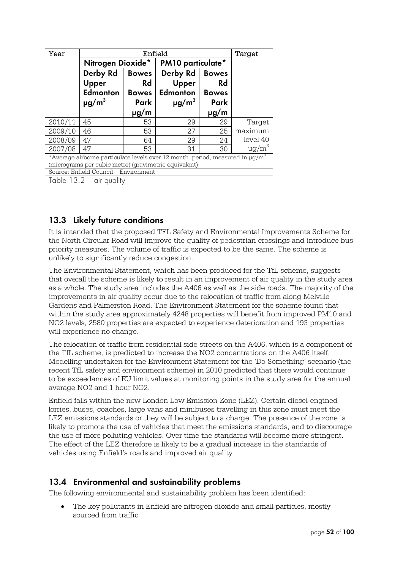| Year                                                                                          | Enfield                |              |                          | Target       |                        |
|-----------------------------------------------------------------------------------------------|------------------------|--------------|--------------------------|--------------|------------------------|
|                                                                                               | Nitrogen Dioxide*      |              | <b>PM10 particulate*</b> |              |                        |
|                                                                                               | Derby Rd               | <b>Bowes</b> | Derby Rd                 | <b>Bowes</b> |                        |
|                                                                                               | Upper                  | <b>Rd</b>    | Upper                    | <b>Rd</b>    |                        |
|                                                                                               | Edmonton               | <b>Bowes</b> | Edmonton                 | <b>Bowes</b> |                        |
|                                                                                               | $\mu$ g/m <sup>3</sup> | Park         | $\mu$ g/m <sup>3</sup>   | Park         |                        |
|                                                                                               |                        | $\mu$ g/m    |                          | pg/m         |                        |
| 2010/11                                                                                       | 45                     | 53           | 29                       | 29           | Target                 |
| 2009/10                                                                                       | 46                     | 53           | 27                       | 25           | maximum                |
| 2008/09                                                                                       | 47                     | 64           | 29                       | 24           | level 40               |
| 2007/08                                                                                       | 47                     | 53           | 31                       | 30           | $\mu$ g/m <sup>3</sup> |
| *Average airborne particulate levels over 12 month period, measured in $\mu$ g/m <sup>3</sup> |                        |              |                          |              |                        |
| (micrograms per cubic metre) (gravimetric equivalent)                                         |                        |              |                          |              |                        |
| Source: Enfield Council – Environment                                                         |                        |              |                          |              |                        |

Table 13.2 – air quality

## **13.3 Likely future conditions**

It is intended that the proposed TFL Safety and Environmental Improvements Scheme for the North Circular Road will improve the quality of pedestrian crossings and introduce bus priority measures. The volume of traffic is expected to be the same. The scheme is unlikely to significantly reduce congestion.

The Environmental Statement, which has been produced for the TfL scheme, suggests that overall the scheme is likely to result in an improvement of air quality in the study area as a whole. The study area includes the A406 as well as the side roads. The majority of the improvements in air quality occur due to the relocation of traffic from along Melville Gardens and Palmerston Road. The Environment Statement for the scheme found that within the study area approximately 4248 properties will benefit from improved PM10 and NO2 levels, 2580 properties are expected to experience deterioration and 193 properties will experience no change.

The relocation of traffic from residential side streets on the A406, which is a component of the TfL scheme, is predicted to increase the NO2 concentrations on the A406 itself. Modelling undertaken for the Environment Statement for the 'Do Something' scenario (the recent TfL safety and environment scheme) in 2010 predicted that there would continue to be exceedances of EU limit values at monitoring points in the study area for the annual average NO2 and 1 hour NO2.

Enfield falls within the new London Low Emission Zone (LEZ). Certain diesel-engined lorries, buses, coaches, large vans and minibuses travelling in this zone must meet the LEZ emissions standards or they will be subject to a charge. The presence of the zone is likely to promote the use of vehicles that meet the emissions standards, and to discourage the use of more polluting vehicles. Over time the standards will become more stringent. The effect of the LEZ therefore is likely to be a gradual increase in the standards of vehicles using Enfield's roads and improved air quality

## **13.4 Environmental and sustainability problems**

The following environmental and sustainability problem has been identified:

 The key pollutants in Enfield are nitrogen dioxide and small particles, mostly sourced from traffic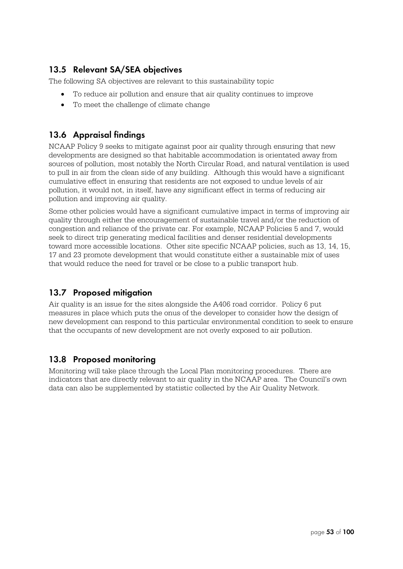## **13.5 Relevant SA/SEA objectives**

The following SA objectives are relevant to this sustainability topic

- To reduce air pollution and ensure that air quality continues to improve
- To meet the challenge of climate change

## **13.6 Appraisal findings**

NCAAP Policy 9 seeks to mitigate against poor air quality through ensuring that new developments are designed so that habitable accommodation is orientated away from sources of pollution, most notably the North Circular Road, and natural ventilation is used to pull in air from the clean side of any building. Although this would have a significant cumulative effect in ensuring that residents are not exposed to undue levels of air pollution, it would not, in itself, have any significant effect in terms of reducing air pollution and improving air quality.

Some other policies would have a significant cumulative impact in terms of improving air quality through either the encouragement of sustainable travel and/or the reduction of congestion and reliance of the private car. For example, NCAAP Policies 5 and 7, would seek to direct trip generating medical facilities and denser residential developments toward more accessible locations. Other site specific NCAAP policies, such as 13, 14, 15, 17 and 23 promote development that would constitute either a sustainable mix of uses that would reduce the need for travel or be close to a public transport hub.

## **13.7 Proposed mitigation**

Air quality is an issue for the sites alongside the A406 road corridor. Policy 6 put measures in place which puts the onus of the developer to consider how the design of new development can respond to this particular environmental condition to seek to ensure that the occupants of new development are not overly exposed to air pollution.

## **13.8 Proposed monitoring**

Monitoring will take place through the Local Plan monitoring procedures. There are indicators that are directly relevant to air quality in the NCAAP area. The Council's own data can also be supplemented by statistic collected by the Air Quality Network.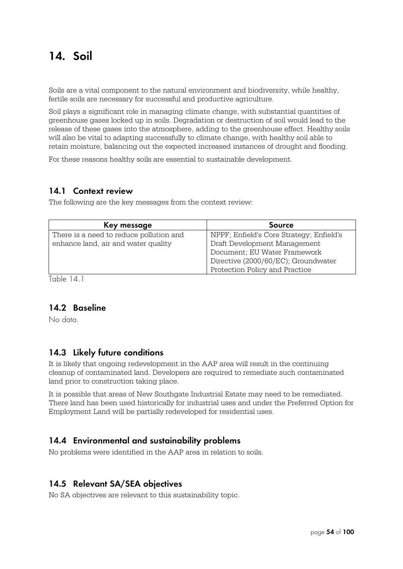## **14. Soil**

Soils are a vital component to the natural environment and biodiversity, while healthy, fertile soils are necessary for successful and productive agriculture.

Soil plays a significant role in managing climate change, with substantial quantities of greenhouse gases locked up in soils. Degradation or destruction of soil would lead to the release of these gases into the atmosphere, adding to the greenhouse effect. Healthy soils will also be vital to adapting successfully to climate change, with healthy soil able to retain moisture, balancing out the expected increased instances of drought and flooding.

For these reasons healthy soils are essential to sustainable development.

#### **14.1 Context review**

The following are the key messages from the context review:

| Key message                             | <b>Source</b>                            |
|-----------------------------------------|------------------------------------------|
| There is a need to reduce pollution and | NPPF; Enfield's Core Strategy; Enfield's |
| enhance land, air and water quality     | Draft Development Management             |
|                                         | Document; EU Water Framework             |
|                                         | Directive (2000/60/EC); Groundwater      |
|                                         | Protection Policy and Practice           |

Table 14.1

#### **14.2 Baseline**

No data.

#### **14.3 Likely future conditions**

It is likely that ongoing redevelopment in the AAP area will result in the continuing cleanup of contaminated land. Developers are required to remediate such contaminated land prior to construction taking place.

It is possible that areas of New Southgate Industrial Estate may need to be remediated. There land has been used historically for industrial uses and under the Preferred Option for Employment Land will be partially redeveloped for residential uses.

#### **14.4 Environmental and sustainability problems**

No problems were identified in the AAP area in relation to soils.

#### **14.5 Relevant SA/SEA objectives**

No SA objectives are relevant to this sustainability topic.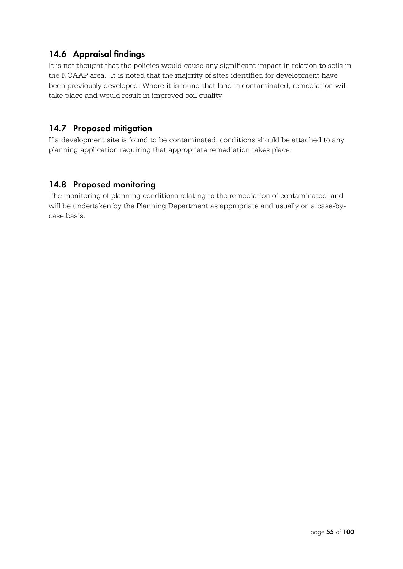## **14.6 Appraisal findings**

It is not thought that the policies would cause any significant impact in relation to soils in the NCAAP area. It is noted that the majority of sites identified for development have been previously developed. Where it is found that land is contaminated, remediation will take place and would result in improved soil quality.

#### **14.7 Proposed mitigation**

If a development site is found to be contaminated, conditions should be attached to any planning application requiring that appropriate remediation takes place.

## **14.8 Proposed monitoring**

The monitoring of planning conditions relating to the remediation of contaminated land will be undertaken by the Planning Department as appropriate and usually on a case-bycase basis.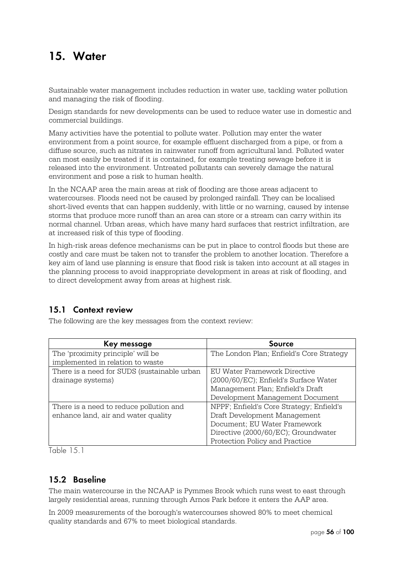## **15. Water**

Sustainable water management includes reduction in water use, tackling water pollution and managing the risk of flooding.

Design standards for new developments can be used to reduce water use in domestic and commercial buildings.

Many activities have the potential to pollute water. Pollution may enter the water environment from a point source, for example effluent discharged from a pipe, or from a diffuse source, such as nitrates in rainwater runoff from agricultural land. Polluted water can most easily be treated if it is contained, for example treating sewage before it is released into the environment. Untreated pollutants can severely damage the natural environment and pose a risk to human health.

In the NCAAP area the main areas at risk of flooding are those areas adjacent to watercourses. Floods need not be caused by prolonged rainfall. They can be localised short-lived events that can happen suddenly, with little or no warning, caused by intense storms that produce more runoff than an area can store or a stream can carry within its normal channel. Urban areas, which have many hard surfaces that restrict infiltration, are at increased risk of this type of flooding.

In high-risk areas defence mechanisms can be put in place to control floods but these are costly and care must be taken not to transfer the problem to another location. Therefore a key aim of land use planning is ensure that flood risk is taken into account at all stages in the planning process to avoid inappropriate development in areas at risk of flooding, and to direct development away from areas at highest risk.

#### **15.1 Context review**

The following are the key messages from the context review:

| Key message                                 | Source                                   |
|---------------------------------------------|------------------------------------------|
| The 'proximity principle' will be           | The London Plan; Enfield's Core Strategy |
| implemented in relation to waste            |                                          |
| There is a need for SUDS (sustainable urban | EU Water Framework Directive             |
| drainage systems)                           | (2000/60/EC); Enfield's Surface Water    |
|                                             | Management Plan; Enfield's Draft         |
|                                             | Development Management Document          |
| There is a need to reduce pollution and     | NPPF; Enfield's Core Strategy; Enfield's |
| enhance land, air and water quality         | Draft Development Management             |
|                                             | Document; EU Water Framework             |
|                                             | Directive (2000/60/EC); Groundwater      |
|                                             | Protection Policy and Practice           |

Table 15.1

## **15.2 Baseline**

The main watercourse in the NCAAP is Pymmes Brook which runs west to east through largely residential areas, running through Arnos Park before it enters the AAP area.

In 2009 measurements of the borough's watercourses showed 80% to meet chemical quality standards and 67% to meet biological standards.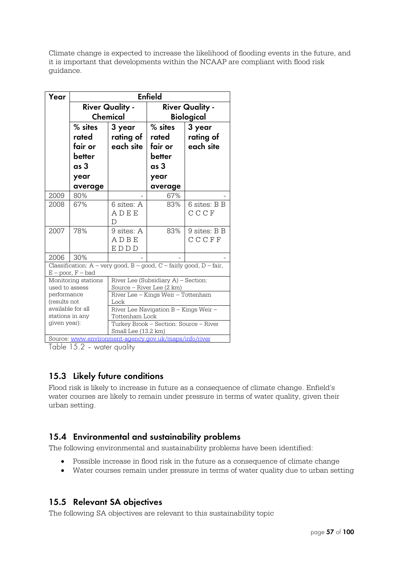Climate change is expected to increase the likelihood of flooding events in the future, and it is important that developments within the NCAAP are compliant with flood risk guidance.

| Year                                                                                                  | <b>Enfield</b>                                                            |                                                                  |                                                                  |                                  |
|-------------------------------------------------------------------------------------------------------|---------------------------------------------------------------------------|------------------------------------------------------------------|------------------------------------------------------------------|----------------------------------|
|                                                                                                       | <b>River Quality -</b><br>Chemical                                        |                                                                  | <b>River Quality -</b><br><b>Biological</b>                      |                                  |
|                                                                                                       | $%$ sites<br>rated<br>fair or<br>better<br>as 3<br>year<br>average        | 3 year<br>rating of<br>each site                                 | % sites<br>rated<br>fair or<br>better<br>as 3<br>year<br>average | 3 year<br>rating of<br>each site |
| 2009                                                                                                  | 80%                                                                       |                                                                  | 67%                                                              |                                  |
| 2008                                                                                                  | 67%                                                                       | 6 sites: A<br>ADEE<br>D                                          | 83%                                                              | 6 sites: B B<br>CCCF             |
| 2007                                                                                                  | 78%                                                                       | 9 sites: A<br>ADBE<br>EDDD                                       | 83%                                                              | 9 sites: B B<br>CCCFF            |
| 2006                                                                                                  | 30%                                                                       |                                                                  |                                                                  |                                  |
| Classification: $A$ – very good, $B$ – good, $C$ – fairly good, $D$ – fair,<br>$E - poor$ , $F - bad$ |                                                                           |                                                                  |                                                                  |                                  |
| used to assess                                                                                        | Monitoring stations                                                       | River Lee (Subsidiary A) – Section:<br>Source - River Lee (2 km) |                                                                  |                                  |
|                                                                                                       | River Lee - Kings Weir - Tottenham<br>performance<br>(results not<br>Lock |                                                                  |                                                                  |                                  |
| available for all<br>stations in any                                                                  |                                                                           | River Lee Navigation B - Kings Weir -<br>Tottenham Lock          |                                                                  |                                  |
| given year):                                                                                          |                                                                           | Turkey Brook - Section: Source - River<br>Small Lee (13.2 km)    |                                                                  |                                  |
| Source: www.environment-agency.gov.uk/maps/info/river                                                 |                                                                           |                                                                  |                                                                  |                                  |

Table 15.2 – water quality

## **15.3 Likely future conditions**

Flood risk is likely to increase in future as a consequence of climate change. Enfield's water courses are likely to remain under pressure in terms of water quality, given their urban setting.

## **15.4 Environmental and sustainability problems**

The following environmental and sustainability problems have been identified:

- Possible increase in flood risk in the future as a consequence of climate change
- Water courses remain under pressure in terms of water quality due to urban setting

## **15.5 Relevant SA objectives**

The following SA objectives are relevant to this sustainability topic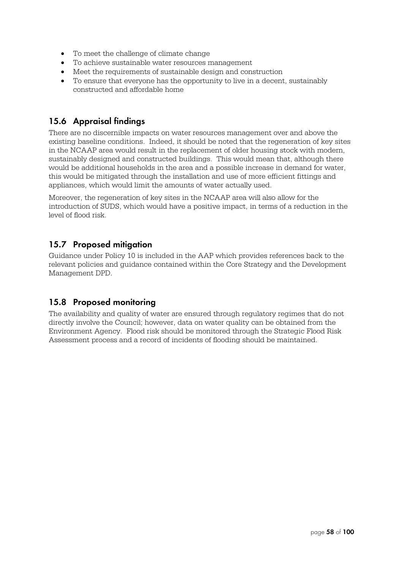- To meet the challenge of climate change
- To achieve sustainable water resources management
- Meet the requirements of sustainable design and construction
- To ensure that everyone has the opportunity to live in a decent, sustainably constructed and affordable home

## **15.6 Appraisal findings**

There are no discernible impacts on water resources management over and above the existing baseline conditions. Indeed, it should be noted that the regeneration of key sites in the NCAAP area would result in the replacement of older housing stock with modern, sustainably designed and constructed buildings. This would mean that, although there would be additional households in the area and a possible increase in demand for water, this would be mitigated through the installation and use of more efficient fittings and appliances, which would limit the amounts of water actually used.

Moreover, the regeneration of key sites in the NCAAP area will also allow for the introduction of SUDS, which would have a positive impact, in terms of a reduction in the level of flood risk.

## **15.7 Proposed mitigation**

Guidance under Policy 10 is included in the AAP which provides references back to the relevant policies and guidance contained within the Core Strategy and the Development Management DPD.

## **15.8 Proposed monitoring**

The availability and quality of water are ensured through regulatory regimes that do not directly involve the Council; however, data on water quality can be obtained from the Environment Agency. Flood risk should be monitored through the Strategic Flood Risk Assessment process and a record of incidents of flooding should be maintained.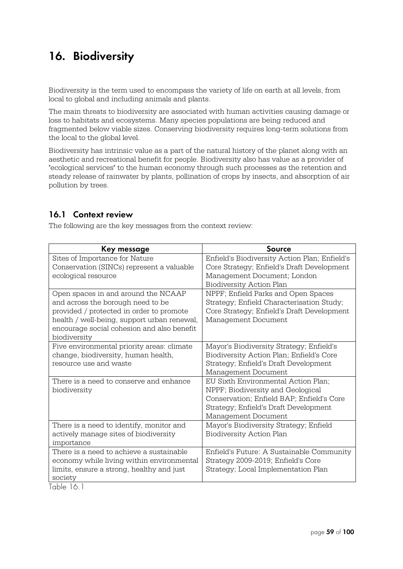## **16. Biodiversity**

Biodiversity is the term used to encompass the variety of life on earth at all levels, from local to global and including animals and plants.

The main threats to biodiversity are associated with human activities causing damage or loss to habitats and ecosystems. Many species populations are being reduced and fragmented below viable sizes. Conserving biodiversity requires long-term solutions from the local to the global level.

Biodiversity has intrinsic value as a part of the natural history of the planet along with an aesthetic and recreational benefit for people. Biodiversity also has value as a provider of "ecological services" to the human economy through such processes as the retention and steady release of rainwater by plants, pollination of crops by insects, and absorption of air pollution by trees.

## **16.1 Context review**

The following are the key messages from the context review:

| Key message                                                                                                                                                                                                                       | <b>Source</b>                                                                                                                                                                         |
|-----------------------------------------------------------------------------------------------------------------------------------------------------------------------------------------------------------------------------------|---------------------------------------------------------------------------------------------------------------------------------------------------------------------------------------|
| Sites of Importance for Nature<br>Conservation (SINCs) represent a valuable<br>ecological resource                                                                                                                                | Enfield's Biodiversity Action Plan; Enfield's<br>Core Strategy; Enfield's Draft Development<br>Management Document; London<br><b>Biodiversity Action Plan</b>                         |
| Open spaces in and around the NCAAP<br>and across the borough need to be<br>provided / protected in order to promote<br>health / well-being, support urban renewal,<br>encourage social cohesion and also benefit<br>biodiversity | NPPF; Enfield Parks and Open Spaces<br>Strategy; Enfield Characterisation Study;<br>Core Strategy; Enfield's Draft Development<br>Management Document                                 |
| Five environmental priority areas: climate<br>change, biodiversity, human health,<br>resource use and waste                                                                                                                       | Mayor's Biodiversity Strategy; Enfield's<br>Biodiversity Action Plan; Enfield's Core<br>Strategy; Enfield's Draft Development<br>Management Document                                  |
| There is a need to conserve and enhance<br>biodiversity                                                                                                                                                                           | EU Sixth Environmental Action Plan;<br>NPPF; Biodiversity and Geological<br>Conservation; Enfield BAP; Enfield's Core<br>Strategy; Enfield's Draft Development<br>Management Document |
| There is a need to identify, monitor and<br>actively manage sites of biodiversity<br>importance                                                                                                                                   | Mayor's Biodiversity Strategy; Enfield<br><b>Biodiversity Action Plan</b>                                                                                                             |
| There is a need to achieve a sustainable<br>economy while living within environmental<br>limits, ensure a strong, healthy and just<br>society<br>.LL 141                                                                          | Enfield's Future: A Sustainable Community<br>Strategy 2009-2019; Enfield's Core<br>Strategy; Local Implementation Plan                                                                |

Table 16.1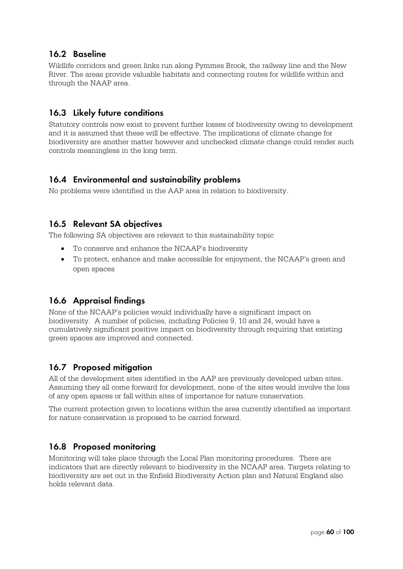## **16.2 Baseline**

Wildlife corridors and green links run along Pymmes Brook, the railway line and the New River. The areas provide valuable habitats and connecting routes for wildlife within and through the NAAP area.

## **16.3 Likely future conditions**

Statutory controls now exist to prevent further losses of biodiversity owing to development and it is assumed that these will be effective. The implications of climate change for biodiversity are another matter however and unchecked climate change could render such controls meaningless in the long term.

#### **16.4 Environmental and sustainability problems**

No problems were identified in the AAP area in relation to biodiversity.

## **16.5 Relevant SA objectives**

The following SA objectives are relevant to this sustainability topic

- To conserve and enhance the NCAAP's biodiversity
- To protect, enhance and make accessible for enjoyment, the NCAAP's green and open spaces

## **16.6 Appraisal findings**

None of the NCAAP's policies would individually have a significant impact on biodiversity. A number of policies, including Policies 9, 10 and 24, would have a cumulatively significant positive impact on biodiversity through requiring that existing green spaces are improved and connected.

## **16.7 Proposed mitigation**

All of the development sites identified in the AAP are previously developed urban sites. Assuming they all come forward for development, none of the sites would involve the loss of any open spaces or fall within sites of importance for nature conservation.

The current protection given to locations within the area currently identified as important for nature conservation is proposed to be carried forward.

## **16.8 Proposed monitoring**

Monitoring will take place through the Local Plan monitoring procedures. There are indicators that are directly relevant to biodiversity in the NCAAP area. Targets relating to biodiversity are set out in the Enfield Biodiversity Action plan and Natural England also holds relevant data.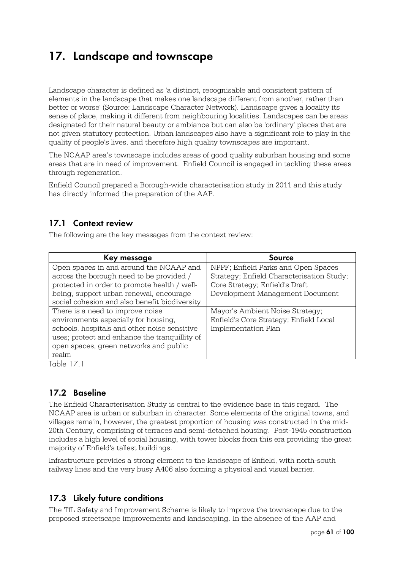## **17. Landscape and townscape**

Landscape character is defined as 'a distinct, recognisable and consistent pattern of elements in the landscape that makes one landscape different from another, rather than better or worse' (Source: Landscape Character Network). Landscape gives a locality its sense of place, making it different from neighbouring localities. Landscapes can be areas designated for their natural beauty or ambiance but can also be 'ordinary' places that are not given statutory protection. Urban landscapes also have a significant role to play in the quality of people's lives, and therefore high quality townscapes are important.

The NCAAP area's townscape includes areas of good quality suburban housing and some areas that are in need of improvement. Enfield Council is engaged in tackling these areas through regeneration.

Enfield Council prepared a Borough-wide characterisation study in 2011 and this study has directly informed the preparation of the AAP.

## **17.1 Context review**

The following are the key messages from the context review:

| Key message                                   | Source                                    |
|-----------------------------------------------|-------------------------------------------|
| Open spaces in and around the NCAAP and       | NPPF; Enfield Parks and Open Spaces       |
| across the borough need to be provided /      | Strategy; Enfield Characterisation Study; |
| protected in order to promote health / well-  | Core Strategy; Enfield's Draft            |
| being, support urban renewal, encourage       | Development Management Document           |
| social cohesion and also benefit biodiversity |                                           |
| There is a need to improve noise              | Mayor's Ambient Noise Strategy;           |
| environments especially for housing,          | Enfield's Core Strategy; Enfield Local    |
| schools, hospitals and other noise sensitive  | <b>Implementation Plan</b>                |
| uses; protect and enhance the tranquillity of |                                           |
| open spaces, green networks and public        |                                           |
| realm                                         |                                           |

Table 17.1

## **17.2 Baseline**

The Enfield Characterisation Study is central to the evidence base in this regard. The NCAAP area is urban or suburban in character. Some elements of the original towns, and villages remain, however, the greatest proportion of housing was constructed in the mid-20th Century, comprising of terraces and semi-detached housing. Post-1945 construction includes a high level of social housing, with tower blocks from this era providing the great majority of Enfield's tallest buildings.

Infrastructure provides a strong element to the landscape of Enfield, with north-south railway lines and the very busy A406 also forming a physical and visual barrier.

## **17.3 Likely future conditions**

The TfL Safety and Improvement Scheme is likely to improve the townscape due to the proposed streetscape improvements and landscaping. In the absence of the AAP and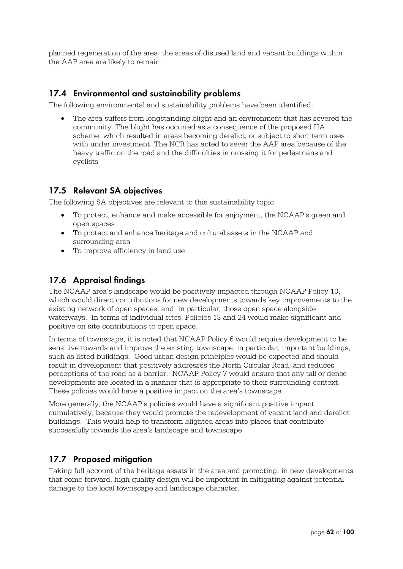planned regeneration of the area, the areas of disused land and vacant buildings within the AAP area are likely to remain.

## **17.4 Environmental and sustainability problems**

The following environmental and sustainability problems have been identified:

 The area suffers from longstanding blight and an environment that has severed the community. The blight has occurred as a consequence of the proposed HA scheme, which resulted in areas becoming derelict, or subject to short term uses with under investment. The NCR has acted to sever the AAP area because of the heavy traffic on the road and the difficulties in crossing it for pedestrians and cyclists

#### **17.5 Relevant SA objectives**

The following SA objectives are relevant to this sustainability topic

- To protect, enhance and make accessible for enjoyment, the NCAAP's green and open spaces
- To protect and enhance heritage and cultural assets in the NCAAP and surrounding area
- To improve efficiency in land use

## **17.6 Appraisal findings**

The NCAAP area's landscape would be positively impacted through NCAAP Policy 10, which would direct contributions for new developments towards key improvements to the existing network of open spaces, and, in particular, those open space alongside waterways. In terms of individual sites, Policies 13 and 24 would make significant and positive on site contributions to open space.

In terms of townscape, it is noted that NCAAP Policy 6 would require development to be sensitive towards and improve the existing townscape, in particular, important buildings, such as listed buildings. Good urban design principles would be expected and should result in development that positively addresses the North Circular Road, and reduces perceptions of the road as a barrier. NCAAP Policy 7 would ensure that any tall or dense developments are located in a manner that is appropriate to their surrounding context. These policies would have a positive impact on the area's townscape.

More generally, the NCAAP's policies would have a significant positive impact cumulatively, because they would promote the redevelopment of vacant land and derelict buildings. This would help to transform blighted areas into places that contribute successfully towards the area's landscape and townscape.

## **17.7 Proposed mitigation**

Taking full account of the heritage assets in the area and promoting, in new developments that come forward, high quality design will be important in mitigating against potential damage to the local townscape and landscape character.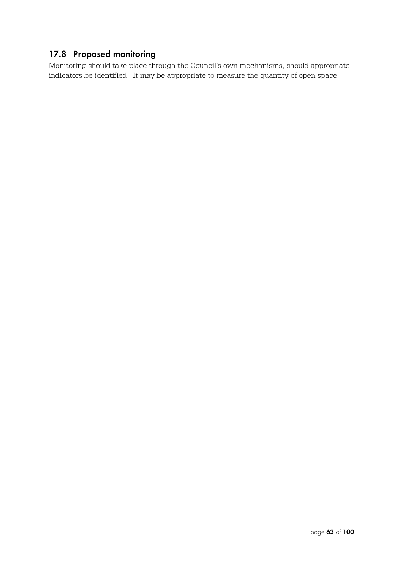## **17.8 Proposed monitoring**

Monitoring should take place through the Council's own mechanisms, should appropriate indicators be identified. It may be appropriate to measure the quantity of open space.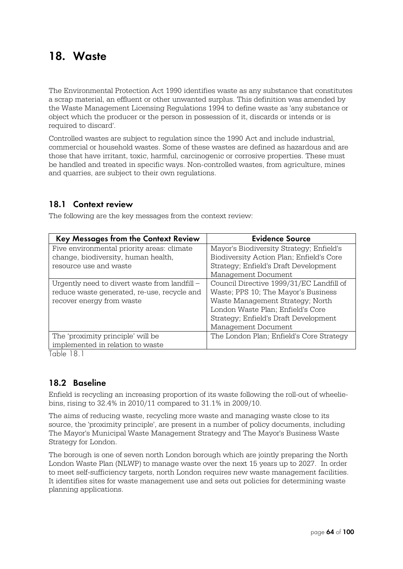## **18. Waste**

The Environmental Protection Act 1990 identifies waste as any substance that constitutes a scrap material, an effluent or other unwanted surplus. This definition was amended by the Waste Management Licensing Regulations 1994 to define waste as 'any substance or object which the producer or the person in possession of it, discards or intends or is required to discard'.

Controlled wastes are subject to regulation since the 1990 Act and include industrial, commercial or household wastes. Some of these wastes are defined as hazardous and are those that have irritant, toxic, harmful, carcinogenic or corrosive properties. These must be handled and treated in specific ways. Non-controlled wastes, from agriculture, mines and quarries, are subject to their own regulations.

#### **18.1 Context review**

The following are the key messages from the context review:

| <b>Key Messages from the Context Review</b>   | <b>Evidence Source</b>                   |
|-----------------------------------------------|------------------------------------------|
| Five environmental priority areas: climate    | Mayor's Biodiversity Strategy; Enfield's |
| change, biodiversity, human health,           | Biodiversity Action Plan; Enfield's Core |
| resource use and waste                        | Strategy; Enfield's Draft Development    |
|                                               | Management Document                      |
| Urgently need to divert waste from landfill - | Council Directive 1999/31/EC Landfill of |
| reduce waste generated, re-use, recycle and   | Waste; PPS 10; The Mayor's Business      |
| recover energy from waste                     | Waste Management Strategy; North         |
|                                               | London Waste Plan; Enfield's Core        |
|                                               | Strategy; Enfield's Draft Development    |
|                                               | Management Document                      |
| The 'proximity principle' will be             | The London Plan; Enfield's Core Strategy |
| implemented in relation to waste              |                                          |

Table 18.1

## **18.2 Baseline**

Enfield is recycling an increasing proportion of its waste following the roll-out of wheeliebins, rising to 32.4% in 2010/11 compared to 31.1% in 2009/10.

The aims of reducing waste, recycling more waste and managing waste close to its source, the 'proximity principle', are present in a number of policy documents, including The Mayor's Municipal Waste Management Strategy and The Mayor's Business Waste Strategy for London.

The borough is one of seven north London borough which are jointly preparing the North London Waste Plan (NLWP) to manage waste over the next 15 years up to 2027. In order to meet self-sufficiency targets, north London requires new waste management facilities. It identifies sites for waste management use and sets out policies for determining waste planning applications.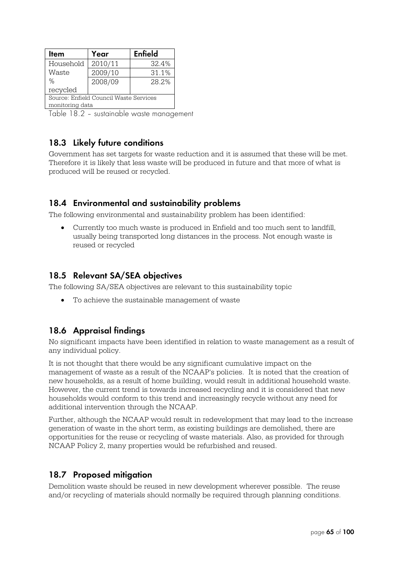| Item                                   | Year    | <b>Enfield</b> |  |  |
|----------------------------------------|---------|----------------|--|--|
| Household                              | 2010/11 | 32.4%          |  |  |
| Waste                                  | 2009/10 | 31.1%          |  |  |
| %                                      | 2008/09 | 28.2%          |  |  |
| recycled                               |         |                |  |  |
| Source: Enfield Council Waste Services |         |                |  |  |
| monitoring data                        |         |                |  |  |

Table 18.2 – sustainable waste management

## **18.3 Likely future conditions**

Government has set targets for waste reduction and it is assumed that these will be met. Therefore it is likely that less waste will be produced in future and that more of what is produced will be reused or recycled.

## **18.4 Environmental and sustainability problems**

The following environmental and sustainability problem has been identified:

 Currently too much waste is produced in Enfield and too much sent to landfill, usually being transported long distances in the process. Not enough waste is reused or recycled

## **18.5 Relevant SA/SEA objectives**

The following SA/SEA objectives are relevant to this sustainability topic

To achieve the sustainable management of waste

## **18.6 Appraisal findings**

No significant impacts have been identified in relation to waste management as a result of any individual policy.

It is not thought that there would be any significant cumulative impact on the management of waste as a result of the NCAAP's policies. It is noted that the creation of new households, as a result of home building, would result in additional household waste. However, the current trend is towards increased recycling and it is considered that new households would conform to this trend and increasingly recycle without any need for additional intervention through the NCAAP.

Further, although the NCAAP would result in redevelopment that may lead to the increase generation of waste in the short term, as existing buildings are demolished, there are opportunities for the reuse or recycling of waste materials. Also, as provided for through NCAAP Policy 2, many properties would be refurbished and reused.

#### **18.7 Proposed mitigation**

Demolition waste should be reused in new development wherever possible. The reuse and/or recycling of materials should normally be required through planning conditions.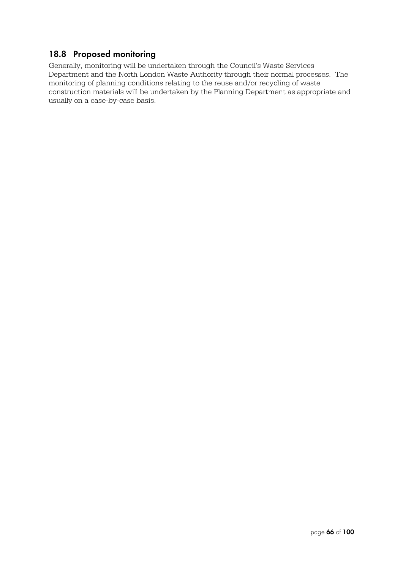## **18.8 Proposed monitoring**

Generally, monitoring will be undertaken through the Council's Waste Services Department and the North London Waste Authority through their normal processes. The monitoring of planning conditions relating to the reuse and/or recycling of waste construction materials will be undertaken by the Planning Department as appropriate and usually on a case-by-case basis.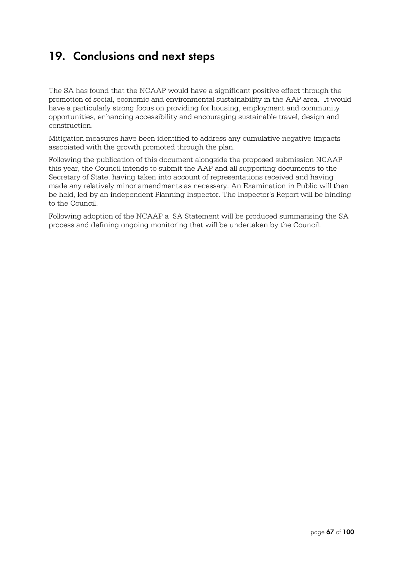## **19. Conclusions and next steps**

The SA has found that the NCAAP would have a significant positive effect through the promotion of social, economic and environmental sustainability in the AAP area. It would have a particularly strong focus on providing for housing, employment and community opportunities, enhancing accessibility and encouraging sustainable travel, design and construction.

Mitigation measures have been identified to address any cumulative negative impacts associated with the growth promoted through the plan.

Following the publication of this document alongside the proposed submission NCAAP this year, the Council intends to submit the AAP and all supporting documents to the Secretary of State, having taken into account of representations received and having made any relatively minor amendments as necessary. An Examination in Public will then be held, led by an independent Planning Inspector. The Inspector's Report will be binding to the Council.

Following adoption of the NCAAP a SA Statement will be produced summarising the SA process and defining ongoing monitoring that will be undertaken by the Council.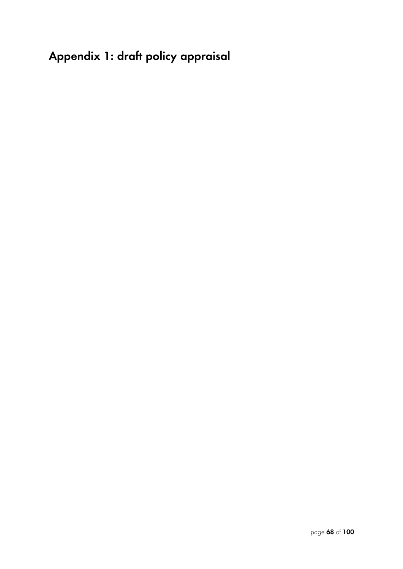# **Appendix 1: draft policy appraisal**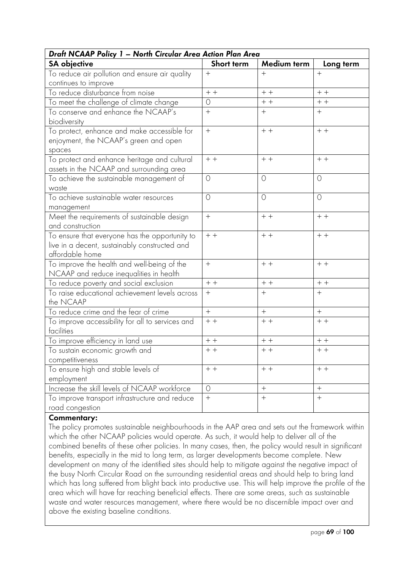| Draft NCAAP Policy 1 - North Circular Area Action Plan Area |                  |                  |                |  |  |  |
|-------------------------------------------------------------|------------------|------------------|----------------|--|--|--|
| <b>SA</b> objective                                         | Short term       | Medium term      | Long term      |  |  |  |
| To reduce air pollution and ensure air quality              | $+$              | $+$              | $+$            |  |  |  |
| continues to improve                                        |                  |                  |                |  |  |  |
| To reduce disturbance from noise                            | $+ +$            | $+ +$            | $+ +$          |  |  |  |
| To meet the challenge of climate change                     | $\circ$          | $+ +$            | $\,+\,$ + $\,$ |  |  |  |
| To conserve and enhance the NCAAP's                         | $+$              | $+$              | $+$            |  |  |  |
| biodiversity                                                |                  |                  |                |  |  |  |
| To protect, enhance and make accessible for                 | $+$              | $+ +$            | $+ +$          |  |  |  |
| enjoyment, the NCAAP's green and open                       |                  |                  |                |  |  |  |
| spaces                                                      |                  |                  |                |  |  |  |
| To protect and enhance heritage and cultural                | $+ +$            | $+ +$            | $+ +$          |  |  |  |
| assets in the NCAAP and surrounding area                    |                  |                  |                |  |  |  |
| To achieve the sustainable management of                    | $\circ$          | $\circ$          | $\circ$        |  |  |  |
| waste                                                       |                  |                  |                |  |  |  |
| To achieve sustainable water resources                      | $\bigcirc$       | $\circ$          | $\circ$        |  |  |  |
| management                                                  |                  |                  |                |  |  |  |
| Meet the requirements of sustainable design                 | $^{+}$           | $+ +$            | $+ +$          |  |  |  |
| and construction                                            |                  |                  |                |  |  |  |
| To ensure that everyone has the opportunity to              | $+ +$            | $+ +$            | $\,+\,$ + $\,$ |  |  |  |
| live in a decent, sustainably constructed and               |                  |                  |                |  |  |  |
| affordable home                                             |                  |                  |                |  |  |  |
| To improve the health and well-being of the                 | $+$              | $+ +$            | $+ +$          |  |  |  |
| NCAAP and reduce inequalities in health                     |                  |                  |                |  |  |  |
| To reduce poverty and social exclusion                      | $+ +$            | $+ +$            | $+ +$          |  |  |  |
| To raise educational achievement levels across              | $+$              | $^{+}$           | $^{+}$         |  |  |  |
| the NCAAP                                                   |                  |                  |                |  |  |  |
| To reduce crime and the fear of crime                       | $+$              | $+$              | $+$            |  |  |  |
| To improve accessibility for all to services and            | $+ +$            | $+ +$            | $+ +$          |  |  |  |
| facilities                                                  |                  |                  |                |  |  |  |
| To improve efficiency in land use                           | $+ +$            | $+ +$            | $+ +$          |  |  |  |
| To sustain economic growth and                              | $+ +$            | $+ +$            | $+ +$          |  |  |  |
| competitiveness                                             |                  |                  |                |  |  |  |
| To ensure high and stable levels of                         | $+ +$            | $++$             | $+ +$          |  |  |  |
| employment                                                  |                  |                  |                |  |  |  |
| Increase the skill levels of NCAAP workforce                | $\circ$          | $\ddot{}$        | $+$            |  |  |  |
| To improve transport infrastructure and reduce              | $\boldsymbol{+}$ | $\boldsymbol{+}$ |                |  |  |  |
| road congestion                                             |                  |                  |                |  |  |  |

## **Commentary:**

The policy promotes sustainable neighbourhoods in the AAP area and sets out the framework within which the other NCAAP policies would operate. As such, it would help to deliver all of the combined benefits of these other policies. In many cases, then, the policy would result in significant benefits, especially in the mid to long term, as larger developments become complete. New development on many of the identified sites should help to mitigate against the negative impact of the busy North Circular Road on the surrounding residential areas and should help to bring land which has long suffered from blight back into productive use. This will help improve the profile of the area which will have far reaching beneficial effects. There are some areas, such as sustainable waste and water resources management, where there would be no discernible impact over and above the existing baseline conditions.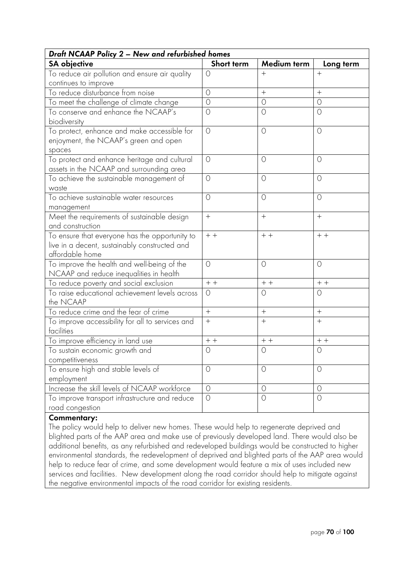| Draft NCAAP Policy 2 - New and refurbished homes                                                                   |            |                |            |  |  |  |
|--------------------------------------------------------------------------------------------------------------------|------------|----------------|------------|--|--|--|
| <b>SA</b> objective                                                                                                | Short term | Medium term    | Long term  |  |  |  |
| To reduce air pollution and ensure air quality                                                                     | $\circ$    | $+$            | $+$        |  |  |  |
| continues to improve                                                                                               |            |                |            |  |  |  |
| To reduce disturbance from noise                                                                                   | $\circ$    | $+$            | $+$        |  |  |  |
| To meet the challenge of climate change                                                                            | $\circ$    | $\circ$        | $\circ$    |  |  |  |
| To conserve and enhance the NCAAP's<br>biodiversity                                                                | $\circ$    | $\circ$        | $\circ$    |  |  |  |
| To protect, enhance and make accessible for<br>enjoyment, the NCAAP's green and open<br>spaces                     | $\circ$    | $\circ$        | $\circ$    |  |  |  |
| To protect and enhance heritage and cultural<br>assets in the NCAAP and surrounding area                           | $\circ$    | $\circ$        | $\circ$    |  |  |  |
| To achieve the sustainable management of<br>waste                                                                  | $\circ$    | $\circ$        | $\circ$    |  |  |  |
| To achieve sustainable water resources<br>management                                                               | $\circ$    | $\circ$        | $\circ$    |  |  |  |
| Meet the requirements of sustainable design<br>and construction                                                    | $+$        | $^{+}$         | $+$        |  |  |  |
| To ensure that everyone has the opportunity to<br>live in a decent, sustainably constructed and<br>affordable home | $+ +$      | $+ +$          | $+ +$      |  |  |  |
| To improve the health and well-being of the<br>NCAAP and reduce inequalities in health                             | $\bigcirc$ | $\circ$        | $\circ$    |  |  |  |
| To reduce poverty and social exclusion                                                                             | $+ +$      | $+ +$          | $++$       |  |  |  |
| To raise educational achievement levels across<br>the NCAAP                                                        | $\circ$    | $\circ$        | $\circ$    |  |  |  |
| To reduce crime and the fear of crime                                                                              | $+$        | $^{+}$         | $+$        |  |  |  |
| To improve accessibility for all to services and<br>facilities                                                     | $^{+}$     | $^{+}$         | $^{+}$     |  |  |  |
| To improve efficiency in land use                                                                                  | $+ +$      | $+ +$          | $+ +$      |  |  |  |
| To sustain economic growth and<br>competitiveness                                                                  | $\bigcirc$ | $\bigcirc$     | $\bigcirc$ |  |  |  |
| To ensure high and stable levels of<br>employment                                                                  | $\circ$    | $\circ$        | $\circ$    |  |  |  |
| Increase the skill levels of NCAAP workforce                                                                       | $\circ$    | $\circ$        | $\circ$    |  |  |  |
| To improve transport infrastructure and reduce<br>road congestion                                                  | $\circ$    | $\overline{O}$ | $\bigcirc$ |  |  |  |

#### **Commentary:**

The policy would help to deliver new homes. These would help to regenerate deprived and blighted parts of the AAP area and make use of previously developed land. There would also be additional benefits, as any refurbished and redeveloped buildings would be constructed to higher environmental standards, the redevelopment of deprived and blighted parts of the AAP area would help to reduce fear of crime, and some development would feature a mix of uses included new services and facilities. New development along the road corridor should help to mitigate against the negative environmental impacts of the road corridor for existing residents.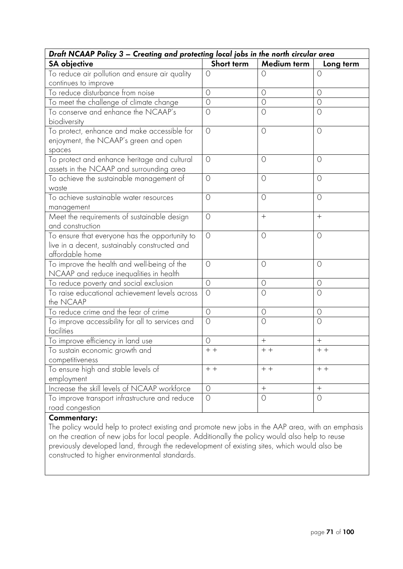| Draft NCAAP Policy 3 - Creating and protecting local jobs in the north circular area                               |            |                  |                   |
|--------------------------------------------------------------------------------------------------------------------|------------|------------------|-------------------|
| <b>SA</b> objective                                                                                                | Short term | Medium term      | Long term         |
| To reduce air pollution and ensure air quality                                                                     | $\circ$    | $\circ$          | $\Omega$          |
| continues to improve                                                                                               |            |                  |                   |
| To reduce disturbance from noise                                                                                   | $\circ$    | $\circ$          | $\circ$           |
| To meet the challenge of climate change                                                                            | $\circ$    | $\circ$          | $\circ$           |
| To conserve and enhance the NCAAP's<br>biodiversity                                                                | $\circ$    | $\circ$          | $\circ$           |
| To protect, enhance and make accessible for<br>enjoyment, the NCAAP's green and open<br>spaces                     | $\circ$    | $\circ$          | $\circ$           |
| To protect and enhance heritage and cultural<br>assets in the NCAAP and surrounding area                           | $\bigcirc$ | $\circ$          | $\circ$           |
| To achieve the sustainable management of<br>waste                                                                  | $\circ$    | $\circ$          | $\circ$           |
| To achieve sustainable water resources<br>management                                                               | $\circ$    | $\circ$          | $\circ$           |
| Meet the requirements of sustainable design<br>and construction                                                    | $\circ$    | $^{+}$           | $^{+}$            |
| To ensure that everyone has the opportunity to<br>live in a decent, sustainably constructed and<br>affordable home | $\circ$    | $\circ$          | $\circ$           |
| To improve the health and well-being of the<br>NCAAP and reduce inequalities in health                             | $\bigcirc$ | $\circ$          | $\circ$           |
| To reduce poverty and social exclusion                                                                             | $\circ$    | $\circ$          | $\circ$           |
| To raise educational achievement levels across<br>the NCAAP                                                        | $\circ$    | $\circ$          | $\circ$           |
| To reduce crime and the fear of crime                                                                              | $\circ$    | $\circ$          | 0                 |
| To improve accessibility for all to services and<br>facilities                                                     | $\bigcirc$ | $\circ$          | $\bigcirc$        |
| To improve efficiency in land use                                                                                  | $\circ$    | $^{+}$           | $+$               |
| To sustain economic growth and                                                                                     | $+ +$      | $+ +$            | $+ +$             |
| competitiveness                                                                                                    |            |                  |                   |
| To ensure high and stable levels of                                                                                | $+ +$      | $++$             | $+ +$             |
| employment                                                                                                         |            |                  |                   |
| Increase the skill levels of NCAAP workforce                                                                       | $\circ$    | $\boldsymbol{+}$ | $\qquad \qquad +$ |
| To improve transport infrastructure and reduce                                                                     | $\circ$    | $\circ$          | $\circ$           |
| road congestion                                                                                                    |            |                  |                   |

The policy would help to protect existing and promote new jobs in the AAP area, with an emphasis on the creation of new jobs for local people. Additionally the policy would also help to reuse previously developed land, through the redevelopment of existing sites, which would also be constructed to higher environmental standards.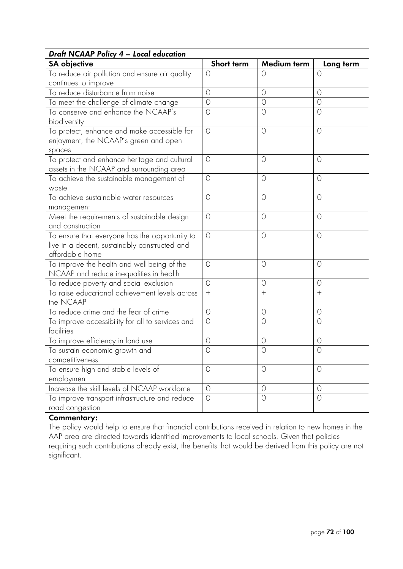| Draft NCAAP Policy 4 - Local education                                                                             |            |             |            |
|--------------------------------------------------------------------------------------------------------------------|------------|-------------|------------|
| <b>SA</b> objective                                                                                                | Short term | Medium term | Long term  |
| To reduce air pollution and ensure air quality                                                                     | $\circ$    | $\circ$     | 0          |
| continues to improve                                                                                               |            |             |            |
| To reduce disturbance from noise                                                                                   | $\circ$    | $\circ$     | $\circ$    |
| To meet the challenge of climate change                                                                            | $\circ$    | $\circ$     | $\circ$    |
| To conserve and enhance the NCAAP's<br>biodiversity                                                                | $\circ$    | $\circ$     | $\circ$    |
| To protect, enhance and make accessible for<br>enjoyment, the NCAAP's green and open<br>spaces                     | $\circ$    | $\circ$     | $\circ$    |
| To protect and enhance heritage and cultural<br>assets in the NCAAP and surrounding area                           | $\circ$    | $\circ$     | $\circ$    |
| To achieve the sustainable management of<br>waste                                                                  | $\circ$    | $\circ$     | $\circ$    |
| To achieve sustainable water resources<br>management                                                               | $\circ$    | $\circ$     | $\circ$    |
| Meet the requirements of sustainable design<br>and construction                                                    | $\circ$    | $\circ$     | $\circ$    |
| To ensure that everyone has the opportunity to<br>live in a decent, sustainably constructed and<br>affordable home | $\circ$    | $\circ$     | $\circ$    |
| To improve the health and well-being of the<br>NCAAP and reduce inequalities in health                             | $\bigcirc$ | $\circ$     | $\circ$    |
| To reduce poverty and social exclusion                                                                             | $\circ$    | $\circ$     | $\circ$    |
| To raise educational achievement levels across<br>the NCAAP                                                        |            | $^{+}$      | $^{+}$     |
| To reduce crime and the fear of crime                                                                              | $\circ$    | $\circ$     | 0          |
| To improve accessibility for all to services and<br>facilities                                                     | $\bigcirc$ | $\circ$     | $\bigcirc$ |
| To improve efficiency in land use                                                                                  | $\circ$    | $\circ$     | 0          |
| To sustain economic growth and<br>competitiveness                                                                  | $\bigcirc$ | $\circ$     | $\circ$    |
| To ensure high and stable levels of<br>employment                                                                  | $\circ$    | $\circ$     | $\circ$    |
| Increase the skill levels of NCAAP workforce                                                                       | $\circ$    | $\circ$     | $\circ$    |
| To improve transport infrastructure and reduce<br>road congestion                                                  | $\circ$    | $\circ$     | $\bigcirc$ |

The policy would help to ensure that financial contributions received in relation to new homes in the AAP area are directed towards identified improvements to local schools. Given that policies requiring such contributions already exist, the benefits that would be derived from this policy are not significant.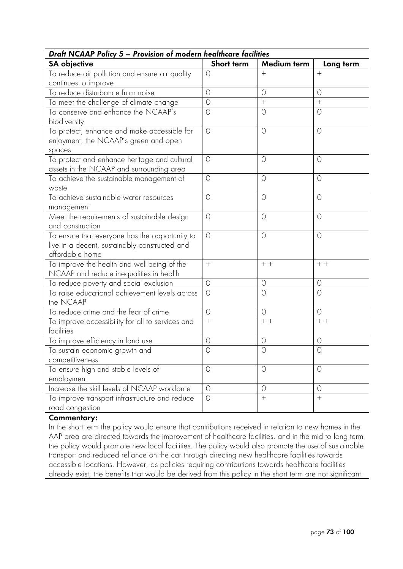| Draft NCAAP Policy 5 - Provision of modern healthcare facilities                                                   |            |                   |            |
|--------------------------------------------------------------------------------------------------------------------|------------|-------------------|------------|
| <b>SA</b> objective                                                                                                | Short term | Medium term       | Long term  |
| To reduce air pollution and ensure air quality                                                                     | O          | $^{+}$            | $+$        |
| continues to improve                                                                                               |            |                   |            |
| To reduce disturbance from noise                                                                                   | $\circ$    | $\circ$           | $\circ$    |
| To meet the challenge of climate change                                                                            | $\circ$    | $\qquad \qquad +$ | $+$        |
| To conserve and enhance the NCAAP's<br>biodiversity                                                                | $\circ$    | $\circ$           | 0          |
| To protect, enhance and make accessible for<br>enjoyment, the NCAAP's green and open<br>spaces                     | $\circ$    | $\circ$           | $\circ$    |
| To protect and enhance heritage and cultural<br>assets in the NCAAP and surrounding area                           | $\circ$    | $\circ$           | $\circ$    |
| To achieve the sustainable management of<br>waste                                                                  | $\circ$    | $\circ$           | $\circ$    |
| To achieve sustainable water resources<br>management                                                               | $\circ$    | $\circ$           | $\circ$    |
| Meet the requirements of sustainable design<br>and construction                                                    | $\circ$    | $\circ$           | $\circ$    |
| To ensure that everyone has the opportunity to<br>live in a decent, sustainably constructed and<br>affordable home | $\circ$    | $\circ$           | $\circ$    |
| To improve the health and well-being of the<br>NCAAP and reduce inequalities in health                             | $+$        | $++$              | $+ +$      |
| To reduce poverty and social exclusion                                                                             | $\circ$    | $\circ$           | $\circ$    |
| To raise educational achievement levels across<br>the NCAAP                                                        | $\circ$    | $\circ$           | $\circ$    |
| To reduce crime and the fear of crime                                                                              | $\circ$    | $\circ$           | $\circ$    |
| To improve accessibility for all to services and<br>facilities                                                     | $^{+}$     | $+$ +             | $+ +$      |
| To improve efficiency in land use                                                                                  | $\circ$    | $\circ$           | $\circ$    |
| To sustain economic growth and<br>competitiveness                                                                  | $\bigcirc$ | $\bigcirc$        | $\bigcirc$ |
| To ensure high and stable levels of<br>employment                                                                  | $\circ$    | $\circ$           | 0          |
| Increase the skill levels of NCAAP workforce                                                                       | $\circ$    | $\circ$           | $\circ$    |
| To improve transport infrastructure and reduce<br>road congestion                                                  | $\bigcirc$ | $\qquad \qquad +$ | $+$        |

In the short term the policy would ensure that contributions received in relation to new homes in the AAP area are directed towards the improvement of healthcare facilities, and in the mid to long term the policy would promote new local facilities. The policy would also promote the use of sustainable transport and reduced reliance on the car through directing new healthcare facilities towards accessible locations. However, as policies requiring contributions towards healthcare facilities already exist, the benefits that would be derived from this policy in the short term are not significant.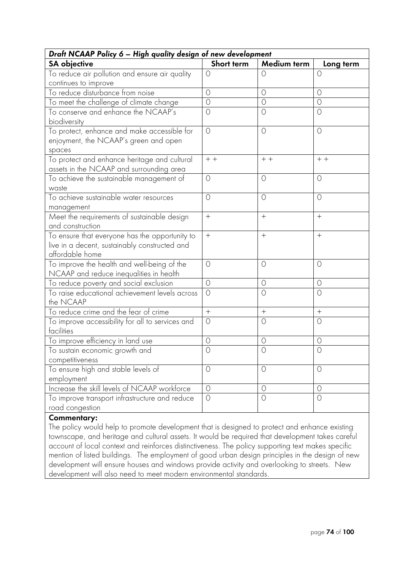|                                                                                                                    | Draft NCAAP Policy 6 - High quality design of new development |             |            |  |
|--------------------------------------------------------------------------------------------------------------------|---------------------------------------------------------------|-------------|------------|--|
| <b>SA</b> objective                                                                                                | Short term                                                    | Medium term | Long term  |  |
| To reduce air pollution and ensure air quality                                                                     | $\circ$                                                       | $\circ$     | $\bigcirc$ |  |
| continues to improve                                                                                               |                                                               |             |            |  |
| To reduce disturbance from noise                                                                                   | $\bigcirc$                                                    | $\circ$     | $\circ$    |  |
| To meet the challenge of climate change                                                                            | $\circ$                                                       | $\circ$     | $\circ$    |  |
| To conserve and enhance the NCAAP's<br>biodiversity                                                                | $\circ$                                                       | $\circ$     | $\circ$    |  |
| To protect, enhance and make accessible for<br>enjoyment, the NCAAP's green and open<br>spaces                     | $\circ$                                                       | $\circ$     | $\circ$    |  |
| To protect and enhance heritage and cultural<br>assets in the NCAAP and surrounding area                           | $+ +$                                                         | $+ +$       | $+ +$      |  |
| To achieve the sustainable management of<br>waste                                                                  | $\circ$                                                       | $\circ$     | $\circ$    |  |
| To achieve sustainable water resources<br>management                                                               | $\circ$                                                       | $\circ$     | $\circ$    |  |
| Meet the requirements of sustainable design<br>and construction                                                    | $+$                                                           | $^{+}$      | $+$        |  |
| To ensure that everyone has the opportunity to<br>live in a decent, sustainably constructed and<br>affordable home | $+$                                                           | $+$         | $+$        |  |
| To improve the health and well-being of the<br>NCAAP and reduce inequalities in health                             | $\circ$                                                       | $\circ$     | $\circ$    |  |
| To reduce poverty and social exclusion                                                                             | $\circ$                                                       | $\circ$     | $\circ$    |  |
| To raise educational achievement levels across<br>the NCAAP                                                        | $\circ$                                                       | $\circ$     | $\circ$    |  |
| To reduce crime and the fear of crime                                                                              | $+$                                                           | $^{+}$      | $^{+}$     |  |
| To improve accessibility for all to services and<br>facilities                                                     | $\circ$                                                       | $\circ$     | $\circ$    |  |
| To improve efficiency in land use                                                                                  | $\circ$                                                       | $\circ$     | $\circ$    |  |
| To sustain economic growth and<br>competitiveness                                                                  | $\bigcirc$                                                    | $\bigcirc$  | $\bigcirc$ |  |
| To ensure high and stable levels of<br>employment                                                                  | $\circ$                                                       | $\circ$     | $\circ$    |  |
| Increase the skill levels of NCAAP workforce                                                                       | $\circ$                                                       | $\circ$     | $\circ$    |  |
| To improve transport infrastructure and reduce<br>road congestion                                                  | $\circ$                                                       | $\circ$     | $\circ$    |  |

The policy would help to promote development that is designed to protect and enhance existing townscape, and heritage and cultural assets. It would be required that development takes careful account of local context and reinforces distinctiveness. The policy supporting text makes specific mention of listed buildings. The employment of good urban design principles in the design of new development will ensure houses and windows provide activity and overlooking to streets. New development will also need to meet modern environmental standards.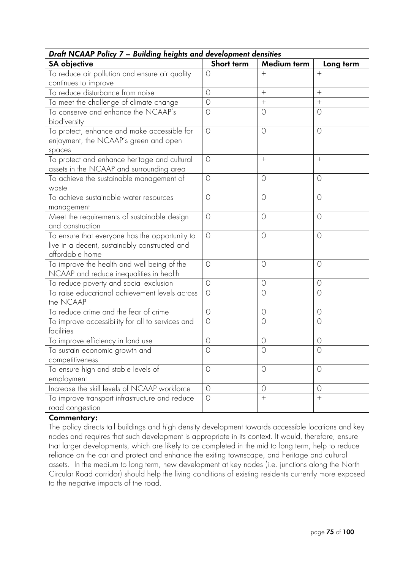| Draft NCAAP Policy 7 - Building heights and development densities                                                  |                |             |            |
|--------------------------------------------------------------------------------------------------------------------|----------------|-------------|------------|
| <b>SA</b> objective                                                                                                | Short term     | Medium term | Long term  |
| To reduce air pollution and ensure air quality                                                                     | $\circ$        | $+$         | $+$        |
| continues to improve                                                                                               |                |             |            |
| To reduce disturbance from noise                                                                                   | $\circ$        | $+$         | $+$        |
| To meet the challenge of climate change                                                                            | $\bigcirc$     | $\ddot{}$   | $^{+}$     |
| To conserve and enhance the NCAAP's<br>biodiversity                                                                | $\bigcirc$     | $\circ$     | $\bigcirc$ |
| To protect, enhance and make accessible for<br>enjoyment, the NCAAP's green and open<br>spaces                     | $\circ$        | $\circ$     | $\circ$    |
| To protect and enhance heritage and cultural<br>assets in the NCAAP and surrounding area                           | $\circ$        | $^{+}$      | $+$        |
| To achieve the sustainable management of<br>waste                                                                  | $\overline{O}$ | $\circ$     | $\circ$    |
| To achieve sustainable water resources<br>management                                                               | $\circ$        | $\circ$     | $\circ$    |
| Meet the requirements of sustainable design<br>and construction                                                    | $\circ$        | $\circ$     | $\circ$    |
| To ensure that everyone has the opportunity to<br>live in a decent, sustainably constructed and<br>affordable home | $\circ$        | $\circ$     | $\circ$    |
| To improve the health and well-being of the<br>NCAAP and reduce inequalities in health                             | $\overline{O}$ | $\circ$     | $\bigcirc$ |
| To reduce poverty and social exclusion                                                                             | $\circ$        | $\circ$     | $\circ$    |
| To raise educational achievement levels across<br>the NCAAP                                                        | $\overline{O}$ | $\circ$     | $\circ$    |
| To reduce crime and the fear of crime                                                                              | $\circ$        | $\circ$     | $\circ$    |
| To improve accessibility for all to services and<br>facilities                                                     | $\overline{O}$ | $\circ$     | $\circ$    |
| To improve efficiency in land use                                                                                  | $\circ$        | $\circ$     | $\circ$    |
| To sustain economic growth and<br>competitiveness                                                                  | $\circ$        | $\circ$     | O          |
| To ensure high and stable levels of<br>employment                                                                  | $\circ$        | $\circ$     | $\circ$    |
| Increase the skill levels of NCAAP workforce                                                                       | $\circ$        | $\circ$     | $\circ$    |
| To improve transport infrastructure and reduce<br>road congestion                                                  | $\circ$        | $\ddot{}$   | $+$        |

The policy directs tall buildings and high density development towards accessible locations and key nodes and requires that such development is appropriate in its context. It would, therefore, ensure that larger developments, which are likely to be completed in the mid to long term, help to reduce reliance on the car and protect and enhance the exiting townscape, and heritage and cultural assets. In the medium to long term, new development at key nodes (i.e. junctions along the North Circular Road corridor) should help the living conditions of existing residents currently more exposed to the negative impacts of the road.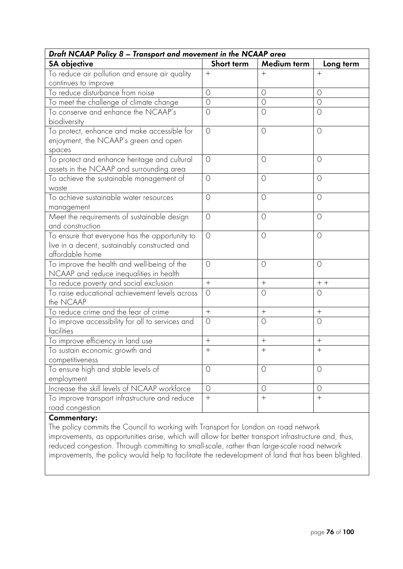| Draft NCAAP Policy 8 - Transport and movement in the NCAAP area |                  |           |  |
|-----------------------------------------------------------------|------------------|-----------|--|
| Short term                                                      | Medium term      | Long term |  |
| $+$                                                             | $\mathrm{+}$     | $+$       |  |
|                                                                 |                  |           |  |
| $\circ$                                                         | $\circ$          | $\circ$   |  |
| $\circ$                                                         | $\circ$          | $\circ$   |  |
| $\circ$                                                         | $\circ$          | $\circ$   |  |
| $\circ$                                                         | $\circ$          | $\circ$   |  |
| $\circ$                                                         | $\circ$          | $\circ$   |  |
| $\circ$                                                         | $\circ$          | $\circ$   |  |
| $\bigcirc$                                                      | $\circ$          | $\circ$   |  |
| $\circ$                                                         | $\circ$          | $\circ$   |  |
| $\circ$                                                         | $\circ$          | $\circ$   |  |
| $\bigcirc$                                                      | $\circ$          | $\circ$   |  |
| $+$                                                             | $+$              | $+ +$     |  |
| $\circ$                                                         | $\circ$          | 0         |  |
| $+$                                                             | $^{+}$           | $+$       |  |
| $\circ$                                                         | $\circ$          | 0         |  |
| $+$                                                             | $^{+}$           | $^{+}$    |  |
| $\ddot{}$                                                       | $+$              | $+$       |  |
| $\circ$                                                         | $\circ$          | $\circ$   |  |
| $\circ$                                                         | $\circ$          | $\circ$   |  |
| $+$                                                             | $\boldsymbol{+}$ | $+$       |  |
|                                                                 |                  |           |  |

The policy commits the Council to working with Transport for London on road network improvements, as opportunities arise, which will allow for better transport infrastructure and, thus, reduced congestion. Through committing to small-scale, rather than large-scale road network improvements, the policy would help to facilitate the redevelopment of land that has been blighted.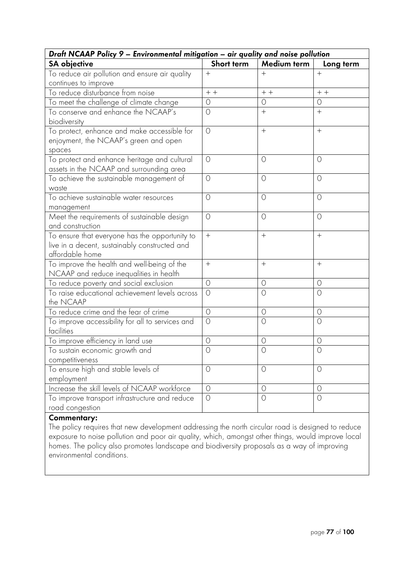| Draft NCAAP Policy 9 - Environmental mitigation - air quality and noise pollution                                  |                |                |                |
|--------------------------------------------------------------------------------------------------------------------|----------------|----------------|----------------|
| <b>SA</b> objective                                                                                                | Short term     | Medium term    | Long term      |
| To reduce air pollution and ensure air quality                                                                     | $^{+}$         | $^{+}$         | $+$            |
| continues to improve                                                                                               |                |                |                |
| To reduce disturbance from noise                                                                                   | $+ +$          | $++$           | $+ +$          |
| To meet the challenge of climate change                                                                            | $\circ$        | $\circ$        | O              |
| To conserve and enhance the NCAAP's<br>biodiversity                                                                | $\bigcirc$     |                | $+$            |
| To protect, enhance and make accessible for<br>enjoyment, the NCAAP's green and open<br>spaces                     | $\circ$        |                | $+$            |
| To protect and enhance heritage and cultural<br>assets in the NCAAP and surrounding area                           | $\circ$        | $\circ$        | $\circ$        |
| To achieve the sustainable management of<br>waste                                                                  | $\circ$        | $\circ$        | $\circ$        |
| To achieve sustainable water resources<br>management                                                               | $\circ$        | $\circ$        | $\circ$        |
| Meet the requirements of sustainable design<br>and construction                                                    | $\circ$        | $\circ$        | $\circ$        |
| To ensure that everyone has the opportunity to<br>live in a decent, sustainably constructed and<br>affordable home | $+$            | $^{+}$         | $+$            |
| To improve the health and well-being of the<br>NCAAP and reduce inequalities in health                             | $+$            |                | $+$            |
| To reduce poverty and social exclusion                                                                             | $\circ$        | $\circ$        | $\circ$        |
| To raise educational achievement levels across<br>the NCAAP                                                        | $\circ$        | $\circ$        | $\circ$        |
| To reduce crime and the fear of crime                                                                              | $\circ$        | $\circ$        | $\circ$        |
| To improve accessibility for all to services and<br>facilities                                                     | $\overline{O}$ | $\overline{O}$ | $\overline{O}$ |
| To improve efficiency in land use                                                                                  | $\circ$        | $\circ$        | $\circ$        |
| To sustain economic growth and<br>competitiveness                                                                  | $\circ$        | $\bigcirc$     | $\bigcap$      |
| To ensure high and stable levels of<br>employment                                                                  | $\circ$        | $\circ$        | 0              |
| Increase the skill levels of NCAAP workforce                                                                       | $\circ$        | $\circ$        | $\circ$        |
| To improve transport infrastructure and reduce<br>road congestion                                                  | $\circ$        | $\overline{O}$ | $\bigcirc$     |

The policy requires that new development addressing the north circular road is designed to reduce exposure to noise pollution and poor air quality, which, amongst other things, would improve local homes. The policy also promotes landscape and biodiversity proposals as a way of improving environmental conditions.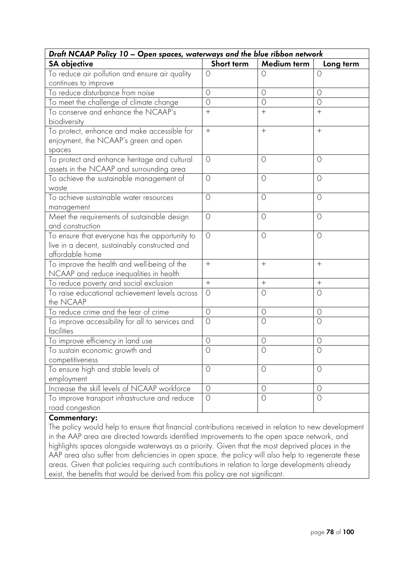| Draft NCAAP Policy 10 - Open spaces, waterways and the blue ribbon network                                         |                  |             |            |
|--------------------------------------------------------------------------------------------------------------------|------------------|-------------|------------|
| <b>SA</b> objective                                                                                                | Short term       | Medium term | Long term  |
| To reduce air pollution and ensure air quality                                                                     | $\circ$          | $\circ$     | $\circ$    |
| continues to improve                                                                                               |                  |             |            |
| To reduce disturbance from noise                                                                                   | $\circ$          | $\circ$     | $\circ$    |
| To meet the challenge of climate change                                                                            | $\overline{O}$   | $\circ$     | $\circ$    |
| To conserve and enhance the NCAAP's<br>biodiversity                                                                | $+$              | $+$         | $+$        |
| To protect, enhance and make accessible for<br>enjoyment, the NCAAP's green and open<br>spaces                     | $\boldsymbol{+}$ |             | $+$        |
| To protect and enhance heritage and cultural<br>assets in the NCAAP and surrounding area                           | $\bigcirc$       | $\circ$     | $\circ$    |
| To achieve the sustainable management of<br>waste                                                                  | $\circ$          | $\circ$     | $\circ$    |
| To achieve sustainable water resources<br>management                                                               | $\bigcirc$       | $\circ$     | $\circ$    |
| Meet the requirements of sustainable design<br>and construction                                                    | $\circ$          | $\circ$     | O          |
| To ensure that everyone has the opportunity to<br>live in a decent, sustainably constructed and<br>affordable home | $\circ$          | $\circ$     | $\circ$    |
| To improve the health and well-being of the<br>NCAAP and reduce inequalities in health                             | $+$              | $+$         | $+$        |
| To reduce poverty and social exclusion                                                                             | $+$              | $^{+}$      | $+$        |
| To raise educational achievement levels across<br>the NCAAP                                                        | $\circ$          | $\circ$     | $\circ$    |
| To reduce crime and the fear of crime                                                                              | $\circ$          | $\circ$     | $\circ$    |
| To improve accessibility for all to services and<br>facilities                                                     | $\bigcirc$       | $\circ$     | $\bigcirc$ |
| To improve efficiency in land use                                                                                  | $\circ$          | $\circ$     | 0          |
| To sustain economic growth and<br>competitiveness                                                                  | $\bigcirc$       | $\circ$     | $\circ$    |
| To ensure high and stable levels of<br>employment                                                                  | $\circ$          | $\circ$     | $\circ$    |
| Increase the skill levels of NCAAP workforce                                                                       | $\circ$          | $\circ$     | $\circ$    |
| To improve transport infrastructure and reduce<br>road congestion                                                  | $\circ$          | $\circ$     | $\circ$    |

The policy would help to ensure that financial contributions received in relation to new development in the AAP area are directed towards identified improvements to the open space network, and highlights spaces alongside waterways as a priority. Given that the most deprived places in the AAP area also suffer from deficiencies in open space, the policy will also help to regenerate these areas. Given that policies requiring such contributions in relation to large developments already exist, the benefits that would be derived from this policy are not significant.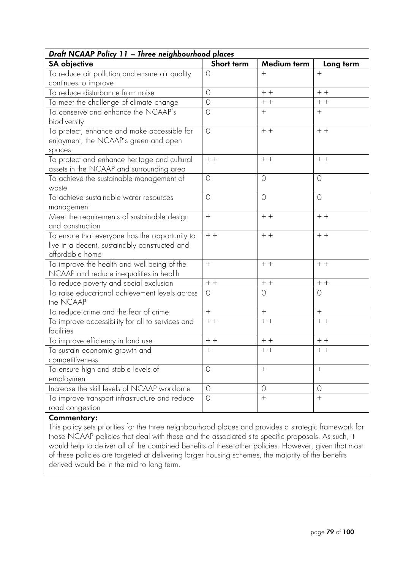| Draft NCAAP Policy 11 - Three neighbourhood places                                                                 |                  |             |                  |
|--------------------------------------------------------------------------------------------------------------------|------------------|-------------|------------------|
| <b>SA objective</b>                                                                                                | Short term       | Medium term | Long term        |
| To reduce air pollution and ensure air quality                                                                     | $\circ$          | $+$         | $+$              |
| continues to improve                                                                                               |                  |             |                  |
| To reduce disturbance from noise                                                                                   | $\bigcirc$       | $+ +$       | $+ +$            |
| To meet the challenge of climate change                                                                            | $\circ$          | $+ +$       | $+ +$            |
| To conserve and enhance the NCAAP's<br>biodiversity                                                                | $\circ$          | $+$         | $+$              |
| To protect, enhance and make accessible for<br>enjoyment, the NCAAP's green and open<br>spaces                     | $\circ$          | $+ +$       | $+$ +            |
| To protect and enhance heritage and cultural<br>assets in the NCAAP and surrounding area                           | $+ +$            | $+ +$       | $+ +$            |
| To achieve the sustainable management of<br>waste                                                                  | $\circ$          | $\circ$     | $\circ$          |
| To achieve sustainable water resources<br>management                                                               | $\bigcirc$       | $\circ$     | $\circ$          |
| Meet the requirements of sustainable design<br>and construction                                                    | $+$              | $+ +$       | $+ +$            |
| To ensure that everyone has the opportunity to<br>live in a decent, sustainably constructed and<br>affordable home | $+ +$            | $+$ +       | $+ +$            |
| To improve the health and well-being of the<br>NCAAP and reduce inequalities in health                             | $^{+}$           | $+ +$       | $+ +$            |
| To reduce poverty and social exclusion                                                                             | $+ +$            | $+ +$       | $+ +$            |
| To raise educational achievement levels across<br>the NCAAP                                                        | $\circ$          | $\circ$     | $\circ$          |
| To reduce crime and the fear of crime                                                                              | $\boldsymbol{+}$ | $^{+}$      | $\boldsymbol{+}$ |
| To improve accessibility for all to services and<br>facilities                                                     | $+ +$            | $+ +$       | $+$ +            |
| To improve efficiency in land use                                                                                  | $+ +$            | $+ +$       | $+ +$            |
| To sustain economic growth and<br>competitiveness                                                                  | $+$              | $++$        | $++$             |
| To ensure high and stable levels of<br>employment                                                                  | $\circ$          |             | $+$              |
| Increase the skill levels of NCAAP workforce                                                                       | $\circ$          | $\circ$     | $\circ$          |
| To improve transport infrastructure and reduce<br>road congestion                                                  | $\circ$          | $^{+}$      | $^{+}$           |

This policy sets priorities for the three neighbourhood places and provides a strategic framework for those NCAAP policies that deal with these and the associated site specific proposals. As such, it would help to deliver all of the combined benefits of these other policies. However, given that most of these policies are targeted at delivering larger housing schemes, the majority of the benefits derived would be in the mid to long term.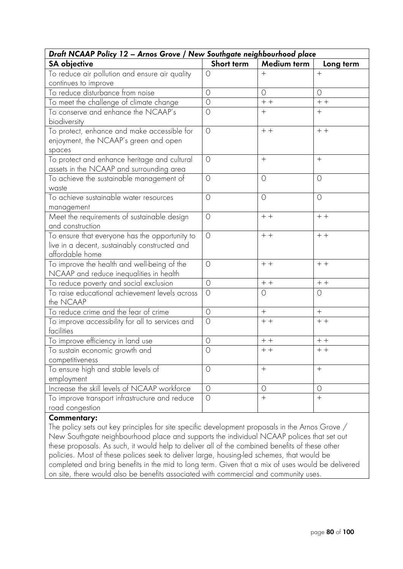| Draft NCAAP Policy 12 - Arnos Grove / New Southgate neighbourhood place                                            |                |             |                |
|--------------------------------------------------------------------------------------------------------------------|----------------|-------------|----------------|
| <b>SA</b> objective                                                                                                | Short term     | Medium term | Long term      |
| To reduce air pollution and ensure air quality                                                                     | $\circ$        | $+$         | $+$            |
| continues to improve                                                                                               |                |             |                |
| To reduce disturbance from noise                                                                                   | $\bigcirc$     | $\circ$     | $\circ$        |
| To meet the challenge of climate change                                                                            | $\circ$        | $+ +$       | $\,+\,$ + $\,$ |
| To conserve and enhance the NCAAP's<br>biodiversity                                                                | $\bigcirc$     |             | $+$            |
| To protect, enhance and make accessible for<br>enjoyment, the NCAAP's green and open<br>spaces                     | $\circ$        | $+ +$       | $+ +$          |
| To protect and enhance heritage and cultural<br>assets in the NCAAP and surrounding area                           | $\bigcirc$     |             | $+$            |
| To achieve the sustainable management of<br>waste                                                                  | $\circ$        | $\circ$     | $\circ$        |
| To achieve sustainable water resources<br>management                                                               | $\circ$        | $\circ$     | $\circ$        |
| Meet the requirements of sustainable design<br>and construction                                                    | $\circ$        | $+ +$       | $+ +$          |
| To ensure that everyone has the opportunity to<br>live in a decent, sustainably constructed and<br>affordable home | $\circ$        | $+ +$       | $+$ +          |
| To improve the health and well-being of the<br>NCAAP and reduce inequalities in health                             | $\bigcirc$     | $+ +$       | $+ +$          |
| To reduce poverty and social exclusion                                                                             | $\circ$        | $+ +$       | $+ +$          |
| To raise educational achievement levels across<br>the NCAAP                                                        | $\circ$        | $\circ$     | 0              |
| To reduce crime and the fear of crime                                                                              | $\bigcirc$     | $+$         | $+$            |
| To improve accessibility for all to services and<br>facilities                                                     | $\overline{O}$ | $+ +$       | $+$ +          |
| To improve efficiency in land use                                                                                  | $\circ$        | $++$        | $+ +$          |
| To sustain economic growth and<br>competitiveness                                                                  | $\circ$        | $+ +$       | $+ +$          |
| To ensure high and stable levels of<br>employment                                                                  | $\circ$        |             | $+$            |
| Increase the skill levels of NCAAP workforce                                                                       | $\overline{O}$ | $\circ$     | $\circ$        |
| To improve transport infrastructure and reduce<br>road congestion                                                  | $\overline{O}$ | $^{+}$      | $+$            |

The policy sets out key principles for site specific development proposals in the Arnos Grove / New Southgate neighbourhood place and supports the individual NCAAP polices that set out these proposals. As such, it would help to deliver all of the combined benefits of these other policies. Most of these polices seek to deliver large, housing-led schemes, that would be completed and bring benefits in the mid to long term. Given that a mix of uses would be delivered on site, there would also be benefits associated with commercial and community uses.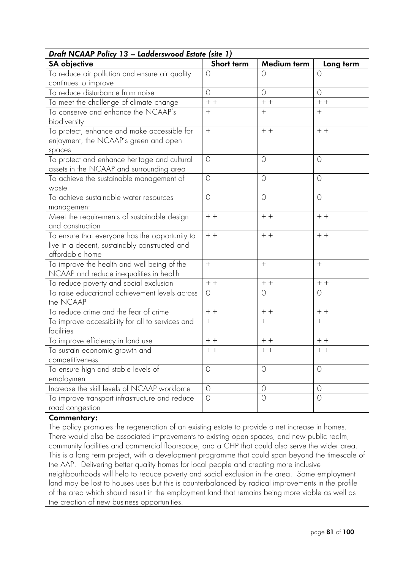| Draft NCAAP Policy 13 - Ladderswood Estate (site 1) |                  |             |            |
|-----------------------------------------------------|------------------|-------------|------------|
| <b>SA</b> objective                                 | Short term       | Medium term | Long term  |
| To reduce air pollution and ensure air quality      | $\circ$          | $\circ$     | $\circ$    |
| continues to improve                                |                  |             |            |
| To reduce disturbance from noise                    | $\bigcirc$       | $\circ$     | $\bigcirc$ |
| To meet the challenge of climate change             | $+ +$            | $+ +$       | $+ +$      |
| To conserve and enhance the NCAAP's                 | $+$              | $+$         | $+$        |
| biodiversity                                        |                  |             |            |
| To protect, enhance and make accessible for         | $\boldsymbol{+}$ | $+ +$       | $+ +$      |
| enjoyment, the NCAAP's green and open               |                  |             |            |
| spaces                                              |                  |             |            |
| To protect and enhance heritage and cultural        | $\circ$          | $\circ$     | $\circ$    |
| assets in the NCAAP and surrounding area            |                  |             |            |
| To achieve the sustainable management of            | $\circ$          | $\circ$     | $\circ$    |
| waste                                               |                  |             |            |
| To achieve sustainable water resources              | $\circ$          | $\circ$     | $\circ$    |
| management                                          |                  |             |            |
| Meet the requirements of sustainable design         | $+ +$            | $+ +$       | $+ +$      |
| and construction                                    |                  |             |            |
| To ensure that everyone has the opportunity to      | $+ +$            | $+ +$       | $+ +$      |
| live in a decent, sustainably constructed and       |                  |             |            |
| affordable home                                     |                  |             |            |
| To improve the health and well-being of the         | $+$              | $+$         | $+$        |
| NCAAP and reduce inequalities in health             |                  |             |            |
| To reduce poverty and social exclusion              | $+ +$            | $+ +$       | $+ +$      |
| To raise educational achievement levels across      | $\circ$          | $\circ$     | $\circ$    |
| the NCAAP                                           |                  |             |            |
| To reduce crime and the fear of crime               | $+ +$            | $+ +$       | $+ +$      |
| To improve accessibility for all to services and    | $+$              | $^{+}$      | $+$        |
| facilities                                          |                  |             |            |
| To improve efficiency in land use                   | $+ +$            | $+ +$       | $+ +$      |
| To sustain economic growth and                      | $+ +$            | $+ +$       | $+ +$      |
| competitiveness                                     |                  |             |            |
| To ensure high and stable levels of                 | $\circ$          | $\circ$     | $\circ$    |
| employment                                          |                  |             |            |
| Increase the skill levels of NCAAP workforce        | $\circ$          | $\circ$     | $\circ$    |
| To improve transport infrastructure and reduce      | $\circ$          | $\circ$     | $\circ$    |
| road congestion                                     |                  |             |            |

The policy promotes the regeneration of an existing estate to provide a net increase in homes. There would also be associated improvements to existing open spaces, and new public realm, community facilities and commercial floorspace, and a CHP that could also serve the wider area. This is a long term project, with a development programme that could span beyond the timescale of the AAP. Delivering better quality homes for local people and creating more inclusive neighbourhoods will help to reduce poverty and social exclusion in the area. Some employment land may be lost to houses uses but this is counterbalanced by radical improvements in the profile of the area which should result in the employment land that remains being more viable as well as the creation of new business opportunities.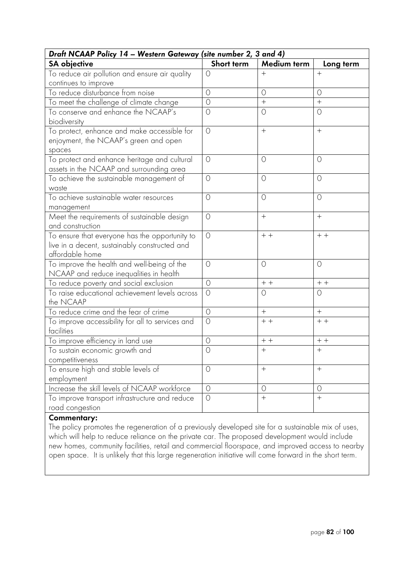| Draft NCAAP Policy 14 - Western Gateway (site number 2, 3 and 4)                                                   |            |             |           |
|--------------------------------------------------------------------------------------------------------------------|------------|-------------|-----------|
| <b>SA</b> objective                                                                                                | Short term | Medium term | Long term |
| To reduce air pollution and ensure air quality                                                                     | $\circ$    | $+$         | $+$       |
| continues to improve                                                                                               |            |             |           |
| To reduce disturbance from noise                                                                                   | $\circ$    | $\circ$     | $\circ$   |
| To meet the challenge of climate change                                                                            | $\circ$    | $^{+}$      | $^{+}$    |
| To conserve and enhance the NCAAP's<br>biodiversity                                                                | $\bigcirc$ | $\circ$     | $\circ$   |
| To protect, enhance and make accessible for<br>enjoyment, the NCAAP's green and open<br>spaces                     | $\circ$    |             | $+$       |
| To protect and enhance heritage and cultural<br>assets in the NCAAP and surrounding area                           | $\circ$    | $\circ$     | $\circ$   |
| To achieve the sustainable management of<br>waste                                                                  | $\circ$    | $\circ$     | $\circ$   |
| To achieve sustainable water resources<br>management                                                               | $\circ$    | $\circ$     | $\circ$   |
| Meet the requirements of sustainable design<br>and construction                                                    | $\circ$    | $^{+}$      | $+$       |
| To ensure that everyone has the opportunity to<br>live in a decent, sustainably constructed and<br>affordable home | $\circ$    | $+ +$       | $+ +$     |
| To improve the health and well-being of the<br>NCAAP and reduce inequalities in health                             | $\bigcirc$ | $\circ$     | $\circ$   |
| To reduce poverty and social exclusion                                                                             | $\circ$    | $+ +$       | $+ +$     |
| To raise educational achievement levels across<br>the NCAAP                                                        | $\circ$    | $\circ$     | O         |
| To reduce crime and the fear of crime                                                                              | $\circ$    | $+$         | $+$       |
| To improve accessibility for all to services and<br>facilities                                                     | $\circ$    | $+ +$       | $+$ +     |
| To improve efficiency in land use                                                                                  | $\circ$    | $++$        | $+ +$     |
| To sustain economic growth and                                                                                     | $\circ$    | $+$         | $+$       |
| competitiveness                                                                                                    |            |             |           |
| To ensure high and stable levels of                                                                                | $\circ$    |             | $+$       |
| employment                                                                                                         |            |             |           |
| Increase the skill levels of NCAAP workforce                                                                       | $\circ$    | $\circ$     | $\circ$   |
| To improve transport infrastructure and reduce<br>road congestion                                                  | $\bigcirc$ | $+$         | $+$       |
|                                                                                                                    |            |             |           |

The policy promotes the regeneration of a previously developed site for a sustainable mix of uses, which will help to reduce reliance on the private car. The proposed development would include new homes, community facilities, retail and commercial floorspace, and improved access to nearby open space. It is unlikely that this large regeneration initiative will come forward in the short term.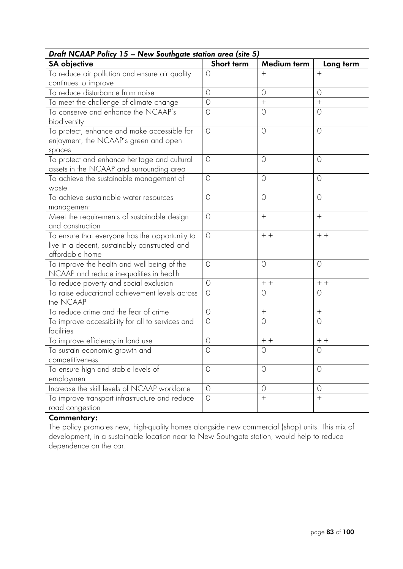| Draft NCAAP Policy 15 - New Southgate station area (site 5)                                                        |            |             |            |
|--------------------------------------------------------------------------------------------------------------------|------------|-------------|------------|
| <b>SA</b> objective                                                                                                | Short term | Medium term | Long term  |
| To reduce air pollution and ensure air quality                                                                     | $\bigcirc$ | $^+$        | $^{+}$     |
| continues to improve                                                                                               |            |             |            |
| To reduce disturbance from noise                                                                                   | $\circ$    | $\circ$     | $\circ$    |
| To meet the challenge of climate change                                                                            | $\circ$    | $^{+}$      | $+$        |
| To conserve and enhance the NCAAP's<br>biodiversity                                                                | $\circ$    | $\circ$     | $\circ$    |
| To protect, enhance and make accessible for<br>enjoyment, the NCAAP's green and open<br>spaces                     | $\circ$    | $\circ$     | $\circ$    |
| To protect and enhance heritage and cultural<br>assets in the NCAAP and surrounding area                           | $\circ$    | $\circ$     | 0          |
| To achieve the sustainable management of<br>waste                                                                  | $\circ$    | $\circ$     | $\circ$    |
| To achieve sustainable water resources<br>management                                                               | $\bigcirc$ | $\circ$     | $\circ$    |
| Meet the requirements of sustainable design<br>and construction                                                    | $\circ$    | $^{+}$      | $+$        |
| To ensure that everyone has the opportunity to<br>live in a decent, sustainably constructed and<br>affordable home | $\circ$    | $+ +$       | $+ +$      |
| To improve the health and well-being of the<br>NCAAP and reduce inequalities in health                             | $\bigcirc$ | $\circ$     | $\circ$    |
| To reduce poverty and social exclusion                                                                             | $\circ$    | $+ +$       | $+ +$      |
| To raise educational achievement levels across<br>the NCAAP                                                        | $\circ$    | $\circ$     | $\circ$    |
| To reduce crime and the fear of crime                                                                              | $\circ$    |             | $+$        |
| To improve accessibility for all to services and<br>facilities                                                     | $\circ$    | $\circ$     | $\circ$    |
| To improve efficiency in land use                                                                                  | $\circ$    | $+ +$       | $+$ +      |
| To sustain economic growth and                                                                                     | $\bigcirc$ | $\circ$     | $\bigcirc$ |
| competitiveness                                                                                                    |            |             |            |
| To ensure high and stable levels of                                                                                | $\circ$    | $\circ$     | $\circ$    |
| employment                                                                                                         |            |             |            |
| Increase the skill levels of NCAAP workforce                                                                       | $\bigcirc$ | $\circ$     | 0          |
| To improve transport infrastructure and reduce<br>road congestion                                                  | $\bigcirc$ | $^{+}$      | $^{+}$     |

The policy promotes new, high-quality homes alongside new commercial (shop) units. This mix of development, in a sustainable location near to New Southgate station, would help to reduce dependence on the car.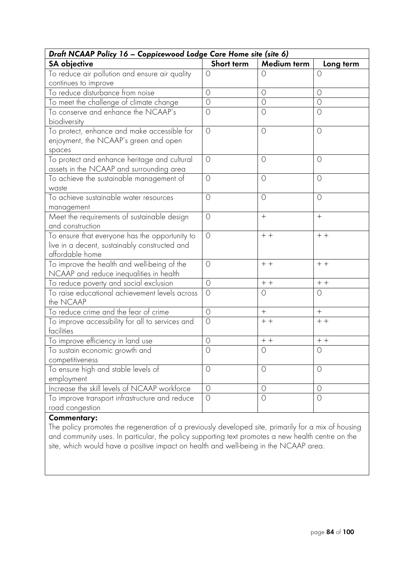| Draft NCAAP Policy 16 - Coppicewood Lodge Care Home site (site 6)                                                  |            |                |            |
|--------------------------------------------------------------------------------------------------------------------|------------|----------------|------------|
| <b>SA</b> objective                                                                                                | Short term | Medium term    | Long term  |
| To reduce air pollution and ensure air quality                                                                     | $\circ$    | $\circ$        | 0          |
| continues to improve                                                                                               |            |                |            |
| To reduce disturbance from noise                                                                                   | $\circ$    | $\circ$        | $\circ$    |
| To meet the challenge of climate change                                                                            | $\circ$    | $\circ$        | $\circ$    |
| To conserve and enhance the NCAAP's<br>biodiversity                                                                | $\circ$    | $\circ$        | $\circ$    |
| To protect, enhance and make accessible for<br>enjoyment, the NCAAP's green and open<br>spaces                     | $\circ$    | $\circ$        | $\circ$    |
| To protect and enhance heritage and cultural<br>assets in the NCAAP and surrounding area                           | $\bigcirc$ | $\circ$        | $\circ$    |
| To achieve the sustainable management of<br>waste                                                                  | $\circ$    | $\circ$        | $\circ$    |
| To achieve sustainable water resources<br>management                                                               | $\circ$    | $\circ$        | $\circ$    |
| Meet the requirements of sustainable design<br>and construction                                                    | $\circ$    | $+$            | $+$        |
| To ensure that everyone has the opportunity to<br>live in a decent, sustainably constructed and<br>affordable home | $\circ$    | $+ +$          | $+$ +      |
| To improve the health and well-being of the<br>NCAAP and reduce inequalities in health                             | $\circ$    | $+ +$          | $+ +$      |
| To reduce poverty and social exclusion                                                                             | $\circ$    | $+ +$          | $++$       |
| To raise educational achievement levels across<br>the NCAAP                                                        | $\circ$    | $\circ$        | $\circ$    |
| To reduce crime and the fear of crime                                                                              | $\circ$    | $+$            | $+$        |
| To improve accessibility for all to services and<br>facilities                                                     | $\bigcirc$ | $+ +$          | $+ +$      |
| To improve efficiency in land use                                                                                  | $\circ$    | $+ +$          | $+ +$      |
| To sustain economic growth and<br>competitiveness                                                                  | $\bigcirc$ | $\circ$        | $\circ$    |
| To ensure high and stable levels of<br>employment                                                                  | $\circ$    | $\circ$        | $\circ$    |
| Increase the skill levels of NCAAP workforce                                                                       | $\circ$    | $\circ$        | $\circ$    |
| To improve transport infrastructure and reduce<br>road congestion                                                  | $\bigcirc$ | $\overline{O}$ | $\bigcirc$ |

The policy promotes the regeneration of a previously developed site, primarily for a mix of housing and community uses. In particular, the policy supporting text promotes a new health centre on the site, which would have a positive impact on health and well-being in the NCAAP area.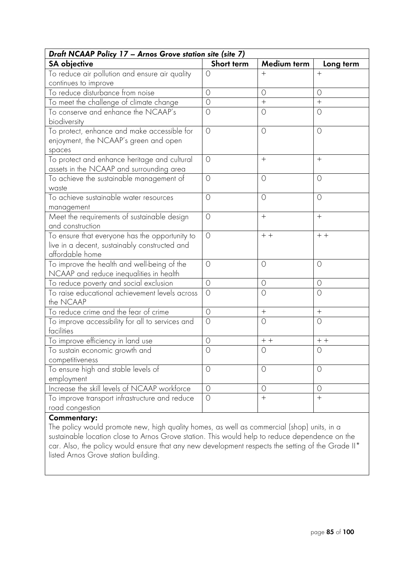|                                                                                                                    | Draft NCAAP Policy 17 - Arnos Grove station site (site 7) |                   |           |  |
|--------------------------------------------------------------------------------------------------------------------|-----------------------------------------------------------|-------------------|-----------|--|
| <b>SA</b> objective                                                                                                | Short term                                                | Medium term       | Long term |  |
| To reduce air pollution and ensure air quality                                                                     | $\circ$                                                   | $^{+}$            | $^{+}$    |  |
| continues to improve                                                                                               |                                                           |                   |           |  |
| To reduce disturbance from noise                                                                                   | $\circ$                                                   | $\circ$           | $\circ$   |  |
| To meet the challenge of climate change                                                                            | $\circ$                                                   |                   | $+$       |  |
| To conserve and enhance the NCAAP's<br>biodiversity                                                                | $\circ$                                                   | $\circ$           | $\circ$   |  |
| To protect, enhance and make accessible for<br>enjoyment, the NCAAP's green and open<br>spaces                     | $\circ$                                                   | $\circ$           | $\circ$   |  |
| To protect and enhance heritage and cultural<br>assets in the NCAAP and surrounding area                           | $\bigcirc$                                                | $+$               | $+$       |  |
| To achieve the sustainable management of<br>waste                                                                  | $\circ$                                                   | $\circ$           | $\circ$   |  |
| To achieve sustainable water resources<br>management                                                               | $\circ$                                                   | $\circ$           | $\circ$   |  |
| Meet the requirements of sustainable design<br>and construction                                                    | $\circ$                                                   | $+$               | $+$       |  |
| To ensure that everyone has the opportunity to<br>live in a decent, sustainably constructed and<br>affordable home | $\circ$                                                   | $+ +$             | $+ +$     |  |
| To improve the health and well-being of the<br>NCAAP and reduce inequalities in health                             | $\circ$                                                   | $\circ$           | $\circ$   |  |
| To reduce poverty and social exclusion                                                                             | $\circ$                                                   | $\circ$           | $\circ$   |  |
| To raise educational achievement levels across<br>the NCAAP                                                        | $\circ$                                                   | $\circ$           | $\circ$   |  |
| To reduce crime and the fear of crime                                                                              | $\circ$                                                   | $\qquad \qquad +$ | $^{+}$    |  |
| To improve accessibility for all to services and<br>facilities                                                     | $\bigcirc$                                                | $\circ$           | $\circ$   |  |
| To improve efficiency in land use                                                                                  | $\circ$                                                   | $+ +$             | $+ +$     |  |
| To sustain economic growth and                                                                                     | $\bigcirc$                                                | $\circ$           | $\circ$   |  |
| competitiveness                                                                                                    |                                                           |                   |           |  |
| To ensure high and stable levels of                                                                                | $\circ$                                                   | $\circ$           | $\circ$   |  |
| employment                                                                                                         |                                                           |                   |           |  |
| Increase the skill levels of NCAAP workforce                                                                       | $\circ$                                                   | $\circ$           | $\circ$   |  |
| To improve transport infrastructure and reduce<br>road congestion                                                  | $\bigcirc$                                                | $^{+}$            | $+$       |  |

The policy would promote new, high quality homes, as well as commercial (shop) units, in a sustainable location close to Arnos Grove station. This would help to reduce dependence on the car. Also, the policy would ensure that any new development respects the setting of the Grade II\* listed Arnos Grove station building.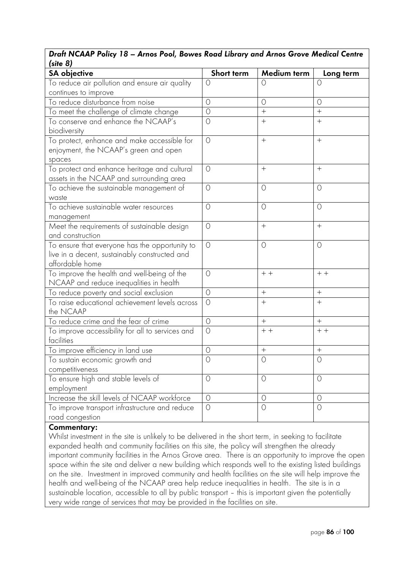# *Draft NCAAP Policy 18 – Arnos Pool, Bowes Road Library and Arnos Grove Medical Centre (site 8)*

| עט אווכן                                         |                |                  |            |
|--------------------------------------------------|----------------|------------------|------------|
| <b>SA</b> objective                              | Short term     | Medium term      | Long term  |
| To reduce air pollution and ensure air quality   | $\circ$        | $\Omega$         | $\bigcirc$ |
| continues to improve                             |                |                  |            |
| To reduce disturbance from noise                 | $\circ$        | $\circ$          | $\circ$    |
| To meet the challenge of climate change          | $\circ$        | $+$              | $\ddot{}$  |
| To conserve and enhance the NCAAP's              | $\overline{O}$ | $+$              | $+$        |
| biodiversity                                     |                |                  |            |
| To protect, enhance and make accessible for      | $\bigcirc$     | $\boldsymbol{+}$ | $+$        |
| enjoyment, the NCAAP's green and open            |                |                  |            |
| spaces                                           |                |                  |            |
| To protect and enhance heritage and cultural     | $\bigcirc$     | $+$              | $+$        |
| assets in the NCAAP and surrounding area         |                |                  |            |
| To achieve the sustainable management of         | $\circ$        | $\circ$          | $\circ$    |
| waste                                            |                |                  |            |
| To achieve sustainable water resources           | $\bigcirc$     | $\circ$          | $\bigcirc$ |
| management                                       |                |                  |            |
| Meet the requirements of sustainable design      | $\circ$        | $^{+}$           | $+$        |
| and construction                                 |                |                  |            |
| To ensure that everyone has the opportunity to   | $\circ$        | $\circ$          | $\circ$    |
| live in a decent, sustainably constructed and    |                |                  |            |
| affordable home                                  |                |                  |            |
| To improve the health and well-being of the      | $\circ$        | $+ +$            | $+ +$      |
| NCAAP and reduce inequalities in health          |                |                  |            |
| To reduce poverty and social exclusion           | $\circ$        |                  | $+$        |
| To raise educational achievement levels across   | $\bigcirc$     | $+$              | $+$        |
| the NCAAP                                        |                |                  |            |
| To reduce crime and the fear of crime            | $\bigcirc$     | $^{+}$           | $+$        |
| To improve accessibility for all to services and | $\bigcirc$     | $+ +$            | $+ +$      |
| facilities                                       |                |                  |            |
| To improve efficiency in land use                | $\circ$        | $^{+}$           | $+$        |
| To sustain economic growth and                   | $\circ$        | $\circ$          | $\circ$    |
| competitiveness                                  |                |                  |            |
| To ensure high and stable levels of              | $\circ$        | $\circ$          | $\circ$    |
| employment                                       |                |                  |            |
| Increase the skill levels of NCAAP workforce     | $\circ$        | $\circ$          | $\circ$    |
| To improve transport infrastructure and reduce   | $\circ$        | $\circ$          | $\circ$    |
| road congestion                                  |                |                  |            |

### **Commentary:**

Whilst investment in the site is unlikely to be delivered in the short term, in seeking to facilitate expanded health and community facilities on this site, the policy will strengthen the already important community facilities in the Arnos Grove area. There is an opportunity to improve the open space within the site and deliver a new building which responds well to the existing listed buildings on the site. Investment in improved community and health facilities on the site will help improve the health and well-being of the NCAAP area help reduce inequalities in health. The site is in a sustainable location, accessible to all by public transport – this is important given the potentially very wide range of services that may be provided in the facilities on site.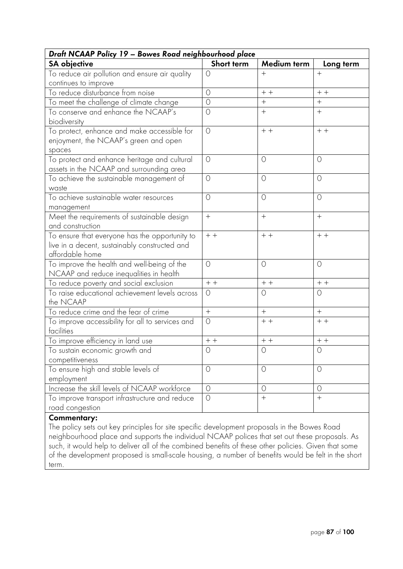| Draft NCAAP Policy 19 - Bowes Road neighbourhood place                                                             |            |             |           |
|--------------------------------------------------------------------------------------------------------------------|------------|-------------|-----------|
| <b>SA</b> objective                                                                                                | Short term | Medium term | Long term |
| To reduce air pollution and ensure air quality                                                                     | $\circ$    | $+$         | $+$       |
| continues to improve                                                                                               |            |             |           |
| To reduce disturbance from noise                                                                                   | $\circ$    | $+ +$       | $+ +$     |
| To meet the challenge of climate change                                                                            | $\circ$    | $^{+}$      | $^{+}$    |
| To conserve and enhance the NCAAP's<br>biodiversity                                                                | $\circ$    | $+$         | $+$       |
| To protect, enhance and make accessible for<br>enjoyment, the NCAAP's green and open<br>spaces                     | $\circ$    | $+ +$       | $+ +$     |
| To protect and enhance heritage and cultural<br>assets in the NCAAP and surrounding area                           | $\circ$    | $\circ$     | $\circ$   |
| To achieve the sustainable management of<br>waste                                                                  | $\circ$    | $\circ$     | $\circ$   |
| To achieve sustainable water resources<br>management                                                               | $\circ$    | $\circ$     | $\circ$   |
| Meet the requirements of sustainable design<br>and construction                                                    | $+$        | $^{+}$      | $^{+}$    |
| To ensure that everyone has the opportunity to<br>live in a decent, sustainably constructed and<br>affordable home | $+ +$      | $+ +$       | $+ +$     |
| To improve the health and well-being of the<br>NCAAP and reduce inequalities in health                             | $\bigcirc$ | $\circ$     | $\circ$   |
| To reduce poverty and social exclusion                                                                             | $+ +$      | $+ +$       | $+ +$     |
| To raise educational achievement levels across<br>the NCAAP                                                        | $\circ$    | $\circ$     | $\circ$   |
| To reduce crime and the fear of crime                                                                              | $+$        | $+$         | $+$       |
| To improve accessibility for all to services and<br>facilities                                                     | $\circ$    | $+ +$       | $+ +$     |
| To improve efficiency in land use                                                                                  | $+ +$      | $+ +$       | $+ +$     |
| To sustain economic growth and<br>competitiveness                                                                  | 0          | $\circ$     | $\circ$   |
| To ensure high and stable levels of                                                                                | $\circ$    | $\circ$     | $\circ$   |
| employment<br>Increase the skill levels of NCAAP workforce                                                         | $\circ$    | $\circ$     | $\circ$   |
| To improve transport infrastructure and reduce<br>road congestion                                                  | $\circ$    | $^{+}$      | $^{+}$    |
|                                                                                                                    |            |             |           |

The policy sets out key principles for site specific development proposals in the Bowes Road neighbourhood place and supports the individual NCAAP polices that set out these proposals. As such, it would help to deliver all of the combined benefits of these other policies. Given that some of the development proposed is small-scale housing, a number of benefits would be felt in the short term.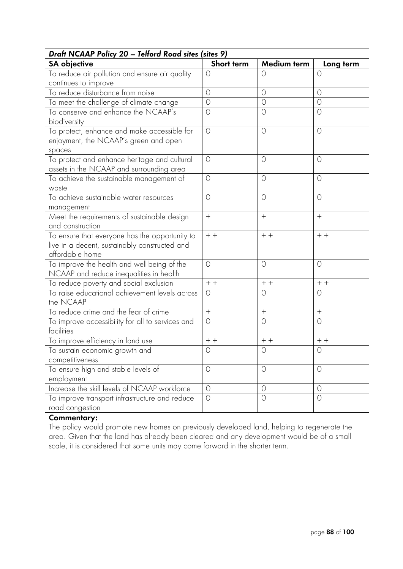| Draft NCAAP Policy 20 - Telford Road sites (sites 9)                                                               |            |             |           |
|--------------------------------------------------------------------------------------------------------------------|------------|-------------|-----------|
| <b>SA</b> objective                                                                                                | Short term | Medium term | Long term |
| To reduce air pollution and ensure air quality                                                                     | $\circ$    | $\circ$     | $\circ$   |
| continues to improve                                                                                               |            |             |           |
| To reduce disturbance from noise                                                                                   | $\circ$    | $\circ$     | $\circ$   |
| To meet the challenge of climate change                                                                            | $\circ$    | $\circ$     | $\circ$   |
| To conserve and enhance the NCAAP's<br>biodiversity                                                                | $\circ$    | $\circ$     | $\circ$   |
| To protect, enhance and make accessible for<br>enjoyment, the NCAAP's green and open<br>spaces                     | $\circ$    | $\circ$     | $\circ$   |
| To protect and enhance heritage and cultural<br>assets in the NCAAP and surrounding area                           | $\bigcirc$ | $\circ$     | $\circ$   |
| To achieve the sustainable management of<br>waste                                                                  | $\circ$    | $\circ$     | $\circ$   |
| To achieve sustainable water resources<br>management                                                               | $\circ$    | $\circ$     | $\circ$   |
| Meet the requirements of sustainable design<br>and construction                                                    | $+$        | $^{+}$      | $^{+}$    |
| To ensure that everyone has the opportunity to<br>live in a decent, sustainably constructed and<br>affordable home | $+ +$      | $+ +$       | $+ +$     |
| To improve the health and well-being of the<br>NCAAP and reduce inequalities in health                             | $\bigcirc$ | $\circ$     | $\circ$   |
| To reduce poverty and social exclusion                                                                             | $+ +$      | $+ +$       | $+ +$     |
| To raise educational achievement levels across<br>the NCAAP                                                        | $\circ$    | $\circ$     | $\circ$   |
| To reduce crime and the fear of crime                                                                              | $+$        | $+$         | $+$       |
| To improve accessibility for all to services and<br>facilities                                                     | $\circ$    | $\circ$     | $\circ$   |
| To improve efficiency in land use                                                                                  | $+ +$      | $+ +$       | $+ +$     |
| To sustain economic growth and                                                                                     | $\circ$    | $\circ$     | $\circ$   |
| competitiveness<br>To ensure high and stable levels of<br>employment                                               | $\circ$    | $\circ$     | $\circ$   |
| Increase the skill levels of NCAAP workforce                                                                       | $\circ$    | $\circ$     | $\circ$   |
| To improve transport infrastructure and reduce<br>road congestion                                                  | $\circ$    | $\circ$     | $\circ$   |
|                                                                                                                    |            |             |           |

The policy would promote new homes on previously developed land, helping to regenerate the area. Given that the land has already been cleared and any development would be of a small scale, it is considered that some units may come forward in the shorter term.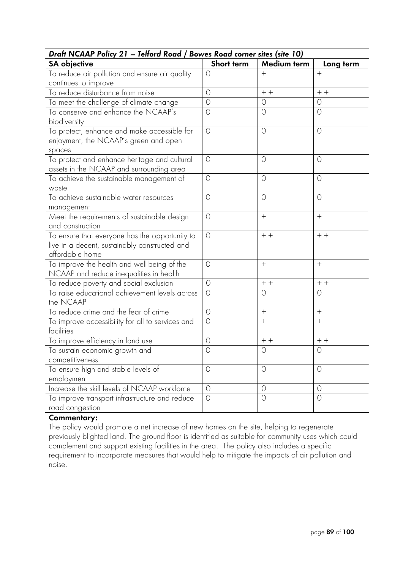| Draft NCAAP Policy 21 - Telford Road / Bowes Road corner sites (site 10) |                                                            |                             |  |
|--------------------------------------------------------------------------|------------------------------------------------------------|-----------------------------|--|
| Short term                                                               | <b>Medium term</b>                                         | Long term                   |  |
| $\circ$                                                                  | $+$                                                        | $+$                         |  |
|                                                                          |                                                            |                             |  |
|                                                                          |                                                            | $+ +$                       |  |
|                                                                          | $\circ$                                                    | $\circ$                     |  |
|                                                                          |                                                            | $\circ$                     |  |
| $\circ$                                                                  | $\circ$                                                    | $\circ$                     |  |
| $\bigcirc$                                                               | $\circ$                                                    | $\circ$                     |  |
| $\circ$                                                                  | $\circ$                                                    | $\circ$                     |  |
| $\bigcirc$                                                               | $\circ$                                                    | $\circ$                     |  |
| $\circ$                                                                  | $^{+}$                                                     | $^{+}$                      |  |
| $\circ$                                                                  | $+ +$                                                      | $+$ +                       |  |
| $\bigcirc$                                                               | $+$                                                        | $+$                         |  |
| $\circ$                                                                  | $+ +$                                                      | $+ +$                       |  |
| $\circ$                                                                  | $\circ$                                                    | $\circ$                     |  |
| $\circ$                                                                  | $+$                                                        | $+$                         |  |
| $\bigcirc$                                                               | $^{+}$                                                     | $+$                         |  |
| $\circ$                                                                  | $+ +$                                                      | $+ +$                       |  |
| $\bigcirc$                                                               | $\circ$                                                    | $\circ$                     |  |
|                                                                          |                                                            |                             |  |
| $\circ$                                                                  | $\circ$                                                    | $\circ$                     |  |
|                                                                          |                                                            |                             |  |
|                                                                          | $\circ$                                                    | $\circ$                     |  |
|                                                                          |                                                            | $\circ$                     |  |
|                                                                          | $\circ$<br>$\overline{O}$<br>$\circ$<br>$\circ$<br>$\circ$ | $+ +$<br>$\circ$<br>$\circ$ |  |

The policy would promote a net increase of new homes on the site, helping to regenerate previously blighted land. The ground floor is identified as suitable for community uses which could complement and support existing facilities in the area. The policy also includes a specific requirement to incorporate measures that would help to mitigate the impacts of air pollution and noise.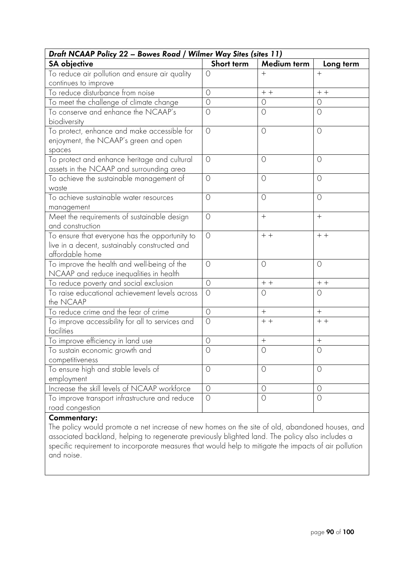| Draft NCAAP Policy 22 - Bowes Road / Wilmer Way Sites (sites 11)                                                   |            |             |            |
|--------------------------------------------------------------------------------------------------------------------|------------|-------------|------------|
| <b>SA</b> objective                                                                                                | Short term | Medium term | Long term  |
| To reduce air pollution and ensure air quality                                                                     | $\circ$    | $+$         | $+$        |
| continues to improve                                                                                               |            |             |            |
| To reduce disturbance from noise                                                                                   | $\circ$    | $+ +$       | $+ +$      |
| To meet the challenge of climate change                                                                            | $\circ$    | $\circ$     | $\circ$    |
| To conserve and enhance the NCAAP's<br>biodiversity                                                                | $\circ$    | $\circ$     | $\circ$    |
| To protect, enhance and make accessible for<br>enjoyment, the NCAAP's green and open<br>spaces                     | $\circ$    | $\circ$     | $\circ$    |
| To protect and enhance heritage and cultural<br>assets in the NCAAP and surrounding area                           | $\circ$    | $\circ$     | $\circ$    |
| To achieve the sustainable management of<br>waste                                                                  | $\circ$    | $\circ$     | $\circ$    |
| To achieve sustainable water resources<br>management                                                               | $\circ$    | $\circ$     | $\circ$    |
| Meet the requirements of sustainable design<br>and construction                                                    | $\circ$    | $^{+}$      | $^{+}$     |
| To ensure that everyone has the opportunity to<br>live in a decent, sustainably constructed and<br>affordable home | $\circ$    | $+ +$       | $+ +$      |
| To improve the health and well-being of the<br>NCAAP and reduce inequalities in health                             | $\bigcirc$ | $\circ$     | $\circ$    |
| To reduce poverty and social exclusion                                                                             | $\circ$    | $+ +$       | $+ +$      |
| To raise educational achievement levels across<br>the NCAAP                                                        | $\circ$    | $\circ$     | $\circ$    |
| To reduce crime and the fear of crime                                                                              | $\circ$    | $+$         | $+$        |
| To improve accessibility for all to services and<br>facilities                                                     | $\bigcirc$ | $+ +$       | $+ +$      |
| To improve efficiency in land use                                                                                  | $\circ$    | $^{+}$      | $+$        |
| To sustain economic growth and<br>competitiveness                                                                  | 0          | $\circ$     | $\circ$    |
| To ensure high and stable levels of<br>employment                                                                  | $\circ$    | $\circ$     | $\circ$    |
| Increase the skill levels of NCAAP workforce                                                                       | $\circ$    | $\circ$     | $\circ$    |
| To improve transport infrastructure and reduce<br>road congestion                                                  | $\circ$    | $\circ$     | $\bigcirc$ |

The policy would promote a net increase of new homes on the site of old, abandoned houses, and associated backland, helping to regenerate previously blighted land. The policy also includes a specific requirement to incorporate measures that would help to mitigate the impacts of air pollution and noise.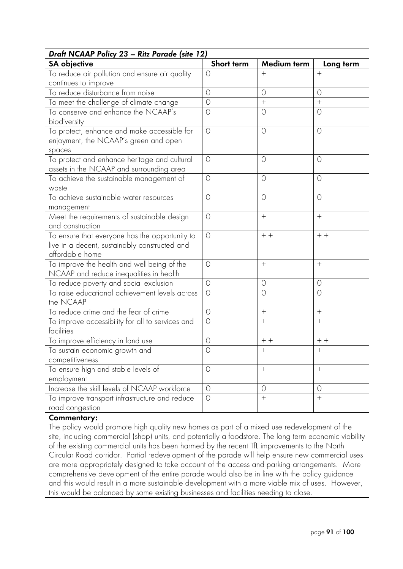| Draft NCAAP Policy 23 - Ritz Parade (site 12)    |                |             |           |
|--------------------------------------------------|----------------|-------------|-----------|
| <b>SA</b> objective                              | Short term     | Medium term | Long term |
| To reduce air pollution and ensure air quality   | $\bigcirc$     | $^{+}$      | $+$       |
| continues to improve                             |                |             |           |
| To reduce disturbance from noise                 | $\circ$        | $\circ$     | $\circ$   |
| To meet the challenge of climate change          | $\circ$        | $+$         | $+$       |
| To conserve and enhance the NCAAP's              | $\circ$        | $\circ$     | $\circ$   |
| biodiversity                                     |                |             |           |
| To protect, enhance and make accessible for      | $\circ$        | $\circ$     | $\circ$   |
| enjoyment, the NCAAP's green and open            |                |             |           |
| spaces                                           |                |             |           |
| To protect and enhance heritage and cultural     | $\bigcirc$     | $\circ$     | $\circ$   |
| assets in the NCAAP and surrounding area         |                |             |           |
| To achieve the sustainable management of         | $\circ$        | $\circ$     | $\circ$   |
| waste                                            |                |             |           |
| To achieve sustainable water resources           | $\bigcirc$     | $\circ$     | $\circ$   |
| management                                       |                |             |           |
| Meet the requirements of sustainable design      | $\circ$        |             | $+$       |
| and construction                                 |                |             |           |
| To ensure that everyone has the opportunity to   | $\circ$        | $+ +$       | $+ +$     |
| live in a decent, sustainably constructed and    |                |             |           |
| affordable home                                  |                |             |           |
| To improve the health and well-being of the      | $\bigcirc$     | $^{+}$      | $^{+}$    |
| NCAAP and reduce inequalities in health          |                |             |           |
| To reduce poverty and social exclusion           | $\circ$        | $\circ$     | $\circ$   |
| To raise educational achievement levels across   | $\circ$        | $\circ$     | $\circ$   |
| the NCAAP                                        |                |             |           |
| To reduce crime and the fear of crime            | $\circ$        | $^{+}$      | $+$       |
| To improve accessibility for all to services and | $\bigcirc$     | $+$         | $+$       |
| facilities                                       |                |             |           |
| To improve efficiency in land use                | $\circ$        | $+ +$       | $+ +$     |
| To sustain economic growth and                   | $\bigcirc$     | $+$         | $+$       |
| competitiveness                                  |                |             |           |
| To ensure high and stable levels of              | $\circ$        | $^{+}$      | $^{+}$    |
| employment                                       |                |             |           |
| Increase the skill levels of NCAAP workforce     | $\overline{O}$ | $\circ$     | $\circ$   |
| To improve transport infrastructure and reduce   | $\circ$        | $\! + \!$   | $^{+}$    |
| road congestion                                  |                |             |           |

The policy would promote high quality new homes as part of a mixed use redevelopment of the site, including commercial (shop) units, and potentially a foodstore. The long term economic viability of the existing commercial units has been harmed by the recent TfL improvements to the North Circular Road corridor. Partial redevelopment of the parade will help ensure new commercial uses are more appropriately designed to take account of the access and parking arrangements. More comprehensive development of the entire parade would also be in line with the policy guidance and this would result in a more sustainable development with a more viable mix of uses. However, this would be balanced by some existing businesses and facilities needing to close.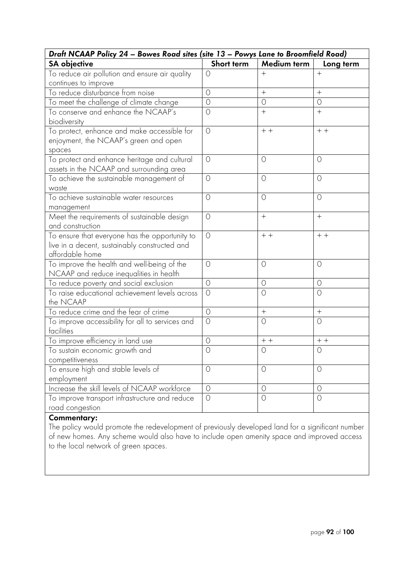| Draft NCAAP Policy 24 - Bowes Road sites (site 13 - Powys Lane to Broomfield Road)                                 |            |             |            |
|--------------------------------------------------------------------------------------------------------------------|------------|-------------|------------|
| <b>SA</b> objective                                                                                                | Short term | Medium term | Long term  |
| To reduce air pollution and ensure air quality                                                                     | $\bigcirc$ | $^+$        | $+$        |
| continues to improve                                                                                               |            |             |            |
| To reduce disturbance from noise                                                                                   | $\circ$    | $+$         | $+$        |
| To meet the challenge of climate change                                                                            | $\circ$    | $\circ$     | $\circ$    |
| To conserve and enhance the NCAAP's<br>biodiversity                                                                | $\circ$    | $^{+}$      | $\ddot{}$  |
| To protect, enhance and make accessible for<br>enjoyment, the NCAAP's green and open<br>spaces                     | $\circ$    | $+ +$       | $+ +$      |
| To protect and enhance heritage and cultural<br>assets in the NCAAP and surrounding area                           | $\circ$    | $\circ$     | 0          |
| To achieve the sustainable management of<br>waste                                                                  | $\circ$    | $\circ$     | $\circ$    |
| To achieve sustainable water resources<br>management                                                               | $\bigcirc$ | $\circ$     | $\bigcirc$ |
| Meet the requirements of sustainable design<br>and construction                                                    | $\circ$    | $^{+}$      | $+$        |
| To ensure that everyone has the opportunity to<br>live in a decent, sustainably constructed and<br>affordable home | $\circ$    | $+ +$       | $+ +$      |
| To improve the health and well-being of the<br>NCAAP and reduce inequalities in health                             | $\bigcirc$ | $\circ$     | $\circ$    |
| To reduce poverty and social exclusion                                                                             | $\circ$    | $\circ$     | $\circ$    |
| To raise educational achievement levels across<br>the NCAAP                                                        | $\circ$    | $\circ$     | $\circ$    |
| To reduce crime and the fear of crime                                                                              | $\circ$    |             | $+$        |
| To improve accessibility for all to services and<br>facilities                                                     | $\circ$    | $\circ$     | $\circ$    |
| To improve efficiency in land use                                                                                  | $\circ$    | $+ +$       | $+$ +      |
| To sustain economic growth and                                                                                     | $\bigcirc$ | $\circ$     | $\bigcirc$ |
| competitiveness                                                                                                    |            |             |            |
| To ensure high and stable levels of                                                                                | $\circ$    | $\circ$     | $\circ$    |
| employment                                                                                                         |            |             |            |
| Increase the skill levels of NCAAP workforce                                                                       | $\bigcirc$ | $\circ$     | 0          |
| To improve transport infrastructure and reduce<br>road congestion                                                  | $\bigcirc$ | $\circ$     | $\bigcirc$ |

The policy would promote the redevelopment of previously developed land for a significant number of new homes. Any scheme would also have to include open amenity space and improved access to the local network of green spaces.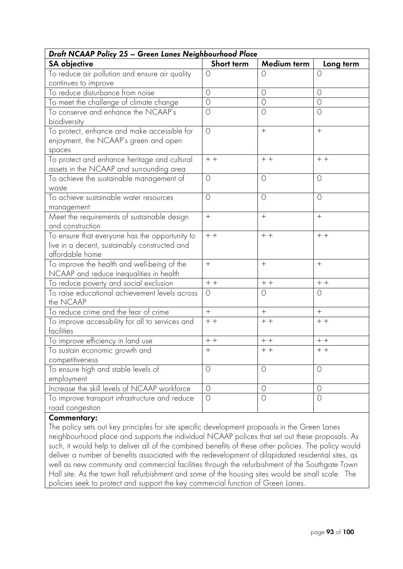| Draft NCAAP Policy 25 - Green Lanes Neighbourhood Place                                                            |                |             |           |
|--------------------------------------------------------------------------------------------------------------------|----------------|-------------|-----------|
| <b>SA</b> objective                                                                                                | Short term     | Medium term | Long term |
| To reduce air pollution and ensure air quality                                                                     | $\circ$        | $\circ$     | $\circ$   |
| continues to improve                                                                                               |                |             |           |
| To reduce disturbance from noise                                                                                   | $\bigcirc$     | $\circ$     | $\circ$   |
| To meet the challenge of climate change                                                                            | $\circ$        | $\circ$     | $\circ$   |
| To conserve and enhance the NCAAP's<br>biodiversity                                                                | $\bigcirc$     | $\circ$     | $\circ$   |
| To protect, enhance and make accessible for<br>enjoyment, the NCAAP's green and open<br>spaces                     | $\circ$        |             | $+$       |
| To protect and enhance heritage and cultural<br>assets in the NCAAP and surrounding area                           | $+ +$          | $+ +$       | $+ +$     |
| To achieve the sustainable management of<br>waste                                                                  | $\circ$        | $\circ$     | $\circ$   |
| To achieve sustainable water resources<br>management                                                               | $\circ$        | $\circ$     | $\circ$   |
| Meet the requirements of sustainable design<br>and construction                                                    | $+$            | $^{+}$      | $+$       |
| To ensure that everyone has the opportunity to<br>live in a decent, sustainably constructed and<br>affordable home | $+ +$          | $+ +$       | $+$ +     |
| To improve the health and well-being of the<br>NCAAP and reduce inequalities in health                             | $+$            |             | $+$       |
| To reduce poverty and social exclusion                                                                             | $+ +$          | $+ +$       | $+ +$     |
| To raise educational achievement levels across<br>the NCAAP                                                        | $\circ$        | $\circ$     | O         |
| To reduce crime and the fear of crime                                                                              | $^{+}$         | $+$         | $+$       |
| To improve accessibility for all to services and<br>facilities                                                     | $+$ +          | $+ +$       | $+$ +     |
| To improve efficiency in land use                                                                                  | $+ +$          | $++$        | $+ +$     |
| To sustain economic growth and<br>competitiveness                                                                  | $+$            | $+ +$       | $+ +$     |
| To ensure high and stable levels of<br>employment                                                                  | $\circ$        | $\circ$     | $\circ$   |
| Increase the skill levels of NCAAP workforce                                                                       | $\overline{O}$ | $\circ$     | $\circ$   |
| To improve transport infrastructure and reduce<br>road congestion                                                  | $\overline{O}$ | $\bigcirc$  | $\circ$   |

The policy sets out key principles for site specific development proposals in the Green Lanes neighbourhood place and supports the individual NCAAP polices that set out these proposals. As such, it would help to deliver all of the combined benefits of these other policies. The policy would deliver a number of benefits associated with the redevelopment of dilapidated residential sites, as well as new community and commercial facilities through the refurbishment of the Southgate Town Hall site. As the town hall refurbishment and some of the housing sites would be small scale. The policies seek to protect and support the key commercial function of Green Lanes.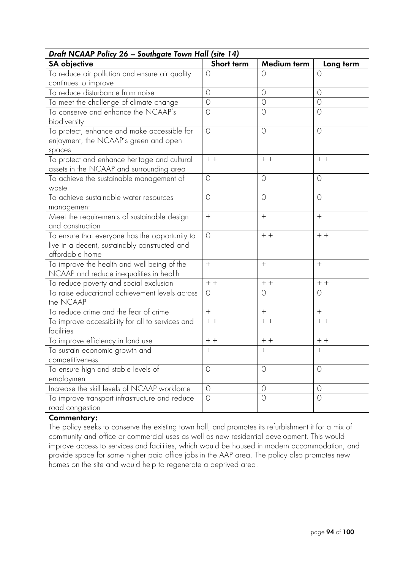| Draft NCAAP Policy 26 - Southgate Town Hall (site 14) |            |                  |             |
|-------------------------------------------------------|------------|------------------|-------------|
| <b>SA objective</b>                                   | Short term | Medium term      | Long term   |
| To reduce air pollution and ensure air quality        | $\bigcirc$ | $\bigcirc$       | $\bigcirc$  |
| continues to improve                                  |            |                  |             |
| To reduce disturbance from noise                      | $\circ$    | $\circ$          | $\circ$     |
| To meet the challenge of climate change               | $\bigcirc$ | $\circ$          | $\circ$     |
| To conserve and enhance the NCAAP's                   | $\circ$    | $\circ$          | $\circ$     |
| biodiversity                                          |            |                  |             |
| To protect, enhance and make accessible for           | $\circ$    | $\circ$          | $\circ$     |
| enjoyment, the NCAAP's green and open                 |            |                  |             |
| spaces                                                |            |                  |             |
| To protect and enhance heritage and cultural          | $+ +$      | $+ +$            | $+ +$       |
| assets in the NCAAP and surrounding area              |            |                  |             |
| To achieve the sustainable management of              | $\circ$    | $\circ$          | $\circ$     |
| waste                                                 |            |                  |             |
| To achieve sustainable water resources                | $\bigcirc$ | $\circ$          | $\circ$     |
| management                                            |            |                  |             |
| Meet the requirements of sustainable design           | $+$        | $\boldsymbol{+}$ | $+$         |
| and construction                                      |            |                  |             |
| To ensure that everyone has the opportunity to        | $\circ$    | $+ +$            | $+ +$       |
| live in a decent, sustainably constructed and         |            |                  |             |
| affordable home                                       |            |                  |             |
| To improve the health and well-being of the           | $+$        |                  | $+$         |
| NCAAP and reduce inequalities in health               |            |                  |             |
| To reduce poverty and social exclusion                | $+ +$      | $++$             | $+ +$       |
| To raise educational achievement levels across        | $\circ$    | $\circ$          | $\circ$     |
| the NCAAP                                             |            |                  |             |
| To reduce crime and the fear of crime                 | $+$        | $+$              | $^{+}$      |
| To improve accessibility for all to services and      | $+ +$      | $++$             | $+ +$       |
| facilities                                            |            |                  |             |
| To improve efficiency in land use                     | $++$       | $++$             | $\,+\,$ $+$ |
| To sustain economic growth and                        | $+$        | $+$              | $+$         |
| competitiveness                                       |            |                  |             |
| To ensure high and stable levels of                   | $\circ$    | $\circ$          | $\circ$     |
| employment                                            |            |                  |             |
| Increase the skill levels of NCAAP workforce          | $\bigcirc$ | $\circ$          | $\circ$     |
| To improve transport infrastructure and reduce        | $\bigcirc$ | $\circ$          | $\bigcirc$  |
| road congestion                                       |            |                  |             |

The policy seeks to conserve the existing town hall, and promotes its refurbishment it for a mix of community and office or commercial uses as well as new residential development. This would improve access to services and facilities, which would be housed in modern accommodation, and provide space for some higher paid office jobs in the AAP area. The policy also promotes new homes on the site and would help to regenerate a deprived area.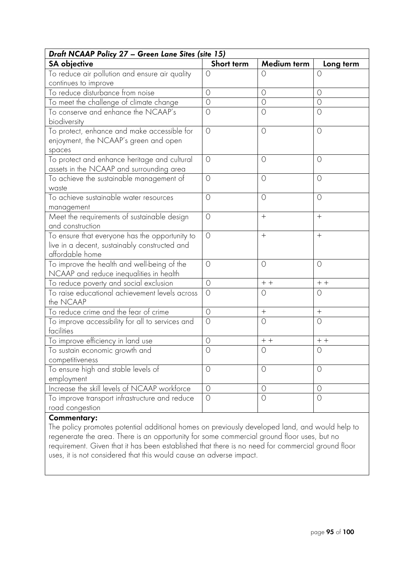| Draft NCAAP Policy 27 - Green Lane Sites (site 15) |                               |                    |  |  |  |
|----------------------------------------------------|-------------------------------|--------------------|--|--|--|
| Short term                                         | Medium term                   | Long term          |  |  |  |
| $\circ$                                            | $\circ$                       | $\Omega$           |  |  |  |
|                                                    |                               |                    |  |  |  |
|                                                    |                               | $\circ$            |  |  |  |
|                                                    | $\circ$                       | $\circ$            |  |  |  |
|                                                    |                               | $\circ$            |  |  |  |
| $\circ$                                            | $\circ$                       | $\circ$            |  |  |  |
| $\bigcirc$                                         | $\circ$                       | $\circ$            |  |  |  |
| $\circ$                                            | $\circ$                       | $\circ$            |  |  |  |
| $\circ$                                            | $\circ$                       | $\circ$            |  |  |  |
| $\circ$                                            | $^{+}$                        | $^{+}$             |  |  |  |
| $\circ$                                            | $^{+}$                        | $+$                |  |  |  |
| $\bigcirc$                                         | $\circ$                       | $\circ$            |  |  |  |
| $\circ$                                            | $+ +$                         | $+ +$              |  |  |  |
| $\circ$                                            | $\circ$                       | $\circ$            |  |  |  |
| $\circ$                                            | $+$                           | $+$                |  |  |  |
| $\bigcirc$                                         | $\circ$                       | $\circ$            |  |  |  |
| $\circ$                                            | $+ +$                         | $+ +$              |  |  |  |
| $\bigcirc$                                         | $\circ$                       | $\circ$            |  |  |  |
|                                                    |                               |                    |  |  |  |
| $\circ$                                            | $\circ$                       | $\circ$            |  |  |  |
|                                                    |                               |                    |  |  |  |
| $\circ$                                            | $\circ$                       | $\circ$            |  |  |  |
| $\circ$                                            | $\circ$                       | $\circ$            |  |  |  |
|                                                    | $\circ$<br>$\circ$<br>$\circ$ | $\circ$<br>$\circ$ |  |  |  |

The policy promotes potential additional homes on previously developed land, and would help to regenerate the area. There is an opportunity for some commercial ground floor uses, but no requirement. Given that it has been established that there is no need for commercial ground floor uses, it is not considered that this would cause an adverse impact.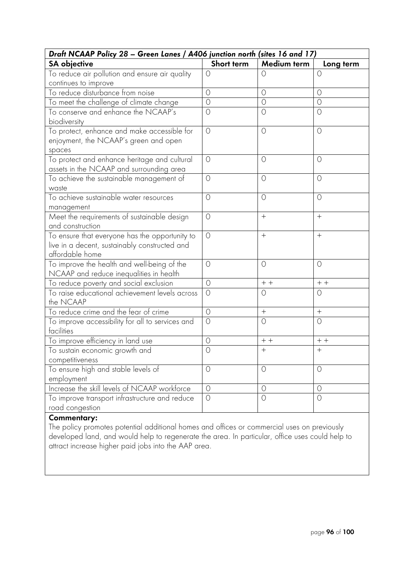| Draft NCAAP Policy 28 - Green Lanes / A406 junction north (sites 16 and 17)                                        |            |                  |                  |
|--------------------------------------------------------------------------------------------------------------------|------------|------------------|------------------|
| <b>SA objective</b>                                                                                                | Short term | Medium term      | Long term        |
| To reduce air pollution and ensure air quality                                                                     | $\circ$    | $\circ$          | 0                |
| continues to improve                                                                                               |            |                  |                  |
| To reduce disturbance from noise                                                                                   | $\circ$    | $\circ$          | $\circ$          |
| To meet the challenge of climate change                                                                            | $\circ$    | $\circ$          | $\circ$          |
| To conserve and enhance the NCAAP's<br>biodiversity                                                                | $\circ$    | $\circ$          | $\circ$          |
| To protect, enhance and make accessible for<br>enjoyment, the NCAAP's green and open<br>spaces                     | $\circ$    | $\circ$          | $\circ$          |
| To protect and enhance heritage and cultural<br>assets in the NCAAP and surrounding area                           | $\bigcirc$ | $\circ$          | $\circ$          |
| To achieve the sustainable management of<br>waste                                                                  | $\circ$    | $\circ$          | $\circ$          |
| To achieve sustainable water resources<br>management                                                               | $\circ$    | $\circ$          | $\circ$          |
| Meet the requirements of sustainable design<br>and construction                                                    | $\circ$    |                  | $+$              |
| To ensure that everyone has the opportunity to<br>live in a decent, sustainably constructed and<br>affordable home | $\circ$    | $+$              | $^{+}$           |
| To improve the health and well-being of the<br>NCAAP and reduce inequalities in health                             | $\circ$    | $\circ$          | $\circ$          |
| To reduce poverty and social exclusion                                                                             | $\circ$    | $+ +$            | $++$             |
| To raise educational achievement levels across<br>the NCAAP                                                        | $\circ$    | $\circ$          | $\circ$          |
| To reduce crime and the fear of crime                                                                              | $\circ$    | $\boldsymbol{+}$ | $\boldsymbol{+}$ |
| To improve accessibility for all to services and<br>facilities                                                     | $\bigcirc$ | $\circ$          | $\circ$          |
| To improve efficiency in land use                                                                                  | $\circ$    | $+ +$            | $+ +$            |
| To sustain economic growth and                                                                                     | $\bigcirc$ | $+$              | $+$              |
| competitiveness                                                                                                    |            |                  |                  |
| To ensure high and stable levels of                                                                                | $\circ$    | $\circ$          | $\circ$          |
| employment                                                                                                         |            |                  |                  |
| Increase the skill levels of NCAAP workforce                                                                       | $\circ$    | $\circ$          | $\circ$          |
| To improve transport infrastructure and reduce<br>road congestion                                                  | $\bigcirc$ | $\overline{O}$   | $\bigcirc$       |
|                                                                                                                    |            |                  |                  |

The policy promotes potential additional homes and offices or commercial uses on previously developed land, and would help to regenerate the area. In particular, office uses could help to attract increase higher paid jobs into the AAP area.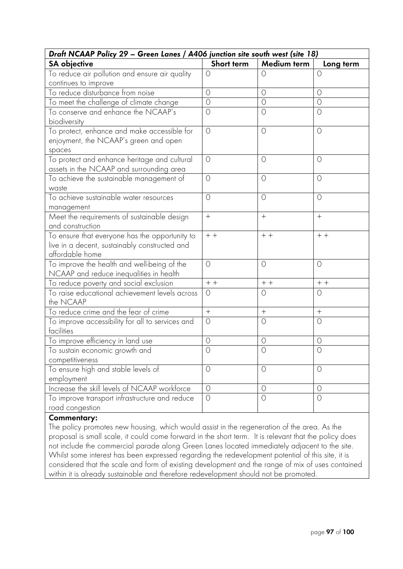| Draft NCAAP Policy 29 - Green Lanes / A406 junction site south west (site 18)                                      |                |             |           |  |
|--------------------------------------------------------------------------------------------------------------------|----------------|-------------|-----------|--|
| <b>SA</b> objective                                                                                                | Short term     | Medium term | Long term |  |
| To reduce air pollution and ensure air quality                                                                     | $\circ$        | $\circ$     | $\circ$   |  |
| continues to improve                                                                                               |                |             |           |  |
| To reduce disturbance from noise                                                                                   | $\circ$        | $\circ$     | $\circ$   |  |
| To meet the challenge of climate change                                                                            | $\overline{O}$ | $\circ$     | $\circ$   |  |
| To conserve and enhance the NCAAP's<br>biodiversity                                                                | $\circ$        | $\circ$     | $\circ$   |  |
| To protect, enhance and make accessible for<br>enjoyment, the NCAAP's green and open<br>spaces                     | $\circ$        | $\circ$     | $\circ$   |  |
| To protect and enhance heritage and cultural<br>assets in the NCAAP and surrounding area                           | $\bigcirc$     | $\circ$     | $\circ$   |  |
| To achieve the sustainable management of<br>waste                                                                  | $\circ$        | $\circ$     | $\circ$   |  |
| To achieve sustainable water resources<br>management                                                               | $\bigcirc$     | $\circ$     | $\circ$   |  |
| Meet the requirements of sustainable design<br>and construction                                                    | $^{+}$         | $^{+}$      | $^{+}$    |  |
| To ensure that everyone has the opportunity to<br>live in a decent, sustainably constructed and<br>affordable home | $+ +$          | $+ +$       | $+$ +     |  |
| To improve the health and well-being of the<br>NCAAP and reduce inequalities in health                             | $\bigcirc$     | $\circ$     | $\circ$   |  |
| To reduce poverty and social exclusion                                                                             | $+ +$          | $+ +$       | $+ +$     |  |
| To raise educational achievement levels across<br>the NCAAP                                                        | $\circ$        | $\circ$     | $\circ$   |  |
| To reduce crime and the fear of crime                                                                              | $+$            | $^{+}$      | $+$       |  |
| To improve accessibility for all to services and<br>facilities                                                     | $\circ$        | $\circ$     | $\circ$   |  |
| To improve efficiency in land use                                                                                  | $\circ$        | $\circ$     | 0         |  |
| To sustain economic growth and<br>competitiveness                                                                  | $\bigcirc$     | $\circ$     | $\circ$   |  |
| To ensure high and stable levels of<br>employment                                                                  | $\circ$        | $\circ$     | $\circ$   |  |
| Increase the skill levels of NCAAP workforce                                                                       | $\circ$        | $\circ$     | $\circ$   |  |
| To improve transport infrastructure and reduce<br>road congestion                                                  | $\circ$        | $\circ$     | $\circ$   |  |

The policy promotes new housing, which would assist in the regeneration of the area. As the proposal is small scale, it could come forward in the short term. It is relevant that the policy does not include the commercial parade along Green Lanes located immediately adjacent to the site. Whilst some interest has been expressed regarding the redevelopment potential of this site, it is considered that the scale and form of existing development and the range of mix of uses contained within it is already sustainable and therefore redevelopment should not be promoted.